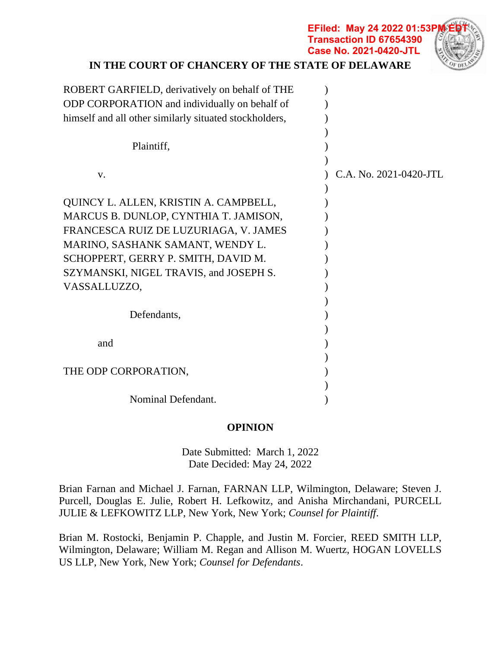| IN THE COURT OF CHANCERY OF THE STATE OF DELAWARE      | <b>Case No. 2021-0420-JTL</b> |  |
|--------------------------------------------------------|-------------------------------|--|
| ROBERT GARFIELD, derivatively on behalf of THE         |                               |  |
| ODP CORPORATION and individually on behalf of          |                               |  |
| himself and all other similarly situated stockholders, |                               |  |
|                                                        |                               |  |
| Plaintiff,                                             |                               |  |
|                                                        |                               |  |
| V.                                                     | C.A. No. 2021-0420-JTL        |  |
|                                                        |                               |  |
| QUINCY L. ALLEN, KRISTIN A. CAMPBELL,                  |                               |  |
| MARCUS B. DUNLOP, CYNTHIA T. JAMISON,                  |                               |  |
| FRANCESCA RUIZ DE LUZURIAGA, V. JAMES                  |                               |  |
| MARINO, SASHANK SAMANT, WENDY L.                       |                               |  |
| SCHOPPERT, GERRY P. SMITH, DAVID M.                    |                               |  |
| SZYMANSKI, NIGEL TRAVIS, and JOSEPH S.                 |                               |  |
| VASSALLUZZO,                                           |                               |  |
|                                                        |                               |  |
| Defendants,                                            |                               |  |
|                                                        |                               |  |
| and                                                    |                               |  |
|                                                        |                               |  |
| THE ODP CORPORATION,                                   |                               |  |
|                                                        |                               |  |
| Nominal Defendant.                                     |                               |  |

**EFiled: May 24 2022 01:53P Transaction ID 67654390**

## **OPINION**

Date Submitted: March 1, 2022 Date Decided: May 24, 2022

Brian Farnan and Michael J. Farnan, FARNAN LLP, Wilmington, Delaware; Steven J. Purcell, Douglas E. Julie, Robert H. Lefkowitz, and Anisha Mirchandani, PURCELL JULIE & LEFKOWITZ LLP, New York, New York; *Counsel for Plaintiff*.

Brian M. Rostocki, Benjamin P. Chapple, and Justin M. Forcier, REED SMITH LLP, Wilmington, Delaware; William M. Regan and Allison M. Wuertz, HOGAN LOVELLS US LLP, New York, New York; *Counsel for Defendants*.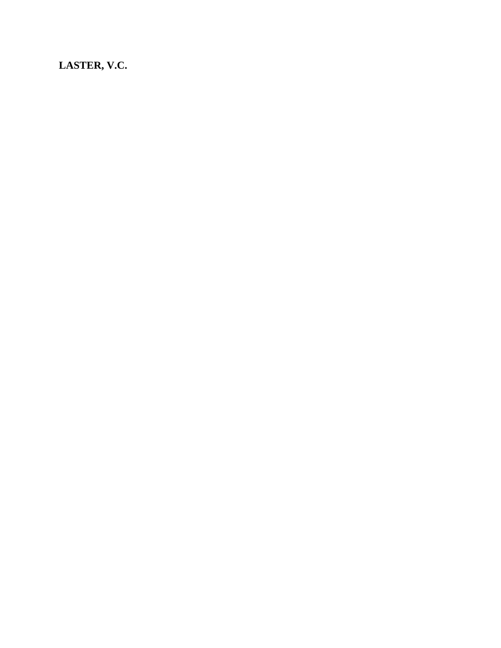**LASTER, V.C.**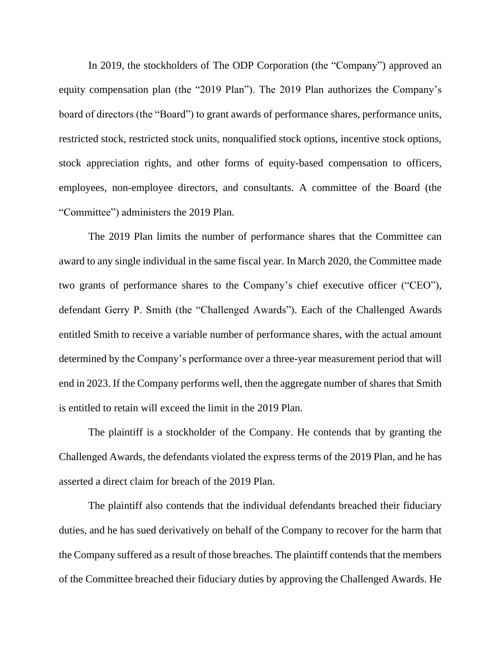In 2019, the stockholders of The ODP Corporation (the "Company") approved an equity compensation plan (the "2019 Plan"). The 2019 Plan authorizes the Company's board of directors (the "Board") to grant awards of performance shares, performance units, restricted stock, restricted stock units, nonqualified stock options, incentive stock options, stock appreciation rights, and other forms of equity-based compensation to officers, employees, non-employee directors, and consultants. A committee of the Board (the "Committee") administers the 2019 Plan.

The 2019 Plan limits the number of performance shares that the Committee can award to any single individual in the same fiscal year. In March 2020, the Committee made two grants of performance shares to the Company's chief executive officer ("CEO"), defendant Gerry P. Smith (the "Challenged Awards"). Each of the Challenged Awards entitled Smith to receive a variable number of performance shares, with the actual amount determined by the Company's performance over a three-year measurement period that will end in 2023. If the Company performs well, then the aggregate number of shares that Smith is entitled to retain will exceed the limit in the 2019 Plan.

The plaintiff is a stockholder of the Company. He contends that by granting the Challenged Awards, the defendants violated the express terms of the 2019 Plan, and he has asserted a direct claim for breach of the 2019 Plan.

The plaintiff also contends that the individual defendants breached their fiduciary duties, and he has sued derivatively on behalf of the Company to recover for the harm that the Company suffered as a result of those breaches. The plaintiff contends that the members of the Committee breached their fiduciary duties by approving the Challenged Awards. He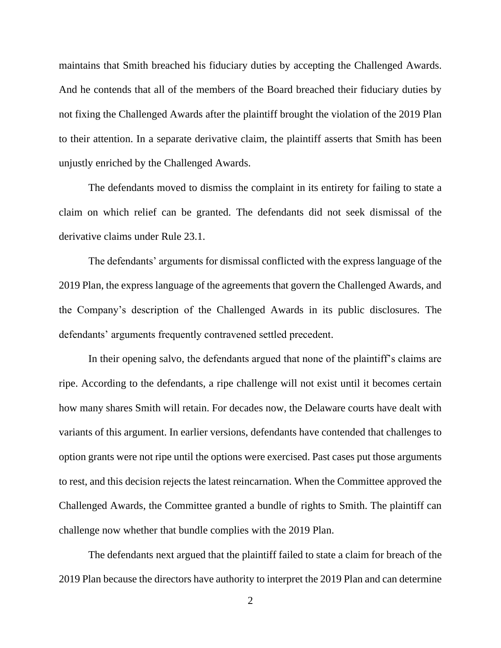maintains that Smith breached his fiduciary duties by accepting the Challenged Awards. And he contends that all of the members of the Board breached their fiduciary duties by not fixing the Challenged Awards after the plaintiff brought the violation of the 2019 Plan to their attention. In a separate derivative claim, the plaintiff asserts that Smith has been unjustly enriched by the Challenged Awards.

The defendants moved to dismiss the complaint in its entirety for failing to state a claim on which relief can be granted. The defendants did not seek dismissal of the derivative claims under Rule 23.1.

The defendants' arguments for dismissal conflicted with the express language of the 2019 Plan, the express language of the agreements that govern the Challenged Awards, and the Company's description of the Challenged Awards in its public disclosures. The defendants' arguments frequently contravened settled precedent.

In their opening salvo, the defendants argued that none of the plaintiff's claims are ripe. According to the defendants, a ripe challenge will not exist until it becomes certain how many shares Smith will retain. For decades now, the Delaware courts have dealt with variants of this argument. In earlier versions, defendants have contended that challenges to option grants were not ripe until the options were exercised. Past cases put those arguments to rest, and this decision rejects the latest reincarnation. When the Committee approved the Challenged Awards, the Committee granted a bundle of rights to Smith. The plaintiff can challenge now whether that bundle complies with the 2019 Plan.

The defendants next argued that the plaintiff failed to state a claim for breach of the 2019 Plan because the directors have authority to interpret the 2019 Plan and can determine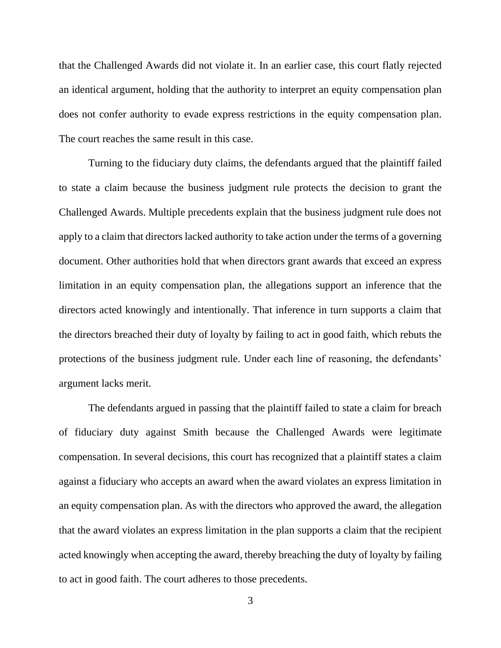that the Challenged Awards did not violate it. In an earlier case, this court flatly rejected an identical argument, holding that the authority to interpret an equity compensation plan does not confer authority to evade express restrictions in the equity compensation plan. The court reaches the same result in this case.

Turning to the fiduciary duty claims, the defendants argued that the plaintiff failed to state a claim because the business judgment rule protects the decision to grant the Challenged Awards. Multiple precedents explain that the business judgment rule does not apply to a claim that directors lacked authority to take action under the terms of a governing document. Other authorities hold that when directors grant awards that exceed an express limitation in an equity compensation plan, the allegations support an inference that the directors acted knowingly and intentionally. That inference in turn supports a claim that the directors breached their duty of loyalty by failing to act in good faith, which rebuts the protections of the business judgment rule. Under each line of reasoning, the defendants' argument lacks merit.

The defendants argued in passing that the plaintiff failed to state a claim for breach of fiduciary duty against Smith because the Challenged Awards were legitimate compensation. In several decisions, this court has recognized that a plaintiff states a claim against a fiduciary who accepts an award when the award violates an express limitation in an equity compensation plan. As with the directors who approved the award, the allegation that the award violates an express limitation in the plan supports a claim that the recipient acted knowingly when accepting the award, thereby breaching the duty of loyalty by failing to act in good faith. The court adheres to those precedents.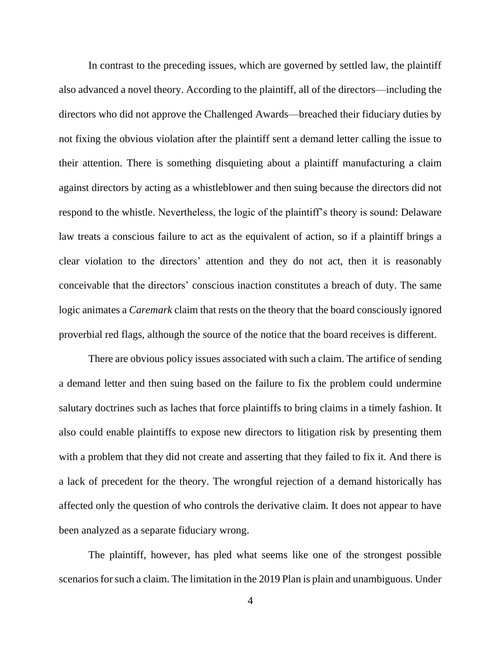In contrast to the preceding issues, which are governed by settled law, the plaintiff also advanced a novel theory. According to the plaintiff, all of the directors—including the directors who did not approve the Challenged Awards—breached their fiduciary duties by not fixing the obvious violation after the plaintiff sent a demand letter calling the issue to their attention. There is something disquieting about a plaintiff manufacturing a claim against directors by acting as a whistleblower and then suing because the directors did not respond to the whistle. Nevertheless, the logic of the plaintiff's theory is sound: Delaware law treats a conscious failure to act as the equivalent of action, so if a plaintiff brings a clear violation to the directors' attention and they do not act, then it is reasonably conceivable that the directors' conscious inaction constitutes a breach of duty. The same logic animates a *Caremark* claim that rests on the theory that the board consciously ignored proverbial red flags, although the source of the notice that the board receives is different.

There are obvious policy issues associated with such a claim. The artifice of sending a demand letter and then suing based on the failure to fix the problem could undermine salutary doctrines such as laches that force plaintiffs to bring claims in a timely fashion. It also could enable plaintiffs to expose new directors to litigation risk by presenting them with a problem that they did not create and asserting that they failed to fix it. And there is a lack of precedent for the theory. The wrongful rejection of a demand historically has affected only the question of who controls the derivative claim. It does not appear to have been analyzed as a separate fiduciary wrong.

The plaintiff, however, has pled what seems like one of the strongest possible scenarios for such a claim. The limitation in the 2019 Plan is plain and unambiguous. Under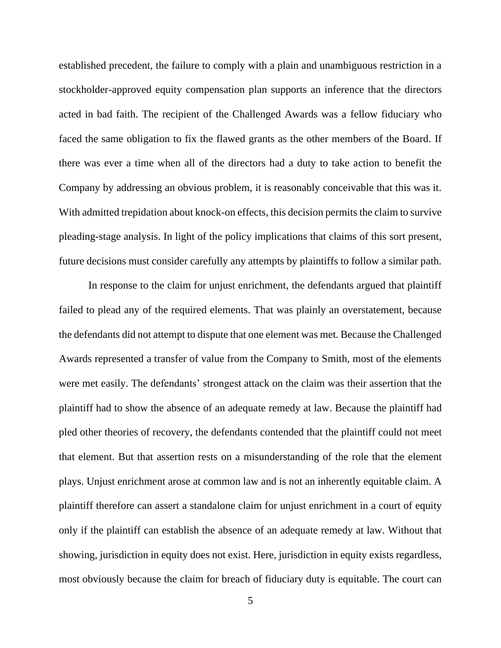established precedent, the failure to comply with a plain and unambiguous restriction in a stockholder-approved equity compensation plan supports an inference that the directors acted in bad faith. The recipient of the Challenged Awards was a fellow fiduciary who faced the same obligation to fix the flawed grants as the other members of the Board. If there was ever a time when all of the directors had a duty to take action to benefit the Company by addressing an obvious problem, it is reasonably conceivable that this was it. With admitted trepidation about knock-on effects, this decision permits the claim to survive pleading-stage analysis. In light of the policy implications that claims of this sort present, future decisions must consider carefully any attempts by plaintiffs to follow a similar path.

In response to the claim for unjust enrichment, the defendants argued that plaintiff failed to plead any of the required elements. That was plainly an overstatement, because the defendants did not attempt to dispute that one element was met. Because the Challenged Awards represented a transfer of value from the Company to Smith, most of the elements were met easily. The defendants' strongest attack on the claim was their assertion that the plaintiff had to show the absence of an adequate remedy at law. Because the plaintiff had pled other theories of recovery, the defendants contended that the plaintiff could not meet that element. But that assertion rests on a misunderstanding of the role that the element plays. Unjust enrichment arose at common law and is not an inherently equitable claim. A plaintiff therefore can assert a standalone claim for unjust enrichment in a court of equity only if the plaintiff can establish the absence of an adequate remedy at law. Without that showing, jurisdiction in equity does not exist. Here, jurisdiction in equity exists regardless, most obviously because the claim for breach of fiduciary duty is equitable. The court can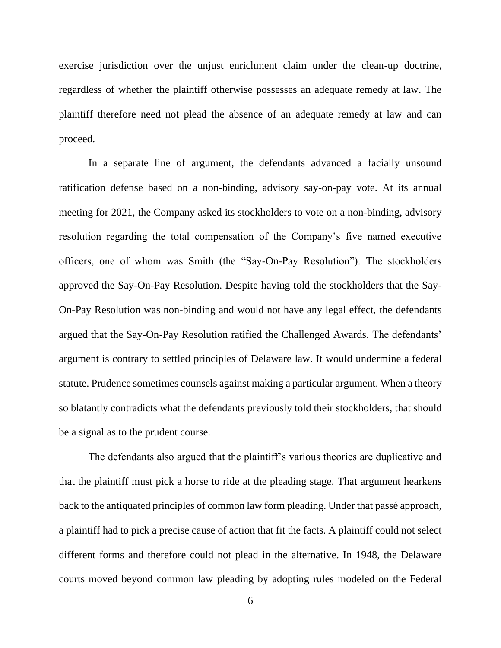exercise jurisdiction over the unjust enrichment claim under the clean-up doctrine, regardless of whether the plaintiff otherwise possesses an adequate remedy at law. The plaintiff therefore need not plead the absence of an adequate remedy at law and can proceed.

In a separate line of argument, the defendants advanced a facially unsound ratification defense based on a non-binding, advisory say-on-pay vote. At its annual meeting for 2021, the Company asked its stockholders to vote on a non-binding, advisory resolution regarding the total compensation of the Company's five named executive officers, one of whom was Smith (the "Say-On-Pay Resolution"). The stockholders approved the Say-On-Pay Resolution. Despite having told the stockholders that the Say-On-Pay Resolution was non-binding and would not have any legal effect, the defendants argued that the Say-On-Pay Resolution ratified the Challenged Awards. The defendants' argument is contrary to settled principles of Delaware law. It would undermine a federal statute. Prudence sometimes counsels against making a particular argument. When a theory so blatantly contradicts what the defendants previously told their stockholders, that should be a signal as to the prudent course.

The defendants also argued that the plaintiff's various theories are duplicative and that the plaintiff must pick a horse to ride at the pleading stage. That argument hearkens back to the antiquated principles of common law form pleading. Under that passé approach, a plaintiff had to pick a precise cause of action that fit the facts. A plaintiff could not select different forms and therefore could not plead in the alternative. In 1948, the Delaware courts moved beyond common law pleading by adopting rules modeled on the Federal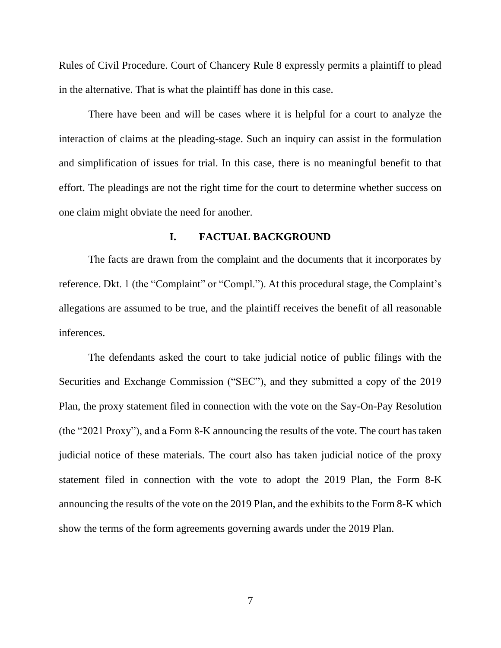Rules of Civil Procedure. Court of Chancery Rule 8 expressly permits a plaintiff to plead in the alternative. That is what the plaintiff has done in this case.

There have been and will be cases where it is helpful for a court to analyze the interaction of claims at the pleading-stage. Such an inquiry can assist in the formulation and simplification of issues for trial. In this case, there is no meaningful benefit to that effort. The pleadings are not the right time for the court to determine whether success on one claim might obviate the need for another.

# **I. FACTUAL BACKGROUND**

The facts are drawn from the complaint and the documents that it incorporates by reference. Dkt. 1 (the "Complaint" or "Compl."). At this procedural stage, the Complaint's allegations are assumed to be true, and the plaintiff receives the benefit of all reasonable inferences.

The defendants asked the court to take judicial notice of public filings with the Securities and Exchange Commission ("SEC"), and they submitted a copy of the 2019 Plan, the proxy statement filed in connection with the vote on the Say-On-Pay Resolution (the "2021 Proxy"), and a Form 8-K announcing the results of the vote. The court has taken judicial notice of these materials. The court also has taken judicial notice of the proxy statement filed in connection with the vote to adopt the 2019 Plan, the Form 8-K announcing the results of the vote on the 2019 Plan, and the exhibits to the Form 8-K which show the terms of the form agreements governing awards under the 2019 Plan.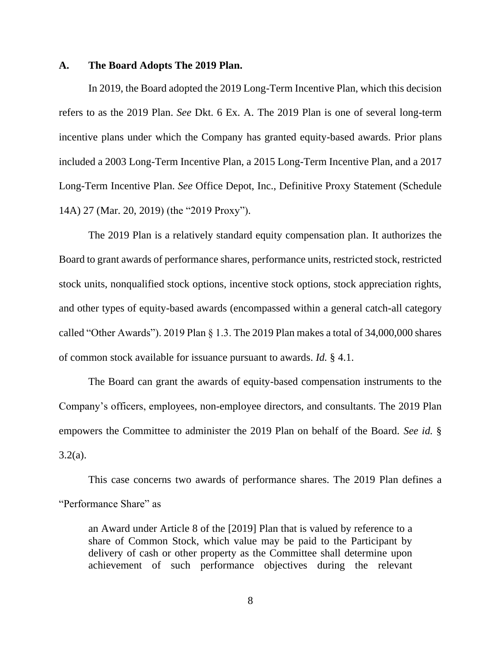#### **A. The Board Adopts The 2019 Plan.**

In 2019, the Board adopted the 2019 Long-Term Incentive Plan, which this decision refers to as the 2019 Plan. *See* Dkt. 6 Ex. A. The 2019 Plan is one of several long-term incentive plans under which the Company has granted equity-based awards. Prior plans included a 2003 Long-Term Incentive Plan, a 2015 Long-Term Incentive Plan, and a 2017 Long-Term Incentive Plan. *See* Office Depot, Inc., Definitive Proxy Statement (Schedule 14A) 27 (Mar. 20, 2019) (the "2019 Proxy").

The 2019 Plan is a relatively standard equity compensation plan. It authorizes the Board to grant awards of performance shares, performance units, restricted stock, restricted stock units, nonqualified stock options, incentive stock options, stock appreciation rights, and other types of equity-based awards (encompassed within a general catch-all category called "Other Awards"). 2019 Plan § 1.3. The 2019 Plan makes a total of 34,000,000 shares of common stock available for issuance pursuant to awards. *Id.* § 4.1.

The Board can grant the awards of equity-based compensation instruments to the Company's officers, employees, non-employee directors, and consultants. The 2019 Plan empowers the Committee to administer the 2019 Plan on behalf of the Board. *See id.* §  $3.2(a)$ .

This case concerns two awards of performance shares. The 2019 Plan defines a "Performance Share" as

an Award under Article 8 of the [2019] Plan that is valued by reference to a share of Common Stock, which value may be paid to the Participant by delivery of cash or other property as the Committee shall determine upon achievement of such performance objectives during the relevant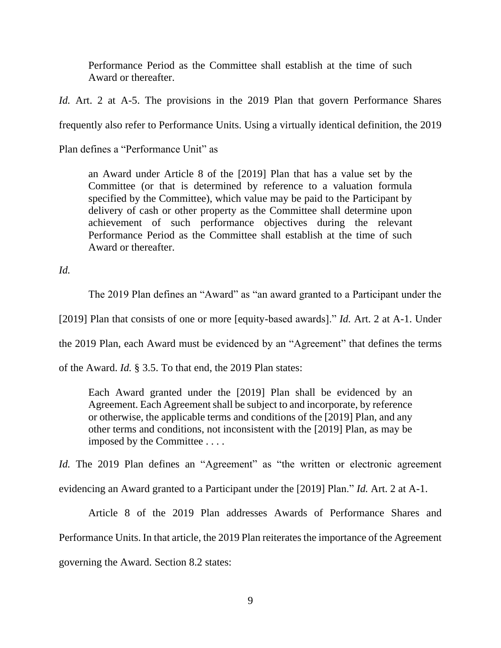Performance Period as the Committee shall establish at the time of such Award or thereafter.

*Id.* Art. 2 at A-5. The provisions in the 2019 Plan that govern Performance Shares frequently also refer to Performance Units. Using a virtually identical definition, the 2019

Plan defines a "Performance Unit" as

an Award under Article 8 of the [2019] Plan that has a value set by the Committee (or that is determined by reference to a valuation formula specified by the Committee), which value may be paid to the Participant by delivery of cash or other property as the Committee shall determine upon achievement of such performance objectives during the relevant Performance Period as the Committee shall establish at the time of such Award or thereafter.

*Id.*

The 2019 Plan defines an "Award" as "an award granted to a Participant under the

[2019] Plan that consists of one or more [equity-based awards]." *Id.* Art. 2 at A-1. Under

the 2019 Plan, each Award must be evidenced by an "Agreement" that defines the terms

of the Award. *Id.* § 3.5. To that end, the 2019 Plan states:

Each Award granted under the [2019] Plan shall be evidenced by an Agreement. Each Agreement shall be subject to and incorporate, by reference or otherwise, the applicable terms and conditions of the [2019] Plan, and any other terms and conditions, not inconsistent with the [2019] Plan, as may be imposed by the Committee . . . .

*Id.* The 2019 Plan defines an "Agreement" as "the written or electronic agreement evidencing an Award granted to a Participant under the [2019] Plan." *Id.* Art. 2 at A-1.

Article 8 of the 2019 Plan addresses Awards of Performance Shares and Performance Units. In that article, the 2019 Plan reiterates the importance of the Agreement governing the Award. Section 8.2 states: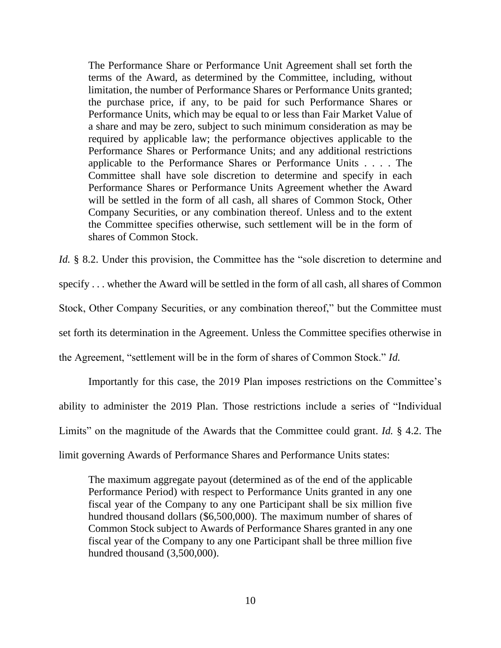The Performance Share or Performance Unit Agreement shall set forth the terms of the Award, as determined by the Committee, including, without limitation, the number of Performance Shares or Performance Units granted; the purchase price, if any, to be paid for such Performance Shares or Performance Units, which may be equal to or less than Fair Market Value of a share and may be zero, subject to such minimum consideration as may be required by applicable law; the performance objectives applicable to the Performance Shares or Performance Units; and any additional restrictions applicable to the Performance Shares or Performance Units . . . . The Committee shall have sole discretion to determine and specify in each Performance Shares or Performance Units Agreement whether the Award will be settled in the form of all cash, all shares of Common Stock, Other Company Securities, or any combination thereof. Unless and to the extent the Committee specifies otherwise, such settlement will be in the form of shares of Common Stock.

*Id.* § 8.2. Under this provision, the Committee has the "sole discretion to determine and specify . . . whether the Award will be settled in the form of all cash, all shares of Common Stock, Other Company Securities, or any combination thereof," but the Committee must set forth its determination in the Agreement. Unless the Committee specifies otherwise in the Agreement, "settlement will be in the form of shares of Common Stock." *Id.*

Importantly for this case, the 2019 Plan imposes restrictions on the Committee's ability to administer the 2019 Plan. Those restrictions include a series of "Individual Limits" on the magnitude of the Awards that the Committee could grant. *Id.* § 4.2. The limit governing Awards of Performance Shares and Performance Units states:

The maximum aggregate payout (determined as of the end of the applicable Performance Period) with respect to Performance Units granted in any one fiscal year of the Company to any one Participant shall be six million five hundred thousand dollars (\$6,500,000). The maximum number of shares of Common Stock subject to Awards of Performance Shares granted in any one fiscal year of the Company to any one Participant shall be three million five hundred thousand (3,500,000).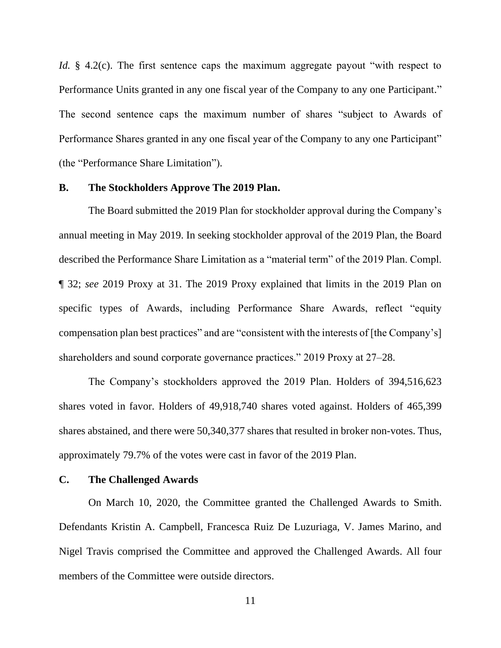*Id.* § 4.2(c). The first sentence caps the maximum aggregate payout "with respect to Performance Units granted in any one fiscal year of the Company to any one Participant." The second sentence caps the maximum number of shares "subject to Awards of Performance Shares granted in any one fiscal year of the Company to any one Participant" (the "Performance Share Limitation").

# **B. The Stockholders Approve The 2019 Plan.**

The Board submitted the 2019 Plan for stockholder approval during the Company's annual meeting in May 2019. In seeking stockholder approval of the 2019 Plan, the Board described the Performance Share Limitation as a "material term" of the 2019 Plan. Compl. ¶ 32; *see* 2019 Proxy at 31. The 2019 Proxy explained that limits in the 2019 Plan on specific types of Awards, including Performance Share Awards, reflect "equity compensation plan best practices" and are "consistent with the interests of [the Company's] shareholders and sound corporate governance practices." 2019 Proxy at 27–28.

The Company's stockholders approved the 2019 Plan. Holders of 394,516,623 shares voted in favor. Holders of 49,918,740 shares voted against. Holders of 465,399 shares abstained, and there were 50,340,377 shares that resulted in broker non-votes. Thus, approximately 79.7% of the votes were cast in favor of the 2019 Plan.

## **C. The Challenged Awards**

On March 10, 2020, the Committee granted the Challenged Awards to Smith. Defendants Kristin A. Campbell, Francesca Ruiz De Luzuriaga, V. James Marino, and Nigel Travis comprised the Committee and approved the Challenged Awards. All four members of the Committee were outside directors.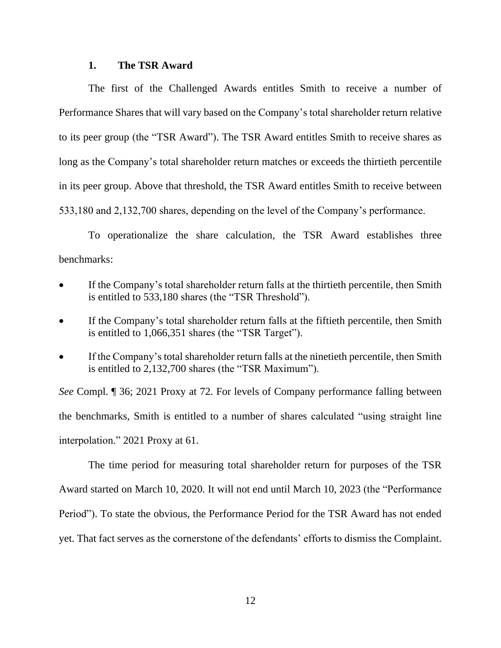# **1. The TSR Award**

The first of the Challenged Awards entitles Smith to receive a number of Performance Shares that will vary based on the Company's total shareholder return relative to its peer group (the "TSR Award"). The TSR Award entitles Smith to receive shares as long as the Company's total shareholder return matches or exceeds the thirtieth percentile in its peer group. Above that threshold, the TSR Award entitles Smith to receive between 533,180 and 2,132,700 shares, depending on the level of the Company's performance.

To operationalize the share calculation, the TSR Award establishes three benchmarks:

- If the Company's total shareholder return falls at the thirtieth percentile, then Smith is entitled to 533,180 shares (the "TSR Threshold").
- If the Company's total shareholder return falls at the fiftieth percentile, then Smith is entitled to 1,066,351 shares (the "TSR Target").
- If the Company's total shareholder return falls at the ninetieth percentile, then Smith is entitled to 2,132,700 shares (the "TSR Maximum").

*See* Compl. ¶ 36; 2021 Proxy at 72. For levels of Company performance falling between the benchmarks, Smith is entitled to a number of shares calculated "using straight line interpolation." 2021 Proxy at 61.

The time period for measuring total shareholder return for purposes of the TSR Award started on March 10, 2020. It will not end until March 10, 2023 (the "Performance Period"). To state the obvious, the Performance Period for the TSR Award has not ended yet. That fact serves as the cornerstone of the defendants' efforts to dismiss the Complaint.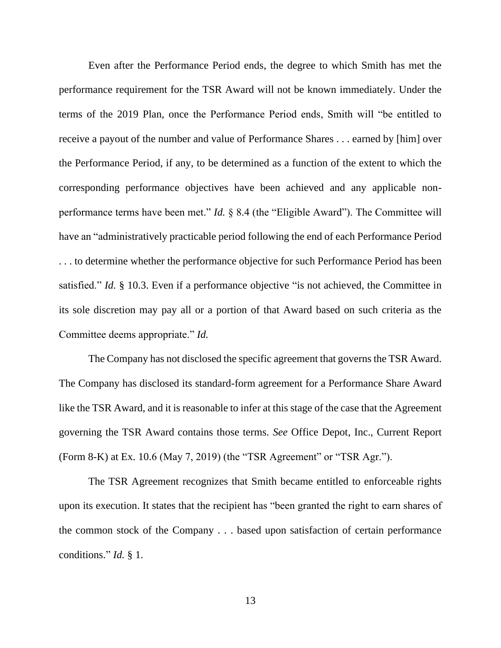Even after the Performance Period ends, the degree to which Smith has met the performance requirement for the TSR Award will not be known immediately. Under the terms of the 2019 Plan, once the Performance Period ends, Smith will "be entitled to receive a payout of the number and value of Performance Shares . . . earned by [him] over the Performance Period, if any, to be determined as a function of the extent to which the corresponding performance objectives have been achieved and any applicable nonperformance terms have been met." *Id.* § 8.4 (the "Eligible Award"). The Committee will have an "administratively practicable period following the end of each Performance Period . . . to determine whether the performance objective for such Performance Period has been satisfied." *Id.* § 10.3. Even if a performance objective "is not achieved, the Committee in its sole discretion may pay all or a portion of that Award based on such criteria as the Committee deems appropriate." *Id.*

The Company has not disclosed the specific agreement that governs the TSR Award. The Company has disclosed its standard-form agreement for a Performance Share Award like the TSR Award, and it is reasonable to infer at this stage of the case that the Agreement governing the TSR Award contains those terms. *See* Office Depot, Inc., Current Report (Form 8-K) at Ex. 10.6 (May 7, 2019) (the "TSR Agreement" or "TSR Agr.").

The TSR Agreement recognizes that Smith became entitled to enforceable rights upon its execution. It states that the recipient has "been granted the right to earn shares of the common stock of the Company . . . based upon satisfaction of certain performance conditions." *Id.* § 1.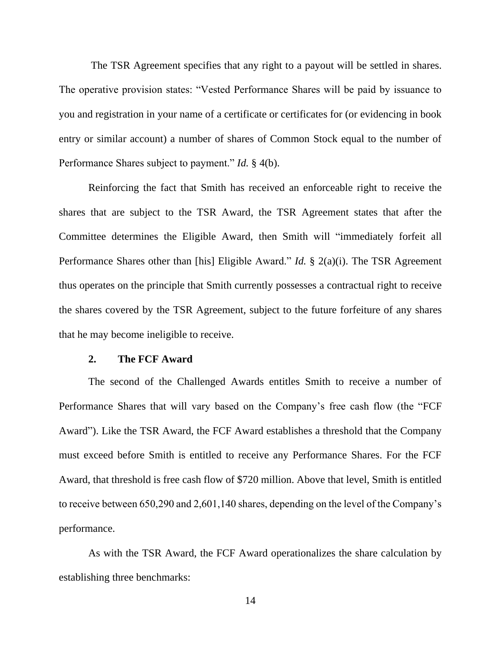The TSR Agreement specifies that any right to a payout will be settled in shares. The operative provision states: "Vested Performance Shares will be paid by issuance to you and registration in your name of a certificate or certificates for (or evidencing in book entry or similar account) a number of shares of Common Stock equal to the number of Performance Shares subject to payment." *Id.* § 4(b).

Reinforcing the fact that Smith has received an enforceable right to receive the shares that are subject to the TSR Award, the TSR Agreement states that after the Committee determines the Eligible Award, then Smith will "immediately forfeit all Performance Shares other than [his] Eligible Award." *Id.* § 2(a)(i). The TSR Agreement thus operates on the principle that Smith currently possesses a contractual right to receive the shares covered by the TSR Agreement, subject to the future forfeiture of any shares that he may become ineligible to receive.

# **2. The FCF Award**

The second of the Challenged Awards entitles Smith to receive a number of Performance Shares that will vary based on the Company's free cash flow (the "FCF Award"). Like the TSR Award, the FCF Award establishes a threshold that the Company must exceed before Smith is entitled to receive any Performance Shares. For the FCF Award, that threshold is free cash flow of \$720 million. Above that level, Smith is entitled to receive between 650,290 and 2,601,140 shares, depending on the level of the Company's performance.

As with the TSR Award, the FCF Award operationalizes the share calculation by establishing three benchmarks: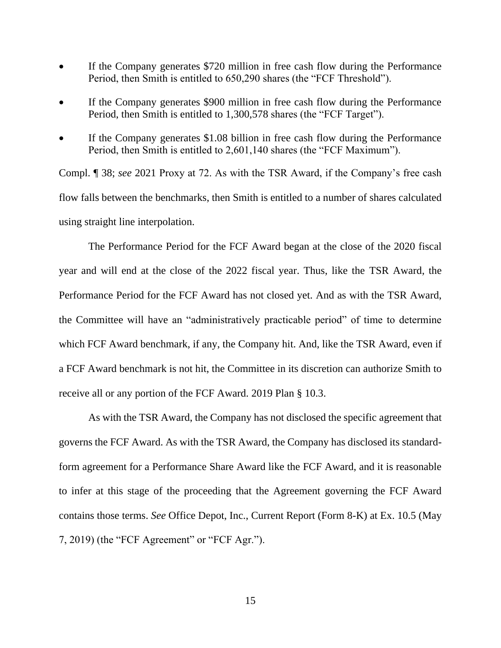- If the Company generates \$720 million in free cash flow during the Performance Period, then Smith is entitled to 650,290 shares (the "FCF Threshold").
- If the Company generates \$900 million in free cash flow during the Performance Period, then Smith is entitled to 1,300,578 shares (the "FCF Target").
- If the Company generates \$1.08 billion in free cash flow during the Performance Period, then Smith is entitled to 2,601,140 shares (the "FCF Maximum").

Compl. ¶ 38; *see* 2021 Proxy at 72. As with the TSR Award, if the Company's free cash flow falls between the benchmarks, then Smith is entitled to a number of shares calculated using straight line interpolation.

The Performance Period for the FCF Award began at the close of the 2020 fiscal year and will end at the close of the 2022 fiscal year. Thus, like the TSR Award, the Performance Period for the FCF Award has not closed yet. And as with the TSR Award, the Committee will have an "administratively practicable period" of time to determine which FCF Award benchmark, if any, the Company hit. And, like the TSR Award, even if a FCF Award benchmark is not hit, the Committee in its discretion can authorize Smith to receive all or any portion of the FCF Award. 2019 Plan § 10.3.

As with the TSR Award, the Company has not disclosed the specific agreement that governs the FCF Award. As with the TSR Award, the Company has disclosed its standardform agreement for a Performance Share Award like the FCF Award, and it is reasonable to infer at this stage of the proceeding that the Agreement governing the FCF Award contains those terms. *See* Office Depot, Inc., Current Report (Form 8-K) at Ex. 10.5 (May 7, 2019) (the "FCF Agreement" or "FCF Agr.").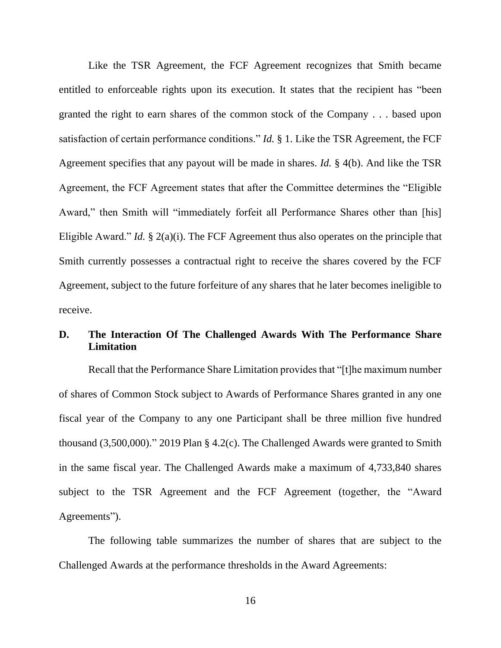Like the TSR Agreement, the FCF Agreement recognizes that Smith became entitled to enforceable rights upon its execution. It states that the recipient has "been granted the right to earn shares of the common stock of the Company . . . based upon satisfaction of certain performance conditions." *Id.* § 1. Like the TSR Agreement, the FCF Agreement specifies that any payout will be made in shares. *Id.* § 4(b). And like the TSR Agreement, the FCF Agreement states that after the Committee determines the "Eligible Award," then Smith will "immediately forfeit all Performance Shares other than [his] Eligible Award." *Id.* § 2(a)(i). The FCF Agreement thus also operates on the principle that Smith currently possesses a contractual right to receive the shares covered by the FCF Agreement, subject to the future forfeiture of any shares that he later becomes ineligible to receive.

# **D. The Interaction Of The Challenged Awards With The Performance Share Limitation**

Recall that the Performance Share Limitation provides that "[t]he maximum number of shares of Common Stock subject to Awards of Performance Shares granted in any one fiscal year of the Company to any one Participant shall be three million five hundred thousand (3,500,000)." 2019 Plan § 4.2(c). The Challenged Awards were granted to Smith in the same fiscal year. The Challenged Awards make a maximum of 4,733,840 shares subject to the TSR Agreement and the FCF Agreement (together, the "Award Agreements").

The following table summarizes the number of shares that are subject to the Challenged Awards at the performance thresholds in the Award Agreements: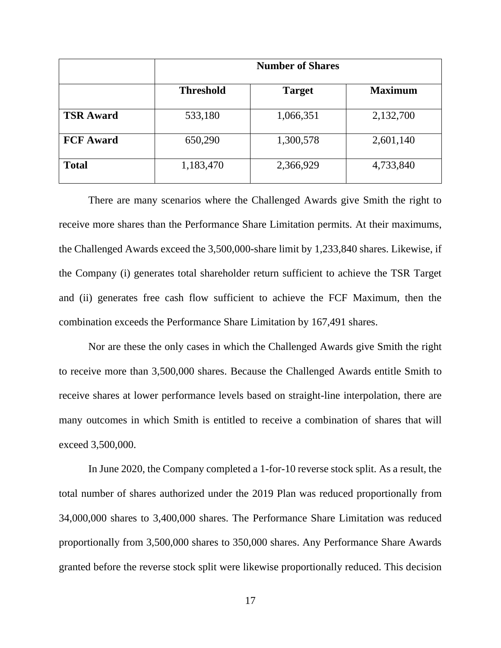|                  | <b>Number of Shares</b> |               |                |
|------------------|-------------------------|---------------|----------------|
|                  | <b>Threshold</b>        | <b>Target</b> | <b>Maximum</b> |
| <b>TSR Award</b> | 533,180                 | 1,066,351     | 2,132,700      |
| <b>FCF Award</b> | 650,290                 | 1,300,578     | 2,601,140      |
| <b>Total</b>     | 1,183,470               | 2,366,929     | 4,733,840      |

There are many scenarios where the Challenged Awards give Smith the right to receive more shares than the Performance Share Limitation permits. At their maximums, the Challenged Awards exceed the 3,500,000-share limit by 1,233,840 shares. Likewise, if the Company (i) generates total shareholder return sufficient to achieve the TSR Target and (ii) generates free cash flow sufficient to achieve the FCF Maximum, then the combination exceeds the Performance Share Limitation by 167,491 shares.

Nor are these the only cases in which the Challenged Awards give Smith the right to receive more than 3,500,000 shares. Because the Challenged Awards entitle Smith to receive shares at lower performance levels based on straight-line interpolation, there are many outcomes in which Smith is entitled to receive a combination of shares that will exceed 3,500,000.

In June 2020, the Company completed a 1-for-10 reverse stock split. As a result, the total number of shares authorized under the 2019 Plan was reduced proportionally from 34,000,000 shares to 3,400,000 shares. The Performance Share Limitation was reduced proportionally from 3,500,000 shares to 350,000 shares. Any Performance Share Awards granted before the reverse stock split were likewise proportionally reduced. This decision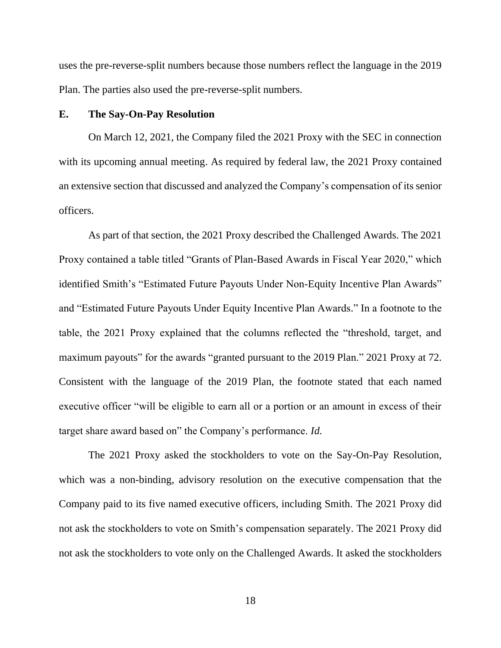uses the pre-reverse-split numbers because those numbers reflect the language in the 2019 Plan. The parties also used the pre-reverse-split numbers.

## **E. The Say-On-Pay Resolution**

On March 12, 2021, the Company filed the 2021 Proxy with the SEC in connection with its upcoming annual meeting. As required by federal law, the 2021 Proxy contained an extensive section that discussed and analyzed the Company's compensation of its senior officers.

As part of that section, the 2021 Proxy described the Challenged Awards. The 2021 Proxy contained a table titled "Grants of Plan-Based Awards in Fiscal Year 2020," which identified Smith's "Estimated Future Payouts Under Non-Equity Incentive Plan Awards" and "Estimated Future Payouts Under Equity Incentive Plan Awards." In a footnote to the table, the 2021 Proxy explained that the columns reflected the "threshold, target, and maximum payouts" for the awards "granted pursuant to the 2019 Plan." 2021 Proxy at 72. Consistent with the language of the 2019 Plan, the footnote stated that each named executive officer "will be eligible to earn all or a portion or an amount in excess of their target share award based on" the Company's performance. *Id.*

The 2021 Proxy asked the stockholders to vote on the Say-On-Pay Resolution, which was a non-binding, advisory resolution on the executive compensation that the Company paid to its five named executive officers, including Smith. The 2021 Proxy did not ask the stockholders to vote on Smith's compensation separately. The 2021 Proxy did not ask the stockholders to vote only on the Challenged Awards. It asked the stockholders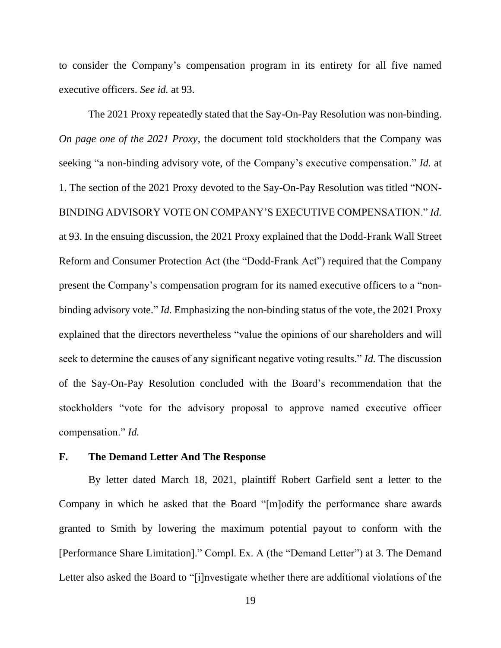to consider the Company's compensation program in its entirety for all five named executive officers. *See id.* at 93.

The 2021 Proxy repeatedly stated that the Say-On-Pay Resolution was non-binding. *On page one of the 2021 Proxy*, the document told stockholders that the Company was seeking "a non-binding advisory vote, of the Company's executive compensation." *Id.* at 1. The section of the 2021 Proxy devoted to the Say-On-Pay Resolution was titled "NON-BINDING ADVISORY VOTE ON COMPANY'S EXECUTIVE COMPENSATION." *Id.* at 93. In the ensuing discussion, the 2021 Proxy explained that the Dodd-Frank Wall Street Reform and Consumer Protection Act (the "Dodd-Frank Act") required that the Company present the Company's compensation program for its named executive officers to a "nonbinding advisory vote." *Id.* Emphasizing the non-binding status of the vote, the 2021 Proxy explained that the directors nevertheless "value the opinions of our shareholders and will seek to determine the causes of any significant negative voting results." *Id.* The discussion of the Say-On-Pay Resolution concluded with the Board's recommendation that the stockholders "vote for the advisory proposal to approve named executive officer compensation." *Id.*

### **F. The Demand Letter And The Response**

By letter dated March 18, 2021, plaintiff Robert Garfield sent a letter to the Company in which he asked that the Board "[m]odify the performance share awards granted to Smith by lowering the maximum potential payout to conform with the [Performance Share Limitation]." Compl. Ex. A (the "Demand Letter") at 3. The Demand Letter also asked the Board to "[i]nvestigate whether there are additional violations of the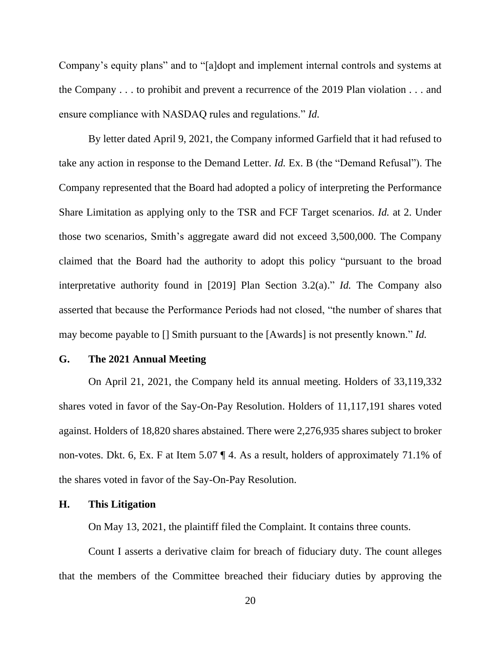Company's equity plans" and to "[a]dopt and implement internal controls and systems at the Company . . . to prohibit and prevent a recurrence of the 2019 Plan violation . . . and ensure compliance with NASDAQ rules and regulations." *Id.*

By letter dated April 9, 2021, the Company informed Garfield that it had refused to take any action in response to the Demand Letter. *Id.* Ex. B (the "Demand Refusal"). The Company represented that the Board had adopted a policy of interpreting the Performance Share Limitation as applying only to the TSR and FCF Target scenarios. *Id.* at 2. Under those two scenarios, Smith's aggregate award did not exceed 3,500,000. The Company claimed that the Board had the authority to adopt this policy "pursuant to the broad interpretative authority found in [2019] Plan Section 3.2(a)." *Id.* The Company also asserted that because the Performance Periods had not closed, "the number of shares that may become payable to [] Smith pursuant to the [Awards] is not presently known." *Id.*

## **G. The 2021 Annual Meeting**

On April 21, 2021, the Company held its annual meeting. Holders of 33,119,332 shares voted in favor of the Say-On-Pay Resolution. Holders of 11,117,191 shares voted against. Holders of 18,820 shares abstained. There were 2,276,935 shares subject to broker non-votes. Dkt. 6, Ex. F at Item 5.07 ¶ 4. As a result, holders of approximately 71.1% of the shares voted in favor of the Say-On-Pay Resolution.

## **H. This Litigation**

On May 13, 2021, the plaintiff filed the Complaint. It contains three counts.

Count I asserts a derivative claim for breach of fiduciary duty. The count alleges that the members of the Committee breached their fiduciary duties by approving the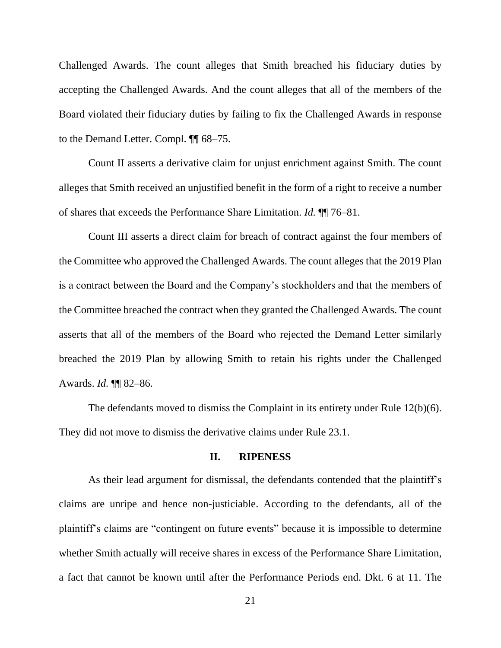Challenged Awards. The count alleges that Smith breached his fiduciary duties by accepting the Challenged Awards. And the count alleges that all of the members of the Board violated their fiduciary duties by failing to fix the Challenged Awards in response to the Demand Letter. Compl. ¶¶ 68–75.

Count II asserts a derivative claim for unjust enrichment against Smith. The count alleges that Smith received an unjustified benefit in the form of a right to receive a number of shares that exceeds the Performance Share Limitation. *Id.* ¶¶ 76–81.

Count III asserts a direct claim for breach of contract against the four members of the Committee who approved the Challenged Awards. The count alleges that the 2019 Plan is a contract between the Board and the Company's stockholders and that the members of the Committee breached the contract when they granted the Challenged Awards. The count asserts that all of the members of the Board who rejected the Demand Letter similarly breached the 2019 Plan by allowing Smith to retain his rights under the Challenged Awards. *Id.* ¶¶ 82–86.

The defendants moved to dismiss the Complaint in its entirety under Rule 12(b)(6). They did not move to dismiss the derivative claims under Rule 23.1.

### **II. RIPENESS**

As their lead argument for dismissal, the defendants contended that the plaintiff's claims are unripe and hence non-justiciable. According to the defendants, all of the plaintiff's claims are "contingent on future events" because it is impossible to determine whether Smith actually will receive shares in excess of the Performance Share Limitation, a fact that cannot be known until after the Performance Periods end. Dkt. 6 at 11. The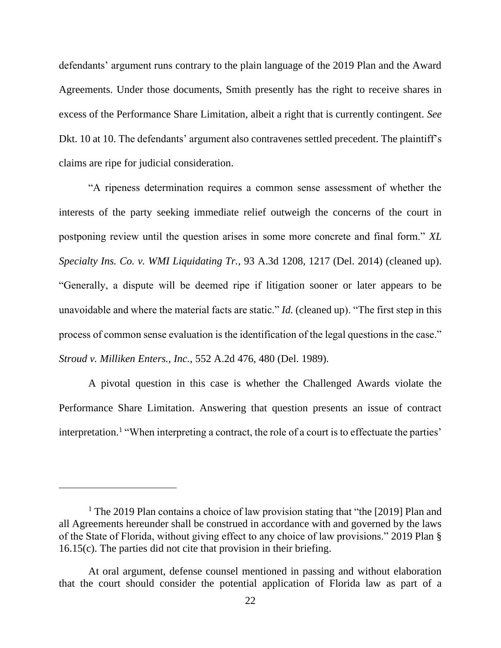defendants' argument runs contrary to the plain language of the 2019 Plan and the Award Agreements. Under those documents, Smith presently has the right to receive shares in excess of the Performance Share Limitation, albeit a right that is currently contingent. *See* Dkt. 10 at 10. The defendants' argument also contravenes settled precedent. The plaintiff's claims are ripe for judicial consideration.

"A ripeness determination requires a common sense assessment of whether the interests of the party seeking immediate relief outweigh the concerns of the court in postponing review until the question arises in some more concrete and final form." *XL Specialty Ins. Co. v. WMI Liquidating Tr.*, 93 A.3d 1208, 1217 (Del. 2014) (cleaned up). "Generally, a dispute will be deemed ripe if litigation sooner or later appears to be unavoidable and where the material facts are static." *Id.* (cleaned up). "The first step in this process of common sense evaluation is the identification of the legal questions in the case." *Stroud v. Milliken Enters., Inc.*, 552 A.2d 476, 480 (Del. 1989)*.*

A pivotal question in this case is whether the Challenged Awards violate the Performance Share Limitation. Answering that question presents an issue of contract interpretation.<sup>1</sup> "When interpreting a contract, the role of a court is to effectuate the parties'

<sup>&</sup>lt;sup>1</sup> The 2019 Plan contains a choice of law provision stating that "the [2019] Plan and all Agreements hereunder shall be construed in accordance with and governed by the laws of the State of Florida, without giving effect to any choice of law provisions." 2019 Plan § 16.15(c). The parties did not cite that provision in their briefing.

At oral argument, defense counsel mentioned in passing and without elaboration that the court should consider the potential application of Florida law as part of a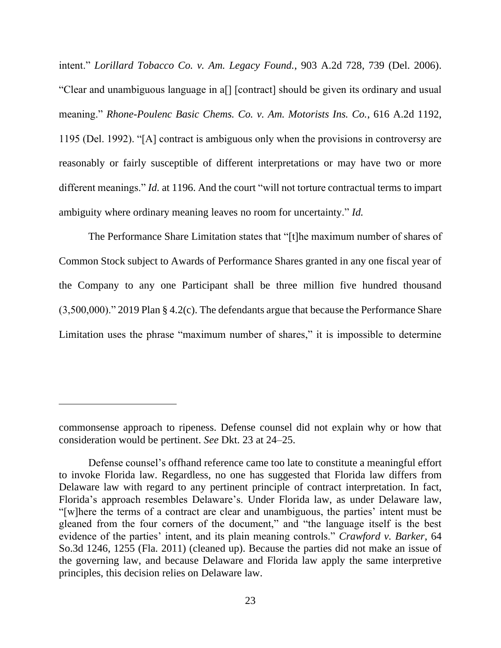intent." *Lorillard Tobacco Co. v. Am. Legacy Found.*, 903 A.2d 728, 739 (Del. 2006). "Clear and unambiguous language in a[] [contract] should be given its ordinary and usual meaning." *Rhone-Poulenc Basic Chems. Co. v. Am. Motorists Ins. Co.*, 616 A.2d 1192, 1195 (Del. 1992). "[A] contract is ambiguous only when the provisions in controversy are reasonably or fairly susceptible of different interpretations or may have two or more different meanings." *Id.* at 1196. And the court "will not torture contractual terms to impart ambiguity where ordinary meaning leaves no room for uncertainty." *Id.*

The Performance Share Limitation states that "[t]he maximum number of shares of Common Stock subject to Awards of Performance Shares granted in any one fiscal year of the Company to any one Participant shall be three million five hundred thousand (3,500,000)." 2019 Plan § 4.2(c). The defendants argue that because the Performance Share Limitation uses the phrase "maximum number of shares," it is impossible to determine

commonsense approach to ripeness. Defense counsel did not explain why or how that consideration would be pertinent. *See* Dkt. 23 at 24–25.

Defense counsel's offhand reference came too late to constitute a meaningful effort to invoke Florida law. Regardless, no one has suggested that Florida law differs from Delaware law with regard to any pertinent principle of contract interpretation. In fact, Florida's approach resembles Delaware's. Under Florida law, as under Delaware law, "[w]here the terms of a contract are clear and unambiguous, the parties' intent must be gleaned from the four corners of the document," and "the language itself is the best evidence of the parties' intent, and its plain meaning controls." *Crawford v. Barker*, 64 So.3d 1246, 1255 (Fla. 2011) (cleaned up). Because the parties did not make an issue of the governing law, and because Delaware and Florida law apply the same interpretive principles, this decision relies on Delaware law.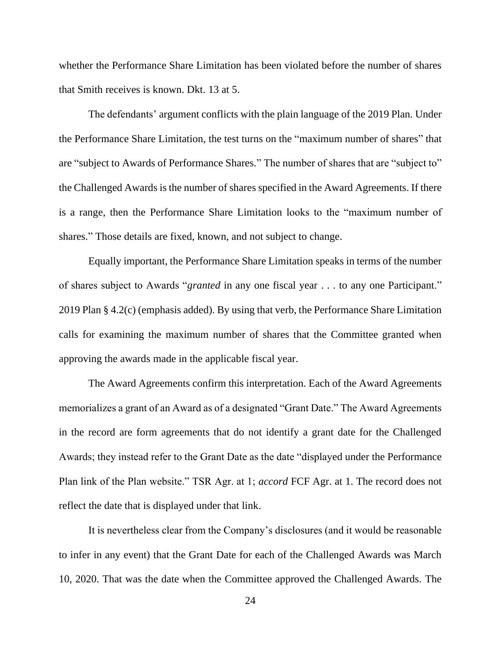whether the Performance Share Limitation has been violated before the number of shares that Smith receives is known. Dkt. 13 at 5.

The defendants' argument conflicts with the plain language of the 2019 Plan. Under the Performance Share Limitation, the test turns on the "maximum number of shares" that are "subject to Awards of Performance Shares." The number of shares that are "subject to" the Challenged Awards is the number of shares specified in the Award Agreements. If there is a range, then the Performance Share Limitation looks to the "maximum number of shares." Those details are fixed, known, and not subject to change.

Equally important, the Performance Share Limitation speaks in terms of the number of shares subject to Awards "*granted* in any one fiscal year . . . to any one Participant." 2019 Plan § 4.2(c) (emphasis added). By using that verb, the Performance Share Limitation calls for examining the maximum number of shares that the Committee granted when approving the awards made in the applicable fiscal year.

The Award Agreements confirm this interpretation. Each of the Award Agreements memorializes a grant of an Award as of a designated "Grant Date." The Award Agreements in the record are form agreements that do not identify a grant date for the Challenged Awards; they instead refer to the Grant Date as the date "displayed under the Performance Plan link of the Plan website." TSR Agr. at 1; *accord* FCF Agr. at 1. The record does not reflect the date that is displayed under that link.

It is nevertheless clear from the Company's disclosures (and it would be reasonable to infer in any event) that the Grant Date for each of the Challenged Awards was March 10, 2020. That was the date when the Committee approved the Challenged Awards. The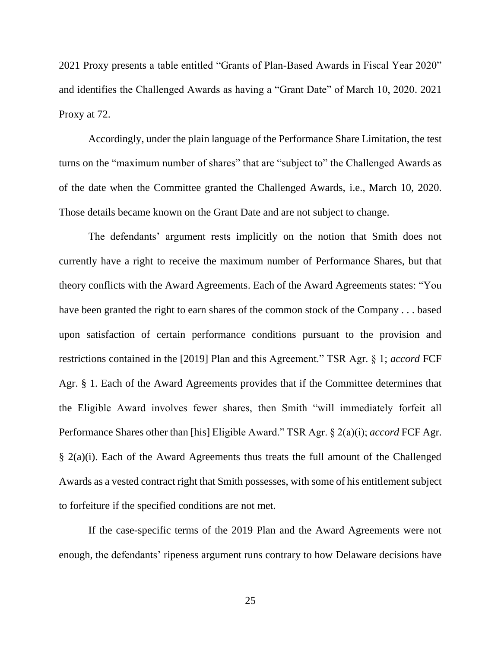2021 Proxy presents a table entitled "Grants of Plan-Based Awards in Fiscal Year 2020" and identifies the Challenged Awards as having a "Grant Date" of March 10, 2020. 2021 Proxy at 72.

Accordingly, under the plain language of the Performance Share Limitation, the test turns on the "maximum number of shares" that are "subject to" the Challenged Awards as of the date when the Committee granted the Challenged Awards, i.e., March 10, 2020. Those details became known on the Grant Date and are not subject to change.

The defendants' argument rests implicitly on the notion that Smith does not currently have a right to receive the maximum number of Performance Shares, but that theory conflicts with the Award Agreements. Each of the Award Agreements states: "You have been granted the right to earn shares of the common stock of the Company . . . based upon satisfaction of certain performance conditions pursuant to the provision and restrictions contained in the [2019] Plan and this Agreement." TSR Agr. § 1; *accord* FCF Agr. § 1. Each of the Award Agreements provides that if the Committee determines that the Eligible Award involves fewer shares, then Smith "will immediately forfeit all Performance Shares other than [his] Eligible Award." TSR Agr. § 2(a)(i); *accord* FCF Agr. § 2(a)(i). Each of the Award Agreements thus treats the full amount of the Challenged Awards as a vested contract right that Smith possesses, with some of his entitlement subject to forfeiture if the specified conditions are not met.

If the case-specific terms of the 2019 Plan and the Award Agreements were not enough, the defendants' ripeness argument runs contrary to how Delaware decisions have

25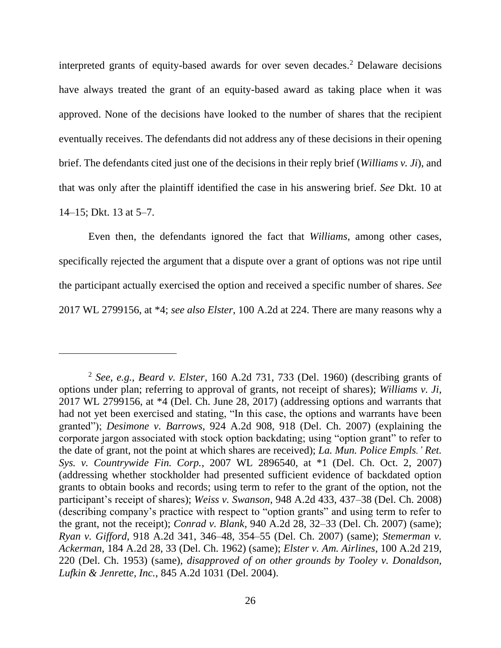interpreted grants of equity-based awards for over seven decades. <sup>2</sup> Delaware decisions have always treated the grant of an equity-based award as taking place when it was approved. None of the decisions have looked to the number of shares that the recipient eventually receives. The defendants did not address any of these decisions in their opening brief. The defendants cited just one of the decisions in their reply brief (*Williams v. Ji*), and that was only after the plaintiff identified the case in his answering brief. *See* Dkt. 10 at 14–15; Dkt. 13 at 5–7.

Even then, the defendants ignored the fact that *Williams*, among other cases, specifically rejected the argument that a dispute over a grant of options was not ripe until the participant actually exercised the option and received a specific number of shares. *See*  2017 WL 2799156, at \*4; *see also Elster*, 100 A.2d at 224. There are many reasons why a

<sup>2</sup> *See, e.g.*, *Beard v. Elster*, 160 A.2d 731, 733 (Del. 1960) (describing grants of options under plan; referring to approval of grants, not receipt of shares); *Williams v. Ji*, 2017 WL 2799156, at \*4 (Del. Ch. June 28, 2017) (addressing options and warrants that had not yet been exercised and stating, "In this case, the options and warrants have been granted"); *Desimone v. Barrows*, 924 A.2d 908, 918 (Del. Ch. 2007) (explaining the corporate jargon associated with stock option backdating; using "option grant" to refer to the date of grant, not the point at which shares are received); *La. Mun. Police Empls.' Ret. Sys. v. Countrywide Fin. Corp.*, 2007 WL 2896540, at \*1 (Del. Ch. Oct. 2, 2007) (addressing whether stockholder had presented sufficient evidence of backdated option grants to obtain books and records; using term to refer to the grant of the option, not the participant's receipt of shares); *Weiss v. Swanson*, 948 A.2d 433, 437–38 (Del. Ch. 2008) (describing company's practice with respect to "option grants" and using term to refer to the grant, not the receipt); *Conrad v. Blank*, 940 A.2d 28, 32–33 (Del. Ch. 2007) (same); *Ryan v. Gifford*, 918 A.2d 341, 346–48, 354–55 (Del. Ch. 2007) (same); *Stemerman v. Ackerman*, 184 A.2d 28, 33 (Del. Ch. 1962) (same); *Elster v. Am. Airlines*, 100 A.2d 219, 220 (Del. Ch. 1953) (same), *disapproved of on other grounds by Tooley v. Donaldson, Lufkin & Jenrette, Inc.*, 845 A.2d 1031 (Del. 2004).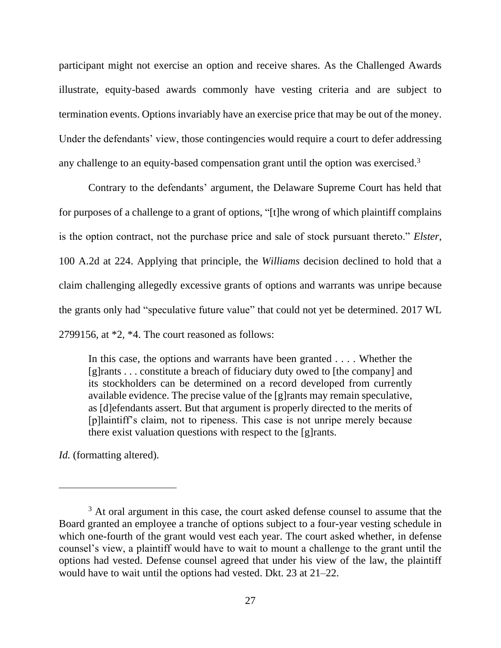participant might not exercise an option and receive shares. As the Challenged Awards illustrate, equity-based awards commonly have vesting criteria and are subject to termination events. Options invariably have an exercise price that may be out of the money. Under the defendants' view, those contingencies would require a court to defer addressing any challenge to an equity-based compensation grant until the option was exercised.<sup>3</sup>

Contrary to the defendants' argument, the Delaware Supreme Court has held that for purposes of a challenge to a grant of options, "[t]he wrong of which plaintiff complains is the option contract, not the purchase price and sale of stock pursuant thereto." *Elster*, 100 A.2d at 224. Applying that principle, the *Williams* decision declined to hold that a claim challenging allegedly excessive grants of options and warrants was unripe because the grants only had "speculative future value" that could not yet be determined. 2017 WL 2799156, at \*2, \*4. The court reasoned as follows:

In this case, the options and warrants have been granted . . . . Whether the [g]rants . . . constitute a breach of fiduciary duty owed to [the company] and its stockholders can be determined on a record developed from currently available evidence. The precise value of the [g]rants may remain speculative, as [d]efendants assert. But that argument is properly directed to the merits of [p]laintiff's claim, not to ripeness. This case is not unripe merely because there exist valuation questions with respect to the [g]rants.

*Id.* (formatting altered).

<sup>&</sup>lt;sup>3</sup> At oral argument in this case, the court asked defense counsel to assume that the Board granted an employee a tranche of options subject to a four-year vesting schedule in which one-fourth of the grant would vest each year. The court asked whether, in defense counsel's view, a plaintiff would have to wait to mount a challenge to the grant until the options had vested. Defense counsel agreed that under his view of the law, the plaintiff would have to wait until the options had vested. Dkt. 23 at 21–22.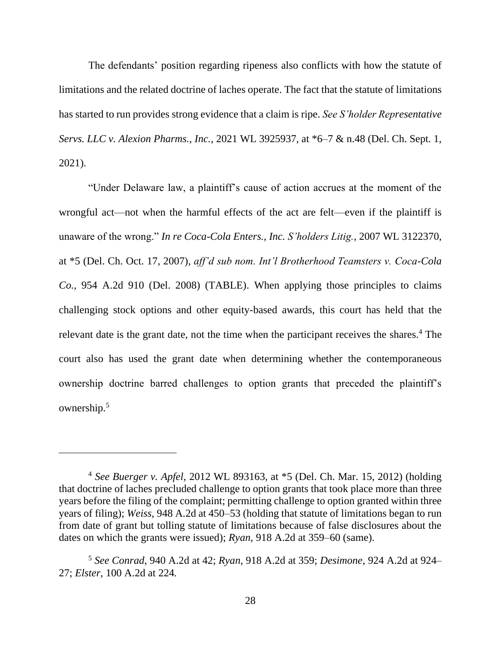The defendants' position regarding ripeness also conflicts with how the statute of limitations and the related doctrine of laches operate. The fact that the statute of limitations has started to run provides strong evidence that a claim is ripe. *See S'holder Representative Servs. LLC v. Alexion Pharms., Inc.*, 2021 WL 3925937, at \*6–7 & n.48 (Del. Ch. Sept. 1, 2021).

"Under Delaware law, a plaintiff's cause of action accrues at the moment of the wrongful act—not when the harmful effects of the act are felt—even if the plaintiff is unaware of the wrong." *In re Coca-Cola Enters., Inc. S'holders Litig.*, 2007 WL 3122370, at \*5 (Del. Ch. Oct. 17, 2007), *aff'd sub nom. Int'l Brotherhood Teamsters v. Coca-Cola Co.*, 954 A.2d 910 (Del. 2008) (TABLE). When applying those principles to claims challenging stock options and other equity-based awards, this court has held that the relevant date is the grant date, not the time when the participant receives the shares.<sup>4</sup> The court also has used the grant date when determining whether the contemporaneous ownership doctrine barred challenges to option grants that preceded the plaintiff's ownership.<sup>5</sup>

<sup>4</sup> *See Buerger v. Apfel*, 2012 WL 893163, at \*5 (Del. Ch. Mar. 15, 2012) (holding that doctrine of laches precluded challenge to option grants that took place more than three years before the filing of the complaint; permitting challenge to option granted within three years of filing); *Weiss*, 948 A.2d at 450–53 (holding that statute of limitations began to run from date of grant but tolling statute of limitations because of false disclosures about the dates on which the grants were issued); *Ryan*, 918 A.2d at 359–60 (same).

<sup>5</sup> *See Conrad*, 940 A.2d at 42; *Ryan*, 918 A.2d at 359; *Desimone*, 924 A.2d at 924– 27; *Elster*, 100 A.2d at 224*.*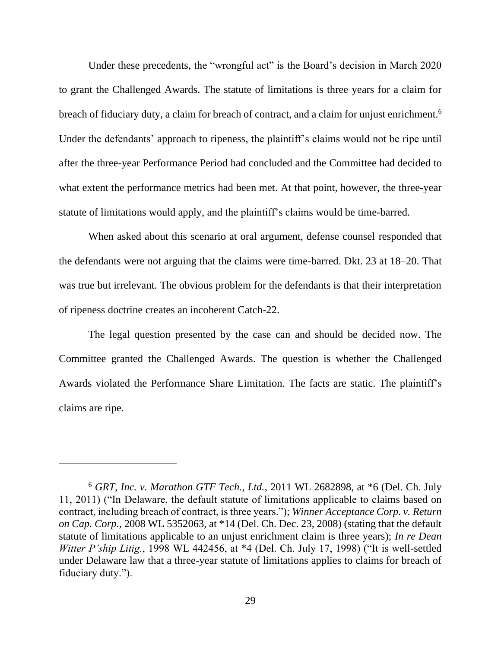Under these precedents, the "wrongful act" is the Board's decision in March 2020 to grant the Challenged Awards. The statute of limitations is three years for a claim for breach of fiduciary duty, a claim for breach of contract, and a claim for unjust enrichment.<sup>6</sup> Under the defendants' approach to ripeness, the plaintiff's claims would not be ripe until after the three-year Performance Period had concluded and the Committee had decided to what extent the performance metrics had been met. At that point, however, the three-year statute of limitations would apply, and the plaintiff's claims would be time-barred.

When asked about this scenario at oral argument, defense counsel responded that the defendants were not arguing that the claims were time-barred. Dkt. 23 at 18–20. That was true but irrelevant. The obvious problem for the defendants is that their interpretation of ripeness doctrine creates an incoherent Catch-22.

The legal question presented by the case can and should be decided now. The Committee granted the Challenged Awards. The question is whether the Challenged Awards violated the Performance Share Limitation. The facts are static. The plaintiff's claims are ripe.

<sup>6</sup> *GRT, Inc. v. Marathon GTF Tech., Ltd.*, 2011 WL 2682898, at \*6 (Del. Ch. July 11, 2011) ("In Delaware, the default statute of limitations applicable to claims based on contract, including breach of contract, is three years."); *Winner Acceptance Corp. v. Return on Cap. Corp.*, 2008 WL 5352063, at \*14 (Del. Ch. Dec. 23, 2008) (stating that the default statute of limitations applicable to an unjust enrichment claim is three years); *In re Dean Witter P'ship Litig.*, 1998 WL 442456, at \*4 (Del. Ch. July 17, 1998) ("It is well-settled under Delaware law that a three-year statute of limitations applies to claims for breach of fiduciary duty.").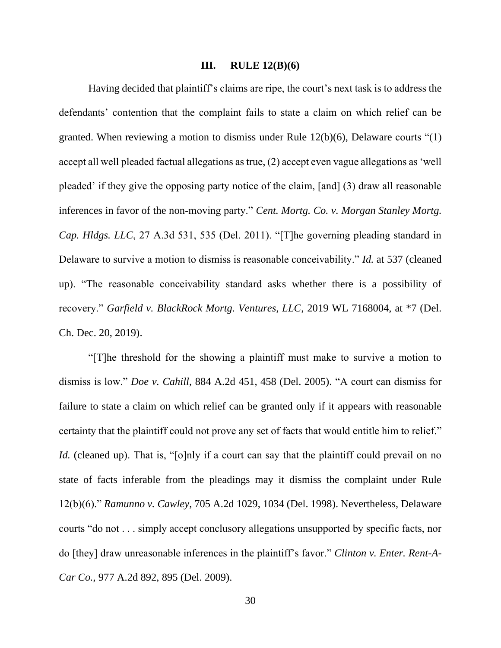#### **III. RULE 12(B)(6)**

Having decided that plaintiff's claims are ripe, the court's next task is to address the defendants' contention that the complaint fails to state a claim on which relief can be granted. When reviewing a motion to dismiss under Rule 12(b)(6), Delaware courts "(1) accept all well pleaded factual allegations as true, (2) accept even vague allegations as 'well pleaded' if they give the opposing party notice of the claim, [and] (3) draw all reasonable inferences in favor of the non-moving party." *Cent. Mortg. Co. v. Morgan Stanley Mortg. Cap. Hldgs. LLC*, 27 A.3d 531, 535 (Del. 2011). "[T]he governing pleading standard in Delaware to survive a motion to dismiss is reasonable conceivability." *Id.* at 537 (cleaned up). "The reasonable conceivability standard asks whether there is a possibility of recovery." *Garfield v. BlackRock Mortg. Ventures, LLC*, 2019 WL 7168004, at \*7 (Del. Ch. Dec. 20, 2019).

"[T]he threshold for the showing a plaintiff must make to survive a motion to dismiss is low." *Doe v. Cahill*, 884 A.2d 451, 458 (Del. 2005). "A court can dismiss for failure to state a claim on which relief can be granted only if it appears with reasonable certainty that the plaintiff could not prove any set of facts that would entitle him to relief." *Id.* (cleaned up). That is, "[o]nly if a court can say that the plaintiff could prevail on no state of facts inferable from the pleadings may it dismiss the complaint under Rule 12(b)(6)." *Ramunno v. Cawley*, 705 A.2d 1029, 1034 (Del. 1998). Nevertheless, Delaware courts "do not . . . simply accept conclusory allegations unsupported by specific facts, nor do [they] draw unreasonable inferences in the plaintiff's favor." *Clinton v. Enter. Rent-A-Car Co.*, 977 A.2d 892, 895 (Del. 2009).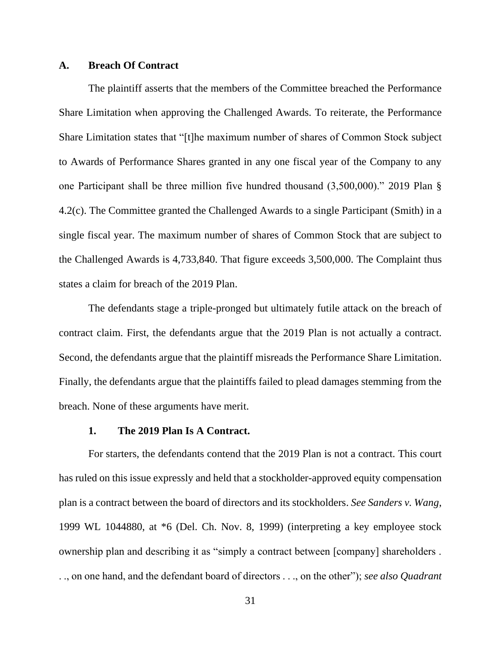#### **A. Breach Of Contract**

The plaintiff asserts that the members of the Committee breached the Performance Share Limitation when approving the Challenged Awards. To reiterate, the Performance Share Limitation states that "[t]he maximum number of shares of Common Stock subject to Awards of Performance Shares granted in any one fiscal year of the Company to any one Participant shall be three million five hundred thousand (3,500,000)." 2019 Plan § 4.2(c). The Committee granted the Challenged Awards to a single Participant (Smith) in a single fiscal year. The maximum number of shares of Common Stock that are subject to the Challenged Awards is 4,733,840. That figure exceeds 3,500,000. The Complaint thus states a claim for breach of the 2019 Plan.

The defendants stage a triple-pronged but ultimately futile attack on the breach of contract claim. First, the defendants argue that the 2019 Plan is not actually a contract. Second, the defendants argue that the plaintiff misreads the Performance Share Limitation. Finally, the defendants argue that the plaintiffs failed to plead damages stemming from the breach. None of these arguments have merit.

#### **1. The 2019 Plan Is A Contract.**

For starters, the defendants contend that the 2019 Plan is not a contract. This court has ruled on this issue expressly and held that a stockholder-approved equity compensation plan is a contract between the board of directors and its stockholders. *See Sanders v. Wang*, 1999 WL 1044880, at \*6 (Del. Ch. Nov. 8, 1999) (interpreting a key employee stock ownership plan and describing it as "simply a contract between [company] shareholders . . ., on one hand, and the defendant board of directors . . ., on the other"); *see also Quadrant*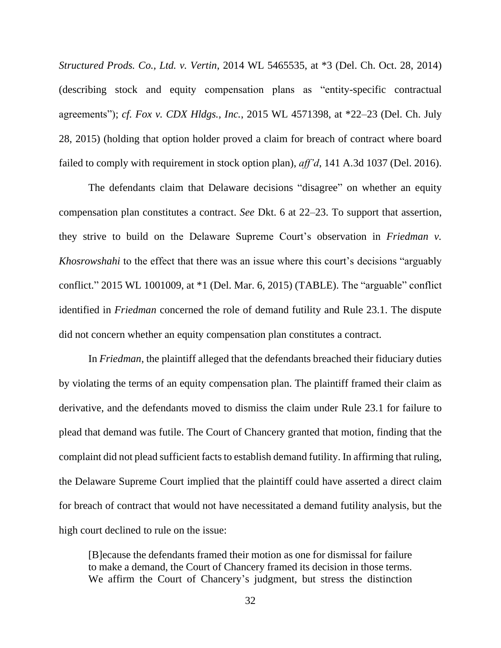*Structured Prods. Co., Ltd. v. Vertin*, 2014 WL 5465535, at \*3 (Del. Ch. Oct. 28, 2014) (describing stock and equity compensation plans as "entity-specific contractual agreements"); *cf. Fox v. CDX Hldgs., Inc.*, 2015 WL 4571398, at \*22–23 (Del. Ch. July 28, 2015) (holding that option holder proved a claim for breach of contract where board failed to comply with requirement in stock option plan), *aff'd*, 141 A.3d 1037 (Del. 2016).

The defendants claim that Delaware decisions "disagree" on whether an equity compensation plan constitutes a contract. *See* Dkt. 6 at 22–23. To support that assertion, they strive to build on the Delaware Supreme Court's observation in *Friedman v. Khosrowshahi* to the effect that there was an issue where this court's decisions "arguably conflict." 2015 WL 1001009, at \*1 (Del. Mar. 6, 2015) (TABLE). The "arguable" conflict identified in *Friedman* concerned the role of demand futility and Rule 23.1. The dispute did not concern whether an equity compensation plan constitutes a contract.

In *Friedman*, the plaintiff alleged that the defendants breached their fiduciary duties by violating the terms of an equity compensation plan. The plaintiff framed their claim as derivative, and the defendants moved to dismiss the claim under Rule 23.1 for failure to plead that demand was futile. The Court of Chancery granted that motion, finding that the complaint did not plead sufficient facts to establish demand futility. In affirming that ruling, the Delaware Supreme Court implied that the plaintiff could have asserted a direct claim for breach of contract that would not have necessitated a demand futility analysis, but the high court declined to rule on the issue:

[B]ecause the defendants framed their motion as one for dismissal for failure to make a demand, the Court of Chancery framed its decision in those terms. We affirm the Court of Chancery's judgment, but stress the distinction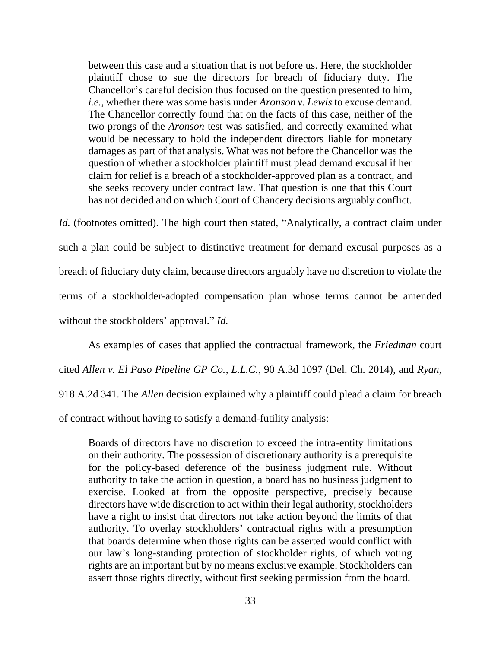between this case and a situation that is not before us. Here, the stockholder plaintiff chose to sue the directors for breach of fiduciary duty. The Chancellor's careful decision thus focused on the question presented to him, *i.e.*, whether there was some basis under *Aronson v. Lewis* to excuse demand. The Chancellor correctly found that on the facts of this case, neither of the two prongs of the *Aronson* test was satisfied, and correctly examined what would be necessary to hold the independent directors liable for monetary damages as part of that analysis. What was not before the Chancellor was the question of whether a stockholder plaintiff must plead demand excusal if her claim for relief is a breach of a stockholder-approved plan as a contract, and she seeks recovery under contract law. That question is one that this Court has not decided and on which Court of Chancery decisions arguably conflict.

*Id.* (footnotes omitted). The high court then stated, "Analytically, a contract claim under such a plan could be subject to distinctive treatment for demand excusal purposes as a breach of fiduciary duty claim, because directors arguably have no discretion to violate the terms of a stockholder-adopted compensation plan whose terms cannot be amended without the stockholders' approval." *Id.*

As examples of cases that applied the contractual framework, the *Friedman* court cited *Allen v. El Paso Pipeline GP Co., L.L.C.*, 90 A.3d 1097 (Del. Ch. 2014), and *Ryan*, 918 A.2d 341. The *Allen* decision explained why a plaintiff could plead a claim for breach of contract without having to satisfy a demand-futility analysis:

Boards of directors have no discretion to exceed the intra-entity limitations on their authority. The possession of discretionary authority is a prerequisite for the policy-based deference of the business judgment rule. Without authority to take the action in question, a board has no business judgment to exercise. Looked at from the opposite perspective, precisely because directors have wide discretion to act within their legal authority, stockholders have a right to insist that directors not take action beyond the limits of that authority. To overlay stockholders' contractual rights with a presumption that boards determine when those rights can be asserted would conflict with our law's long-standing protection of stockholder rights, of which voting rights are an important but by no means exclusive example. Stockholders can assert those rights directly, without first seeking permission from the board.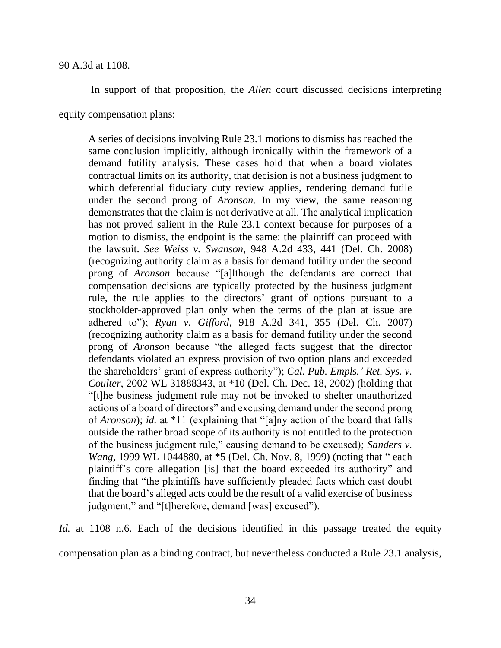In support of that proposition, the *Allen* court discussed decisions interpreting

equity compensation plans:

A series of decisions involving Rule 23.1 motions to dismiss has reached the same conclusion implicitly, although ironically within the framework of a demand futility analysis. These cases hold that when a board violates contractual limits on its authority, that decision is not a business judgment to which deferential fiduciary duty review applies, rendering demand futile under the second prong of *Aronson*. In my view, the same reasoning demonstrates that the claim is not derivative at all. The analytical implication has not proved salient in the Rule 23.1 context because for purposes of a motion to dismiss, the endpoint is the same: the plaintiff can proceed with the lawsuit. *See Weiss v. Swanson*, 948 A.2d 433, 441 (Del. Ch. 2008) (recognizing authority claim as a basis for demand futility under the second prong of *Aronson* because "[a]lthough the defendants are correct that compensation decisions are typically protected by the business judgment rule, the rule applies to the directors' grant of options pursuant to a stockholder-approved plan only when the terms of the plan at issue are adhered to"); *Ryan v. Gifford*, 918 A.2d 341, 355 (Del. Ch. 2007) (recognizing authority claim as a basis for demand futility under the second prong of *Aronson* because "the alleged facts suggest that the director defendants violated an express provision of two option plans and exceeded the shareholders' grant of express authority"); *Cal. Pub. Empls.' Ret. Sys. v. Coulter*, 2002 WL 31888343, at \*10 (Del. Ch. Dec. 18, 2002) (holding that "[t]he business judgment rule may not be invoked to shelter unauthorized actions of a board of directors" and excusing demand under the second prong of *Aronson*); *id.* at \*11 (explaining that "[a]ny action of the board that falls outside the rather broad scope of its authority is not entitled to the protection of the business judgment rule," causing demand to be excused); *Sanders v. Wang*, 1999 WL 1044880, at  $*5$  (Del. Ch. Nov. 8, 1999) (noting that "each plaintiff's core allegation [is] that the board exceeded its authority" and finding that "the plaintiffs have sufficiently pleaded facts which cast doubt that the board's alleged acts could be the result of a valid exercise of business judgment," and "[t]herefore, demand [was] excused").

*Id.* at 1108 n.6. Each of the decisions identified in this passage treated the equity compensation plan as a binding contract, but nevertheless conducted a Rule 23.1 analysis,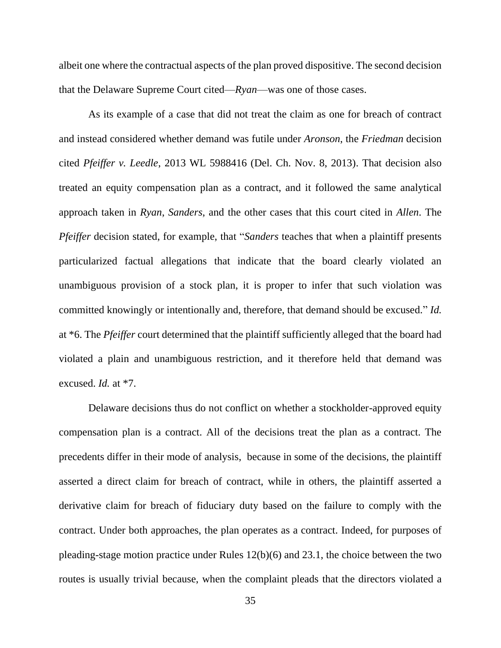albeit one where the contractual aspects of the plan proved dispositive. The second decision that the Delaware Supreme Court cited—*Ryan*—was one of those cases.

As its example of a case that did not treat the claim as one for breach of contract and instead considered whether demand was futile under *Aronson*, the *Friedman* decision cited *Pfeiffer v. Leedle*, 2013 WL 5988416 (Del. Ch. Nov. 8, 2013). That decision also treated an equity compensation plan as a contract, and it followed the same analytical approach taken in *Ryan*, *Sanders*, and the other cases that this court cited in *Allen*. The *Pfeiffer* decision stated, for example, that "*Sanders* teaches that when a plaintiff presents particularized factual allegations that indicate that the board clearly violated an unambiguous provision of a stock plan, it is proper to infer that such violation was committed knowingly or intentionally and, therefore, that demand should be excused." *Id.*  at \*6. The *Pfeiffer* court determined that the plaintiff sufficiently alleged that the board had violated a plain and unambiguous restriction, and it therefore held that demand was excused. *Id.* at \*7.

Delaware decisions thus do not conflict on whether a stockholder-approved equity compensation plan is a contract. All of the decisions treat the plan as a contract. The precedents differ in their mode of analysis, because in some of the decisions, the plaintiff asserted a direct claim for breach of contract, while in others, the plaintiff asserted a derivative claim for breach of fiduciary duty based on the failure to comply with the contract. Under both approaches, the plan operates as a contract. Indeed, for purposes of pleading-stage motion practice under Rules 12(b)(6) and 23.1, the choice between the two routes is usually trivial because, when the complaint pleads that the directors violated a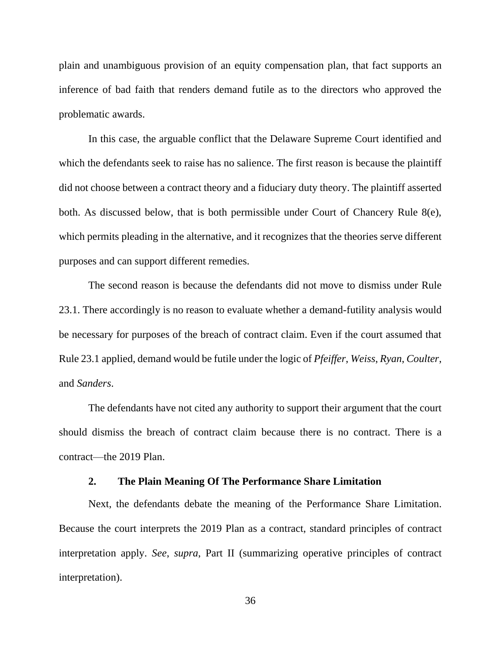plain and unambiguous provision of an equity compensation plan, that fact supports an inference of bad faith that renders demand futile as to the directors who approved the problematic awards.

In this case, the arguable conflict that the Delaware Supreme Court identified and which the defendants seek to raise has no salience. The first reason is because the plaintiff did not choose between a contract theory and a fiduciary duty theory. The plaintiff asserted both. As discussed below, that is both permissible under Court of Chancery Rule 8(e), which permits pleading in the alternative, and it recognizes that the theories serve different purposes and can support different remedies.

The second reason is because the defendants did not move to dismiss under Rule 23.1. There accordingly is no reason to evaluate whether a demand-futility analysis would be necessary for purposes of the breach of contract claim. Even if the court assumed that Rule 23.1 applied, demand would be futile under the logic of *Pfeiffer*, *Weiss*, *Ryan*, *Coulter*, and *Sanders*.

The defendants have not cited any authority to support their argument that the court should dismiss the breach of contract claim because there is no contract. There is a contract—the 2019 Plan.

# **2. The Plain Meaning Of The Performance Share Limitation**

Next, the defendants debate the meaning of the Performance Share Limitation. Because the court interprets the 2019 Plan as a contract, standard principles of contract interpretation apply. *See*, *supra*, Part II (summarizing operative principles of contract interpretation).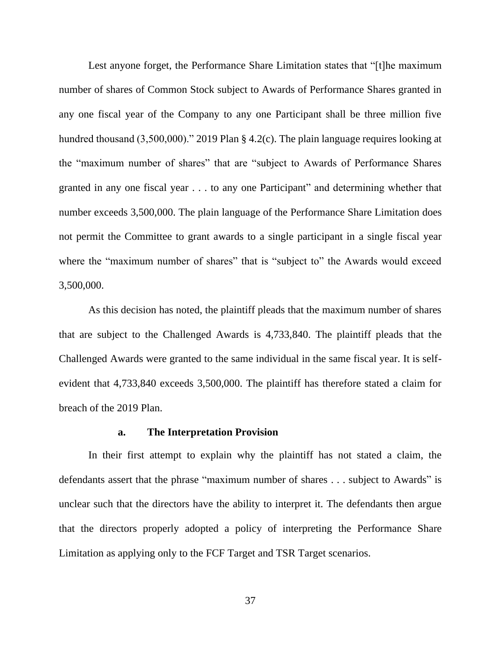Lest anyone forget, the Performance Share Limitation states that "[t]he maximum number of shares of Common Stock subject to Awards of Performance Shares granted in any one fiscal year of the Company to any one Participant shall be three million five hundred thousand (3,500,000)." 2019 Plan § 4.2(c). The plain language requires looking at the "maximum number of shares" that are "subject to Awards of Performance Shares granted in any one fiscal year . . . to any one Participant" and determining whether that number exceeds 3,500,000. The plain language of the Performance Share Limitation does not permit the Committee to grant awards to a single participant in a single fiscal year where the "maximum number of shares" that is "subject to" the Awards would exceed 3,500,000.

As this decision has noted, the plaintiff pleads that the maximum number of shares that are subject to the Challenged Awards is 4,733,840. The plaintiff pleads that the Challenged Awards were granted to the same individual in the same fiscal year. It is selfevident that 4,733,840 exceeds 3,500,000. The plaintiff has therefore stated a claim for breach of the 2019 Plan.

#### **a. The Interpretation Provision**

In their first attempt to explain why the plaintiff has not stated a claim, the defendants assert that the phrase "maximum number of shares . . . subject to Awards" is unclear such that the directors have the ability to interpret it. The defendants then argue that the directors properly adopted a policy of interpreting the Performance Share Limitation as applying only to the FCF Target and TSR Target scenarios.

37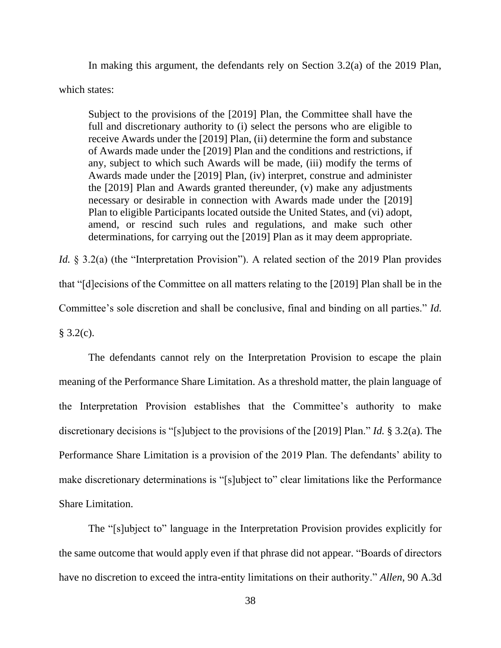In making this argument, the defendants rely on Section 3.2(a) of the 2019 Plan,

which states:

Subject to the provisions of the [2019] Plan, the Committee shall have the full and discretionary authority to (i) select the persons who are eligible to receive Awards under the [2019] Plan, (ii) determine the form and substance of Awards made under the [2019] Plan and the conditions and restrictions, if any, subject to which such Awards will be made, (iii) modify the terms of Awards made under the [2019] Plan, (iv) interpret, construe and administer the [2019] Plan and Awards granted thereunder, (v) make any adjustments necessary or desirable in connection with Awards made under the [2019] Plan to eligible Participants located outside the United States, and (vi) adopt, amend, or rescind such rules and regulations, and make such other determinations, for carrying out the [2019] Plan as it may deem appropriate.

*Id.* § 3.2(a) (the "Interpretation Provision"). A related section of the 2019 Plan provides that "[d]ecisions of the Committee on all matters relating to the [2019] Plan shall be in the Committee's sole discretion and shall be conclusive, final and binding on all parties." *Id.*  $§ 3.2(c).$ 

The defendants cannot rely on the Interpretation Provision to escape the plain meaning of the Performance Share Limitation. As a threshold matter, the plain language of the Interpretation Provision establishes that the Committee's authority to make discretionary decisions is "[s]ubject to the provisions of the [2019] Plan." *Id.* § 3.2(a). The Performance Share Limitation is a provision of the 2019 Plan. The defendants' ability to make discretionary determinations is "[s]ubject to" clear limitations like the Performance Share Limitation.

The "[s]ubject to" language in the Interpretation Provision provides explicitly for the same outcome that would apply even if that phrase did not appear. "Boards of directors have no discretion to exceed the intra-entity limitations on their authority." *Allen*, 90 A.3d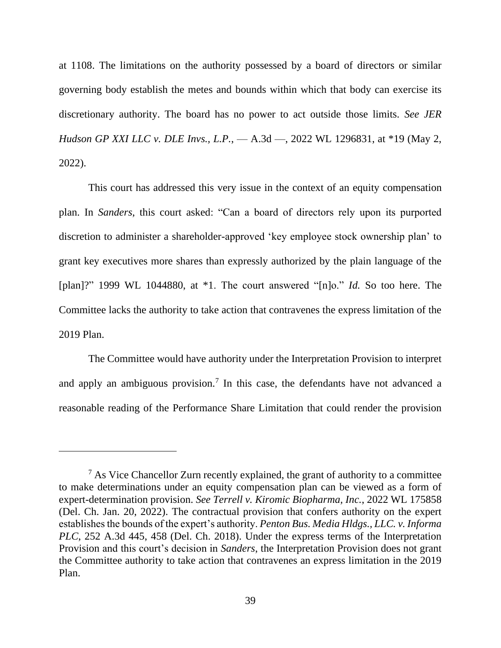at 1108. The limitations on the authority possessed by a board of directors or similar governing body establish the metes and bounds within which that body can exercise its discretionary authority. The board has no power to act outside those limits. *See JER Hudson GP XXI LLC v. DLE Invs., L.P.*, — A.3d —, 2022 WL 1296831, at \*19 (May 2, 2022).

This court has addressed this very issue in the context of an equity compensation plan. In *Sanders*, this court asked: "Can a board of directors rely upon its purported discretion to administer a shareholder-approved 'key employee stock ownership plan' to grant key executives more shares than expressly authorized by the plain language of the [plan]?" 1999 WL 1044880, at \*1. The court answered "[n]o." *Id.* So too here. The Committee lacks the authority to take action that contravenes the express limitation of the 2019 Plan.

The Committee would have authority under the Interpretation Provision to interpret and apply an ambiguous provision.<sup>7</sup> In this case, the defendants have not advanced a reasonable reading of the Performance Share Limitation that could render the provision

<sup>7</sup> As Vice Chancellor Zurn recently explained, the grant of authority to a committee to make determinations under an equity compensation plan can be viewed as a form of expert-determination provision. *See Terrell v. Kiromic Biopharma, Inc.*, 2022 WL 175858 (Del. Ch. Jan. 20, 2022). The contractual provision that confers authority on the expert establishes the bounds of the expert's authority. *Penton Bus. Media Hldgs., LLC. v. Informa PLC*, 252 A.3d 445, 458 (Del. Ch. 2018). Under the express terms of the Interpretation Provision and this court's decision in *Sanders*, the Interpretation Provision does not grant the Committee authority to take action that contravenes an express limitation in the 2019 Plan.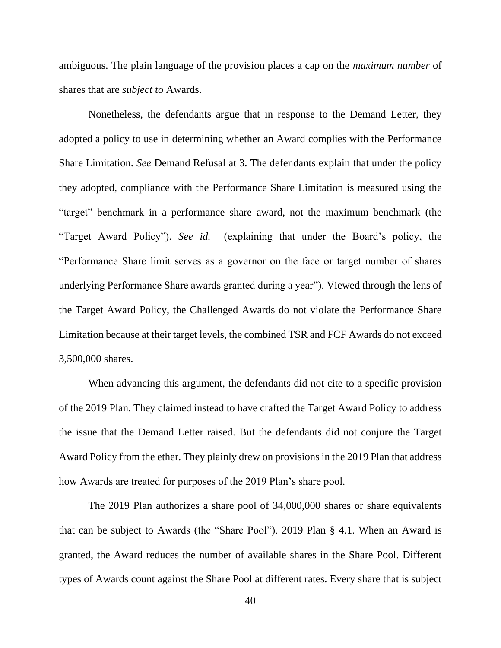ambiguous. The plain language of the provision places a cap on the *maximum number* of shares that are *subject to* Awards.

Nonetheless, the defendants argue that in response to the Demand Letter, they adopted a policy to use in determining whether an Award complies with the Performance Share Limitation. *See* Demand Refusal at 3. The defendants explain that under the policy they adopted, compliance with the Performance Share Limitation is measured using the "target" benchmark in a performance share award, not the maximum benchmark (the "Target Award Policy"). *See id.* (explaining that under the Board's policy, the "Performance Share limit serves as a governor on the face or target number of shares underlying Performance Share awards granted during a year"). Viewed through the lens of the Target Award Policy, the Challenged Awards do not violate the Performance Share Limitation because at their target levels, the combined TSR and FCF Awards do not exceed 3,500,000 shares.

When advancing this argument, the defendants did not cite to a specific provision of the 2019 Plan. They claimed instead to have crafted the Target Award Policy to address the issue that the Demand Letter raised. But the defendants did not conjure the Target Award Policy from the ether. They plainly drew on provisions in the 2019 Plan that address how Awards are treated for purposes of the 2019 Plan's share pool.

The 2019 Plan authorizes a share pool of 34,000,000 shares or share equivalents that can be subject to Awards (the "Share Pool"). 2019 Plan § 4.1. When an Award is granted, the Award reduces the number of available shares in the Share Pool. Different types of Awards count against the Share Pool at different rates. Every share that is subject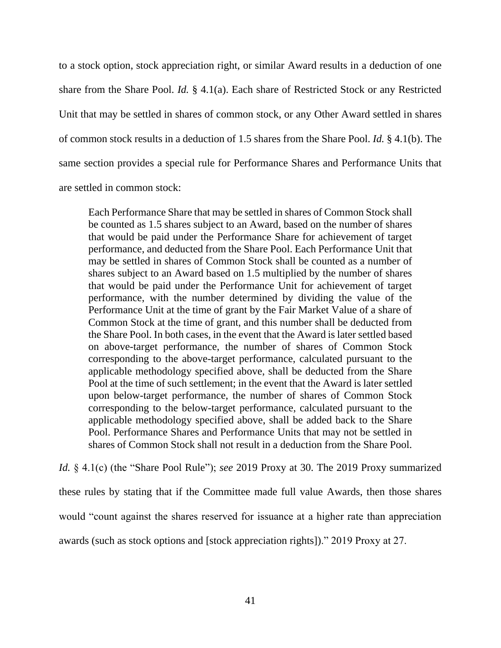to a stock option, stock appreciation right, or similar Award results in a deduction of one share from the Share Pool. *Id.* § 4.1(a). Each share of Restricted Stock or any Restricted Unit that may be settled in shares of common stock, or any Other Award settled in shares of common stock results in a deduction of 1.5 shares from the Share Pool. *Id.* § 4.1(b). The same section provides a special rule for Performance Shares and Performance Units that are settled in common stock:

Each Performance Share that may be settled in shares of Common Stock shall be counted as 1.5 shares subject to an Award, based on the number of shares that would be paid under the Performance Share for achievement of target performance, and deducted from the Share Pool. Each Performance Unit that may be settled in shares of Common Stock shall be counted as a number of shares subject to an Award based on 1.5 multiplied by the number of shares that would be paid under the Performance Unit for achievement of target performance, with the number determined by dividing the value of the Performance Unit at the time of grant by the Fair Market Value of a share of Common Stock at the time of grant, and this number shall be deducted from the Share Pool. In both cases, in the event that the Award is later settled based on above-target performance, the number of shares of Common Stock corresponding to the above-target performance, calculated pursuant to the applicable methodology specified above, shall be deducted from the Share Pool at the time of such settlement; in the event that the Award is later settled upon below-target performance, the number of shares of Common Stock corresponding to the below-target performance, calculated pursuant to the applicable methodology specified above, shall be added back to the Share Pool. Performance Shares and Performance Units that may not be settled in shares of Common Stock shall not result in a deduction from the Share Pool.

*Id.* § 4.1(c) (the "Share Pool Rule"); *see* 2019 Proxy at 30. The 2019 Proxy summarized these rules by stating that if the Committee made full value Awards, then those shares would "count against the shares reserved for issuance at a higher rate than appreciation awards (such as stock options and [stock appreciation rights])." 2019 Proxy at 27.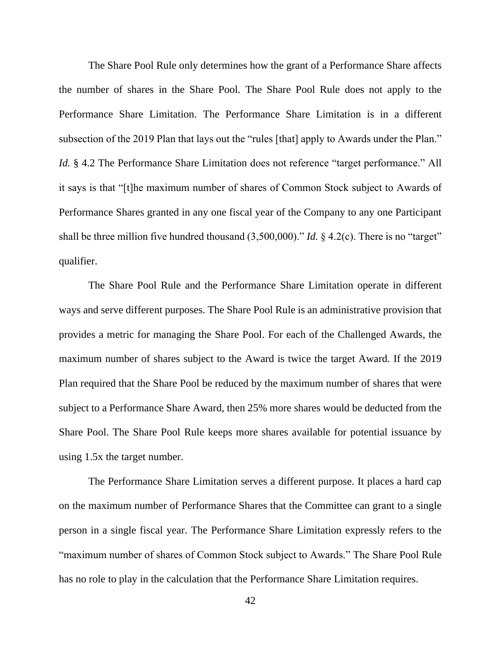The Share Pool Rule only determines how the grant of a Performance Share affects the number of shares in the Share Pool. The Share Pool Rule does not apply to the Performance Share Limitation. The Performance Share Limitation is in a different subsection of the 2019 Plan that lays out the "rules [that] apply to Awards under the Plan." *Id.* § 4.2 The Performance Share Limitation does not reference "target performance." All it says is that "[t]he maximum number of shares of Common Stock subject to Awards of Performance Shares granted in any one fiscal year of the Company to any one Participant shall be three million five hundred thousand (3,500,000)." *Id.* § 4.2(c). There is no "target" qualifier.

The Share Pool Rule and the Performance Share Limitation operate in different ways and serve different purposes. The Share Pool Rule is an administrative provision that provides a metric for managing the Share Pool. For each of the Challenged Awards, the maximum number of shares subject to the Award is twice the target Award. If the 2019 Plan required that the Share Pool be reduced by the maximum number of shares that were subject to a Performance Share Award, then 25% more shares would be deducted from the Share Pool. The Share Pool Rule keeps more shares available for potential issuance by using 1.5x the target number.

The Performance Share Limitation serves a different purpose. It places a hard cap on the maximum number of Performance Shares that the Committee can grant to a single person in a single fiscal year. The Performance Share Limitation expressly refers to the "maximum number of shares of Common Stock subject to Awards." The Share Pool Rule has no role to play in the calculation that the Performance Share Limitation requires.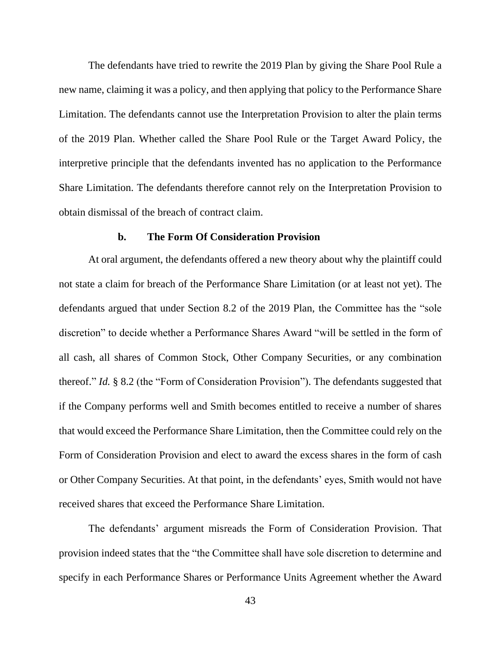The defendants have tried to rewrite the 2019 Plan by giving the Share Pool Rule a new name, claiming it was a policy, and then applying that policy to the Performance Share Limitation. The defendants cannot use the Interpretation Provision to alter the plain terms of the 2019 Plan. Whether called the Share Pool Rule or the Target Award Policy, the interpretive principle that the defendants invented has no application to the Performance Share Limitation. The defendants therefore cannot rely on the Interpretation Provision to obtain dismissal of the breach of contract claim.

#### **b. The Form Of Consideration Provision**

At oral argument, the defendants offered a new theory about why the plaintiff could not state a claim for breach of the Performance Share Limitation (or at least not yet). The defendants argued that under Section 8.2 of the 2019 Plan, the Committee has the "sole discretion" to decide whether a Performance Shares Award "will be settled in the form of all cash, all shares of Common Stock, Other Company Securities, or any combination thereof." *Id.* § 8.2 (the "Form of Consideration Provision"). The defendants suggested that if the Company performs well and Smith becomes entitled to receive a number of shares that would exceed the Performance Share Limitation, then the Committee could rely on the Form of Consideration Provision and elect to award the excess shares in the form of cash or Other Company Securities. At that point, in the defendants' eyes, Smith would not have received shares that exceed the Performance Share Limitation.

The defendants' argument misreads the Form of Consideration Provision. That provision indeed states that the "the Committee shall have sole discretion to determine and specify in each Performance Shares or Performance Units Agreement whether the Award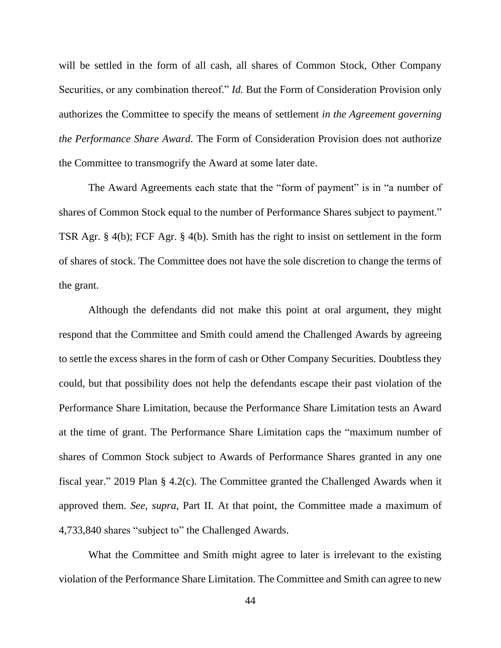will be settled in the form of all cash, all shares of Common Stock, Other Company Securities, or any combination thereof." *Id.* But the Form of Consideration Provision only authorizes the Committee to specify the means of settlement *in the Agreement governing the Performance Share Award*. The Form of Consideration Provision does not authorize the Committee to transmogrify the Award at some later date.

The Award Agreements each state that the "form of payment" is in "a number of shares of Common Stock equal to the number of Performance Shares subject to payment." TSR Agr. § 4(b); FCF Agr. § 4(b). Smith has the right to insist on settlement in the form of shares of stock. The Committee does not have the sole discretion to change the terms of the grant.

Although the defendants did not make this point at oral argument, they might respond that the Committee and Smith could amend the Challenged Awards by agreeing to settle the excess shares in the form of cash or Other Company Securities. Doubtless they could, but that possibility does not help the defendants escape their past violation of the Performance Share Limitation, because the Performance Share Limitation tests an Award at the time of grant. The Performance Share Limitation caps the "maximum number of shares of Common Stock subject to Awards of Performance Shares granted in any one fiscal year." 2019 Plan § 4.2(c). The Committee granted the Challenged Awards when it approved them. *See*, *supra*, Part II*.* At that point, the Committee made a maximum of 4,733,840 shares "subject to" the Challenged Awards.

What the Committee and Smith might agree to later is irrelevant to the existing violation of the Performance Share Limitation. The Committee and Smith can agree to new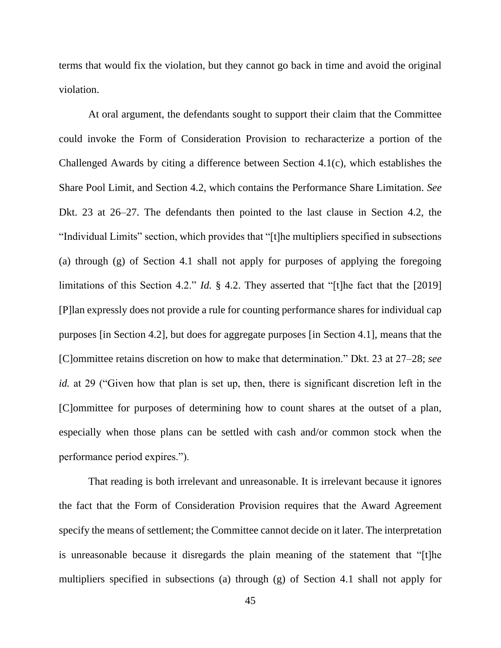terms that would fix the violation, but they cannot go back in time and avoid the original violation.

At oral argument, the defendants sought to support their claim that the Committee could invoke the Form of Consideration Provision to recharacterize a portion of the Challenged Awards by citing a difference between Section 4.1(c), which establishes the Share Pool Limit, and Section 4.2, which contains the Performance Share Limitation. *See*  Dkt. 23 at 26–27. The defendants then pointed to the last clause in Section 4.2, the "Individual Limits" section, which provides that "[t]he multipliers specified in subsections (a) through (g) of Section 4.1 shall not apply for purposes of applying the foregoing limitations of this Section 4.2." *Id.* § 4.2. They asserted that "[t]he fact that the [2019] [P]lan expressly does not provide a rule for counting performance shares for individual cap purposes [in Section 4.2], but does for aggregate purposes [in Section 4.1], means that the [C]ommittee retains discretion on how to make that determination." Dkt. 23 at 27–28; *see id.* at 29 ("Given how that plan is set up, then, there is significant discretion left in the [C]ommittee for purposes of determining how to count shares at the outset of a plan, especially when those plans can be settled with cash and/or common stock when the performance period expires.").

That reading is both irrelevant and unreasonable. It is irrelevant because it ignores the fact that the Form of Consideration Provision requires that the Award Agreement specify the means of settlement; the Committee cannot decide on it later. The interpretation is unreasonable because it disregards the plain meaning of the statement that "[t]he multipliers specified in subsections (a) through (g) of Section 4.1 shall not apply for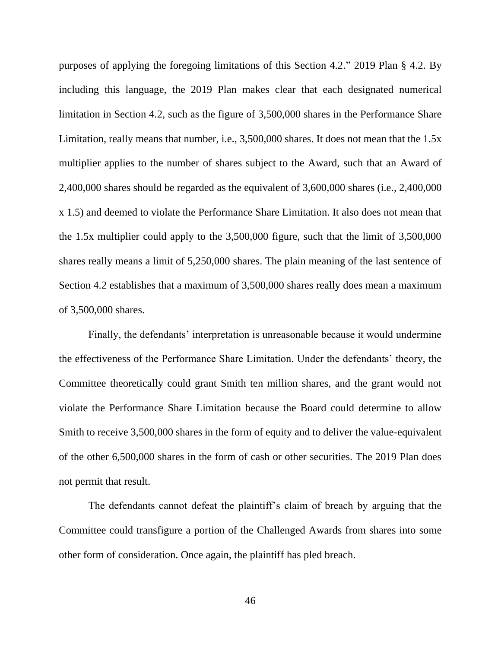purposes of applying the foregoing limitations of this Section 4.2." 2019 Plan § 4.2. By including this language, the 2019 Plan makes clear that each designated numerical limitation in Section 4.2, such as the figure of 3,500,000 shares in the Performance Share Limitation, really means that number, i.e., 3,500,000 shares. It does not mean that the 1.5x multiplier applies to the number of shares subject to the Award, such that an Award of 2,400,000 shares should be regarded as the equivalent of 3,600,000 shares (i.e., 2,400,000 x 1.5) and deemed to violate the Performance Share Limitation. It also does not mean that the 1.5x multiplier could apply to the 3,500,000 figure, such that the limit of 3,500,000 shares really means a limit of 5,250,000 shares. The plain meaning of the last sentence of Section 4.2 establishes that a maximum of 3,500,000 shares really does mean a maximum of 3,500,000 shares.

Finally, the defendants' interpretation is unreasonable because it would undermine the effectiveness of the Performance Share Limitation. Under the defendants' theory, the Committee theoretically could grant Smith ten million shares, and the grant would not violate the Performance Share Limitation because the Board could determine to allow Smith to receive 3,500,000 shares in the form of equity and to deliver the value-equivalent of the other 6,500,000 shares in the form of cash or other securities. The 2019 Plan does not permit that result.

The defendants cannot defeat the plaintiff's claim of breach by arguing that the Committee could transfigure a portion of the Challenged Awards from shares into some other form of consideration. Once again, the plaintiff has pled breach.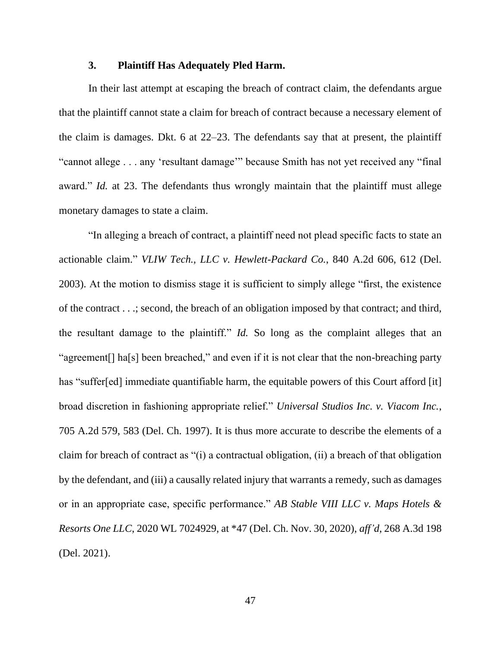### **3. Plaintiff Has Adequately Pled Harm.**

In their last attempt at escaping the breach of contract claim, the defendants argue that the plaintiff cannot state a claim for breach of contract because a necessary element of the claim is damages. Dkt. 6 at 22–23. The defendants say that at present, the plaintiff "cannot allege . . . any 'resultant damage'" because Smith has not yet received any "final award." *Id.* at 23. The defendants thus wrongly maintain that the plaintiff must allege monetary damages to state a claim.

"In alleging a breach of contract, a plaintiff need not plead specific facts to state an actionable claim." *VLIW Tech., LLC v. Hewlett-Packard Co.*, 840 A.2d 606, 612 (Del. 2003). At the motion to dismiss stage it is sufficient to simply allege "first, the existence of the contract . . .; second, the breach of an obligation imposed by that contract; and third, the resultant damage to the plaintiff." *Id.* So long as the complaint alleges that an "agreement<sup>[]</sup> ha<sup>[s]</sup> been breached," and even if it is not clear that the non-breaching party has "suffer[ed] immediate quantifiable harm, the equitable powers of this Court afford [it] broad discretion in fashioning appropriate relief." *Universal Studios Inc. v. Viacom Inc.*, 705 A.2d 579, 583 (Del. Ch. 1997). It is thus more accurate to describe the elements of a claim for breach of contract as "(i) a contractual obligation, (ii) a breach of that obligation by the defendant, and (iii) a causally related injury that warrants a remedy, such as damages or in an appropriate case, specific performance." *AB Stable VIII LLC v. Maps Hotels & Resorts One LLC*, 2020 WL 7024929, at \*47 (Del. Ch. Nov. 30, 2020), *aff'd*, 268 A.3d 198 (Del. 2021).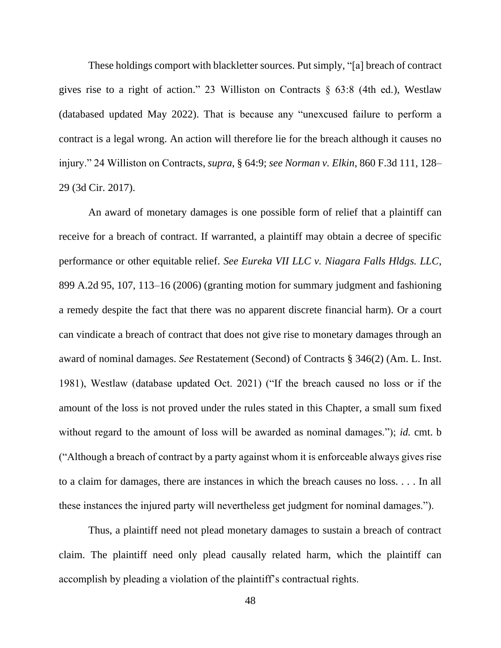These holdings comport with blackletter sources. Put simply, "[a] breach of contract gives rise to a right of action." 23 Williston on Contracts § 63:8 (4th ed.), Westlaw (databased updated May 2022). That is because any "unexcused failure to perform a contract is a legal wrong. An action will therefore lie for the breach although it causes no injury." 24 Williston on Contracts, *supra*, § 64:9; *see Norman v. Elkin*, 860 F.3d 111, 128– 29 (3d Cir. 2017).

An award of monetary damages is one possible form of relief that a plaintiff can receive for a breach of contract. If warranted, a plaintiff may obtain a decree of specific performance or other equitable relief. *See Eureka VII LLC v. Niagara Falls Hldgs. LLC*, 899 A.2d 95, 107, 113–16 (2006) (granting motion for summary judgment and fashioning a remedy despite the fact that there was no apparent discrete financial harm). Or a court can vindicate a breach of contract that does not give rise to monetary damages through an award of nominal damages. *See* Restatement (Second) of Contracts § 346(2) (Am. L. Inst. 1981), Westlaw (database updated Oct. 2021) ("If the breach caused no loss or if the amount of the loss is not proved under the rules stated in this Chapter, a small sum fixed without regard to the amount of loss will be awarded as nominal damages."); *id.* cmt. b ("Although a breach of contract by a party against whom it is enforceable always gives rise to a claim for damages, there are instances in which the breach causes no loss. . . . In all these instances the injured party will nevertheless get judgment for nominal damages.").

Thus, a plaintiff need not plead monetary damages to sustain a breach of contract claim. The plaintiff need only plead causally related harm, which the plaintiff can accomplish by pleading a violation of the plaintiff's contractual rights.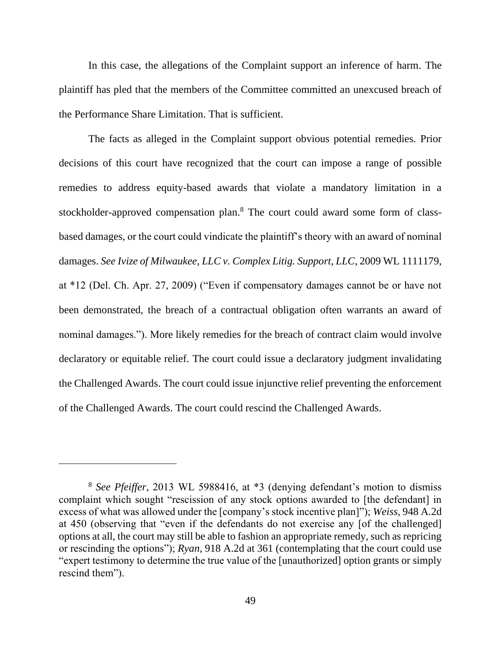In this case, the allegations of the Complaint support an inference of harm. The plaintiff has pled that the members of the Committee committed an unexcused breach of the Performance Share Limitation. That is sufficient.

The facts as alleged in the Complaint support obvious potential remedies. Prior decisions of this court have recognized that the court can impose a range of possible remedies to address equity-based awards that violate a mandatory limitation in a stockholder-approved compensation plan.<sup>8</sup> The court could award some form of classbased damages, or the court could vindicate the plaintiff's theory with an award of nominal damages. *See Ivize of Milwaukee, LLC v. Complex Litig. Support, LLC*, 2009 WL 1111179, at \*12 (Del. Ch. Apr. 27, 2009) ("Even if compensatory damages cannot be or have not been demonstrated, the breach of a contractual obligation often warrants an award of nominal damages."). More likely remedies for the breach of contract claim would involve declaratory or equitable relief. The court could issue a declaratory judgment invalidating the Challenged Awards. The court could issue injunctive relief preventing the enforcement of the Challenged Awards. The court could rescind the Challenged Awards.

<sup>8</sup> *See Pfeiffer*, 2013 WL 5988416, at \*3 (denying defendant's motion to dismiss complaint which sought "rescission of any stock options awarded to [the defendant] in excess of what was allowed under the [company's stock incentive plan]"); *Weiss*, 948 A.2d at 450 (observing that "even if the defendants do not exercise any [of the challenged] options at all, the court may still be able to fashion an appropriate remedy, such as repricing or rescinding the options"); *Ryan*, 918 A.2d at 361 (contemplating that the court could use "expert testimony to determine the true value of the [unauthorized] option grants or simply rescind them").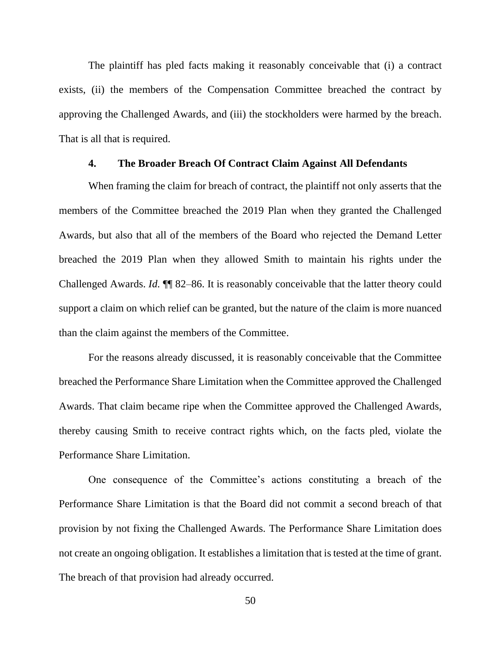The plaintiff has pled facts making it reasonably conceivable that (i) a contract exists, (ii) the members of the Compensation Committee breached the contract by approving the Challenged Awards, and (iii) the stockholders were harmed by the breach. That is all that is required.

### **4. The Broader Breach Of Contract Claim Against All Defendants**

When framing the claim for breach of contract, the plaintiff not only asserts that the members of the Committee breached the 2019 Plan when they granted the Challenged Awards, but also that all of the members of the Board who rejected the Demand Letter breached the 2019 Plan when they allowed Smith to maintain his rights under the Challenged Awards. *Id.* ¶¶ 82–86. It is reasonably conceivable that the latter theory could support a claim on which relief can be granted, but the nature of the claim is more nuanced than the claim against the members of the Committee.

For the reasons already discussed, it is reasonably conceivable that the Committee breached the Performance Share Limitation when the Committee approved the Challenged Awards. That claim became ripe when the Committee approved the Challenged Awards, thereby causing Smith to receive contract rights which, on the facts pled, violate the Performance Share Limitation.

One consequence of the Committee's actions constituting a breach of the Performance Share Limitation is that the Board did not commit a second breach of that provision by not fixing the Challenged Awards. The Performance Share Limitation does not create an ongoing obligation. It establishes a limitation that is tested at the time of grant. The breach of that provision had already occurred.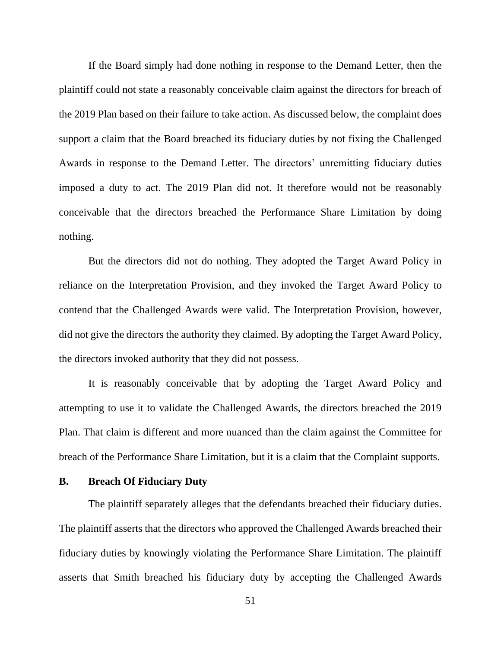If the Board simply had done nothing in response to the Demand Letter, then the plaintiff could not state a reasonably conceivable claim against the directors for breach of the 2019 Plan based on their failure to take action. As discussed below, the complaint does support a claim that the Board breached its fiduciary duties by not fixing the Challenged Awards in response to the Demand Letter. The directors' unremitting fiduciary duties imposed a duty to act. The 2019 Plan did not. It therefore would not be reasonably conceivable that the directors breached the Performance Share Limitation by doing nothing.

But the directors did not do nothing. They adopted the Target Award Policy in reliance on the Interpretation Provision, and they invoked the Target Award Policy to contend that the Challenged Awards were valid. The Interpretation Provision, however, did not give the directors the authority they claimed. By adopting the Target Award Policy, the directors invoked authority that they did not possess.

It is reasonably conceivable that by adopting the Target Award Policy and attempting to use it to validate the Challenged Awards, the directors breached the 2019 Plan. That claim is different and more nuanced than the claim against the Committee for breach of the Performance Share Limitation, but it is a claim that the Complaint supports.

### **B. Breach Of Fiduciary Duty**

The plaintiff separately alleges that the defendants breached their fiduciary duties. The plaintiff asserts that the directors who approved the Challenged Awards breached their fiduciary duties by knowingly violating the Performance Share Limitation. The plaintiff asserts that Smith breached his fiduciary duty by accepting the Challenged Awards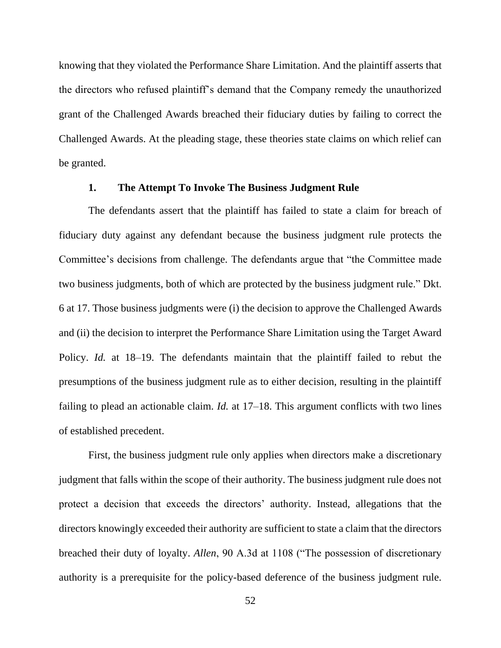knowing that they violated the Performance Share Limitation. And the plaintiff asserts that the directors who refused plaintiff's demand that the Company remedy the unauthorized grant of the Challenged Awards breached their fiduciary duties by failing to correct the Challenged Awards. At the pleading stage, these theories state claims on which relief can be granted.

#### **1. The Attempt To Invoke The Business Judgment Rule**

The defendants assert that the plaintiff has failed to state a claim for breach of fiduciary duty against any defendant because the business judgment rule protects the Committee's decisions from challenge. The defendants argue that "the Committee made two business judgments, both of which are protected by the business judgment rule." Dkt. 6 at 17. Those business judgments were (i) the decision to approve the Challenged Awards and (ii) the decision to interpret the Performance Share Limitation using the Target Award Policy. *Id.* at 18–19. The defendants maintain that the plaintiff failed to rebut the presumptions of the business judgment rule as to either decision, resulting in the plaintiff failing to plead an actionable claim. *Id.* at 17–18. This argument conflicts with two lines of established precedent.

First, the business judgment rule only applies when directors make a discretionary judgment that falls within the scope of their authority. The business judgment rule does not protect a decision that exceeds the directors' authority. Instead, allegations that the directors knowingly exceeded their authority are sufficient to state a claim that the directors breached their duty of loyalty. *Allen*, 90 A.3d at 1108 ("The possession of discretionary authority is a prerequisite for the policy-based deference of the business judgment rule.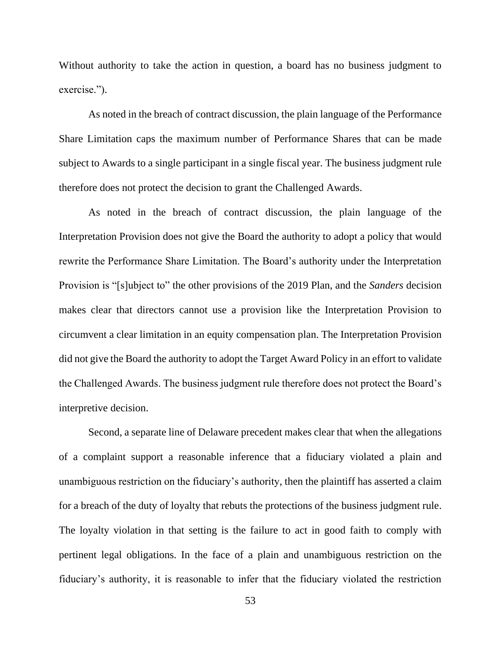Without authority to take the action in question, a board has no business judgment to exercise.").

As noted in the breach of contract discussion, the plain language of the Performance Share Limitation caps the maximum number of Performance Shares that can be made subject to Awards to a single participant in a single fiscal year. The business judgment rule therefore does not protect the decision to grant the Challenged Awards.

As noted in the breach of contract discussion, the plain language of the Interpretation Provision does not give the Board the authority to adopt a policy that would rewrite the Performance Share Limitation. The Board's authority under the Interpretation Provision is "[s]ubject to" the other provisions of the 2019 Plan, and the *Sanders* decision makes clear that directors cannot use a provision like the Interpretation Provision to circumvent a clear limitation in an equity compensation plan. The Interpretation Provision did not give the Board the authority to adopt the Target Award Policy in an effort to validate the Challenged Awards. The business judgment rule therefore does not protect the Board's interpretive decision.

Second, a separate line of Delaware precedent makes clear that when the allegations of a complaint support a reasonable inference that a fiduciary violated a plain and unambiguous restriction on the fiduciary's authority, then the plaintiff has asserted a claim for a breach of the duty of loyalty that rebuts the protections of the business judgment rule. The loyalty violation in that setting is the failure to act in good faith to comply with pertinent legal obligations. In the face of a plain and unambiguous restriction on the fiduciary's authority, it is reasonable to infer that the fiduciary violated the restriction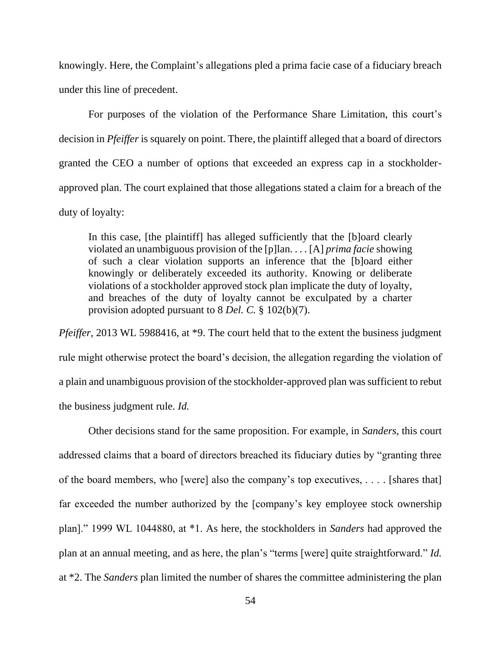knowingly. Here, the Complaint's allegations pled a prima facie case of a fiduciary breach under this line of precedent.

For purposes of the violation of the Performance Share Limitation, this court's decision in *Pfeiffer* is squarely on point. There, the plaintiff alleged that a board of directors granted the CEO a number of options that exceeded an express cap in a stockholderapproved plan. The court explained that those allegations stated a claim for a breach of the duty of loyalty:

In this case, [the plaintiff] has alleged sufficiently that the [b]oard clearly violated an unambiguous provision of the [p]lan. . . . [A] *prima facie* showing of such a clear violation supports an inference that the [b]oard either knowingly or deliberately exceeded its authority. Knowing or deliberate violations of a stockholder approved stock plan implicate the duty of loyalty, and breaches of the duty of loyalty cannot be exculpated by a charter provision adopted pursuant to 8 *Del. C.* § 102(b)(7).

*Pfeiffer*, 2013 WL 5988416, at \*9. The court held that to the extent the business judgment rule might otherwise protect the board's decision, the allegation regarding the violation of a plain and unambiguous provision of the stockholder-approved plan was sufficient to rebut the business judgment rule. *Id.*

Other decisions stand for the same proposition. For example, in *Sanders*, this court addressed claims that a board of directors breached its fiduciary duties by "granting three of the board members, who [were] also the company's top executives, . . . . [shares that] far exceeded the number authorized by the [company's key employee stock ownership plan]." 1999 WL 1044880, at \*1. As here, the stockholders in *Sanders* had approved the plan at an annual meeting, and as here, the plan's "terms [were] quite straightforward." *Id.* at \*2. The *Sanders* plan limited the number of shares the committee administering the plan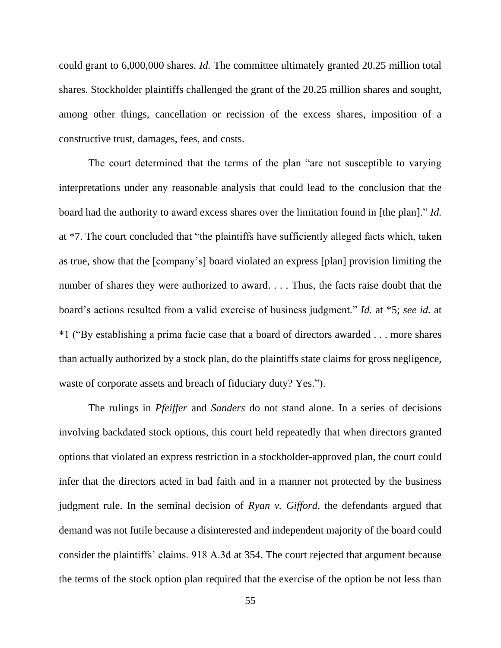could grant to 6,000,000 shares. *Id.* The committee ultimately granted 20.25 million total shares. Stockholder plaintiffs challenged the grant of the 20.25 million shares and sought, among other things, cancellation or recission of the excess shares, imposition of a constructive trust, damages, fees, and costs.

The court determined that the terms of the plan "are not susceptible to varying interpretations under any reasonable analysis that could lead to the conclusion that the board had the authority to award excess shares over the limitation found in [the plan]." *Id.* at \*7. The court concluded that "the plaintiffs have sufficiently alleged facts which, taken as true, show that the [company's] board violated an express [plan] provision limiting the number of shares they were authorized to award. . . . Thus, the facts raise doubt that the board's actions resulted from a valid exercise of business judgment." *Id.* at \*5; *see id.* at \*1 ("By establishing a prima facie case that a board of directors awarded . . . more shares than actually authorized by a stock plan, do the plaintiffs state claims for gross negligence, waste of corporate assets and breach of fiduciary duty? Yes.").

The rulings in *Pfeiffer* and *Sanders* do not stand alone. In a series of decisions involving backdated stock options, this court held repeatedly that when directors granted options that violated an express restriction in a stockholder-approved plan, the court could infer that the directors acted in bad faith and in a manner not protected by the business judgment rule. In the seminal decision of *Ryan v. Gifford*, the defendants argued that demand was not futile because a disinterested and independent majority of the board could consider the plaintiffs' claims. 918 A.3d at 354. The court rejected that argument because the terms of the stock option plan required that the exercise of the option be not less than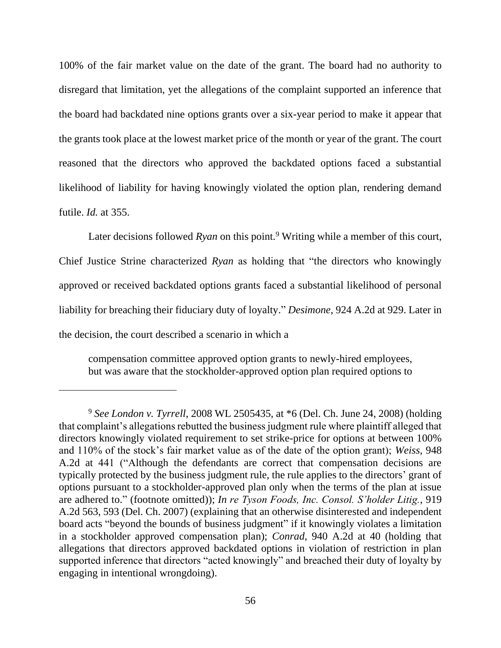100% of the fair market value on the date of the grant. The board had no authority to disregard that limitation, yet the allegations of the complaint supported an inference that the board had backdated nine options grants over a six-year period to make it appear that the grants took place at the lowest market price of the month or year of the grant. The court reasoned that the directors who approved the backdated options faced a substantial likelihood of liability for having knowingly violated the option plan, rendering demand futile. *Id.* at 355.

Later decisions followed *Ryan* on this point.<sup>9</sup> Writing while a member of this court, Chief Justice Strine characterized *Ryan* as holding that "the directors who knowingly approved or received backdated options grants faced a substantial likelihood of personal liability for breaching their fiduciary duty of loyalty." *Desimone*, 924 A.2d at 929. Later in the decision, the court described a scenario in which a

compensation committee approved option grants to newly-hired employees, but was aware that the stockholder-approved option plan required options to

<sup>9</sup> *See London v. Tyrrell*, 2008 WL 2505435, at \*6 (Del. Ch. June 24, 2008) (holding that complaint's allegations rebutted the business judgment rule where plaintiff alleged that directors knowingly violated requirement to set strike-price for options at between 100% and 110% of the stock's fair market value as of the date of the option grant); *Weiss*, 948 A.2d at 441 ("Although the defendants are correct that compensation decisions are typically protected by the business judgment rule, the rule applies to the directors' grant of options pursuant to a stockholder-approved plan only when the terms of the plan at issue are adhered to." (footnote omitted)); *In re Tyson Foods, Inc. Consol. S'holder Litig.*, 919 A.2d 563, 593 (Del. Ch. 2007) (explaining that an otherwise disinterested and independent board acts "beyond the bounds of business judgment" if it knowingly violates a limitation in a stockholder approved compensation plan); *Conrad*, 940 A.2d at 40 (holding that allegations that directors approved backdated options in violation of restriction in plan supported inference that directors "acted knowingly" and breached their duty of loyalty by engaging in intentional wrongdoing).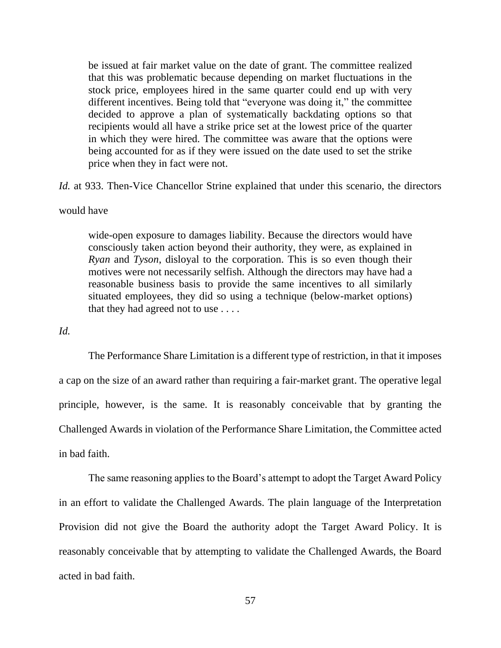be issued at fair market value on the date of grant. The committee realized that this was problematic because depending on market fluctuations in the stock price, employees hired in the same quarter could end up with very different incentives. Being told that "everyone was doing it," the committee decided to approve a plan of systematically backdating options so that recipients would all have a strike price set at the lowest price of the quarter in which they were hired. The committee was aware that the options were being accounted for as if they were issued on the date used to set the strike price when they in fact were not.

*Id.* at 933. Then-Vice Chancellor Strine explained that under this scenario, the directors

#### would have

wide-open exposure to damages liability. Because the directors would have consciously taken action beyond their authority, they were, as explained in *Ryan* and *Tyson*, disloyal to the corporation. This is so even though their motives were not necessarily selfish. Although the directors may have had a reasonable business basis to provide the same incentives to all similarly situated employees, they did so using a technique (below-market options) that they had agreed not to use . . . .

#### *Id.*

The Performance Share Limitation is a different type of restriction, in that it imposes a cap on the size of an award rather than requiring a fair-market grant. The operative legal principle, however, is the same. It is reasonably conceivable that by granting the Challenged Awards in violation of the Performance Share Limitation, the Committee acted in bad faith.

The same reasoning applies to the Board's attempt to adopt the Target Award Policy in an effort to validate the Challenged Awards. The plain language of the Interpretation Provision did not give the Board the authority adopt the Target Award Policy. It is reasonably conceivable that by attempting to validate the Challenged Awards, the Board acted in bad faith.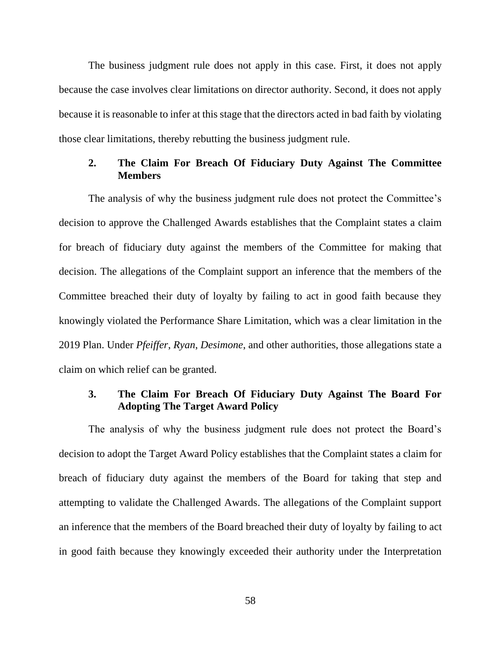The business judgment rule does not apply in this case. First, it does not apply because the case involves clear limitations on director authority. Second, it does not apply because it is reasonable to infer at this stage that the directors acted in bad faith by violating those clear limitations, thereby rebutting the business judgment rule.

# **2. The Claim For Breach Of Fiduciary Duty Against The Committee Members**

The analysis of why the business judgment rule does not protect the Committee's decision to approve the Challenged Awards establishes that the Complaint states a claim for breach of fiduciary duty against the members of the Committee for making that decision. The allegations of the Complaint support an inference that the members of the Committee breached their duty of loyalty by failing to act in good faith because they knowingly violated the Performance Share Limitation, which was a clear limitation in the 2019 Plan. Under *Pfeiffer*, *Ryan*, *Desimone*, and other authorities, those allegations state a claim on which relief can be granted.

## **3. The Claim For Breach Of Fiduciary Duty Against The Board For Adopting The Target Award Policy**

The analysis of why the business judgment rule does not protect the Board's decision to adopt the Target Award Policy establishes that the Complaint states a claim for breach of fiduciary duty against the members of the Board for taking that step and attempting to validate the Challenged Awards. The allegations of the Complaint support an inference that the members of the Board breached their duty of loyalty by failing to act in good faith because they knowingly exceeded their authority under the Interpretation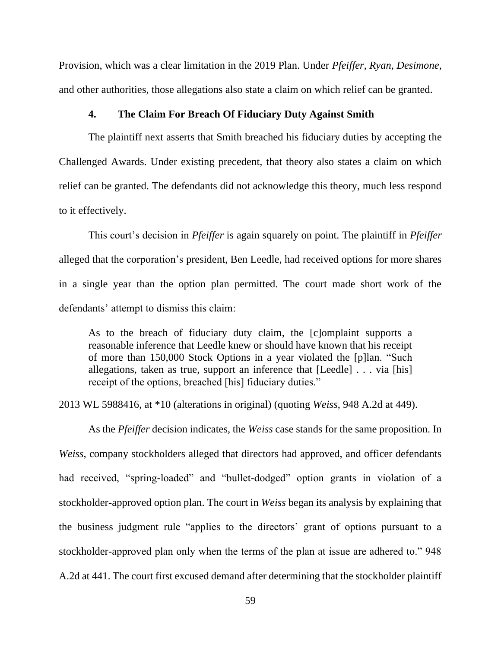Provision, which was a clear limitation in the 2019 Plan. Under *Pfeiffer*, *Ryan*, *Desimone*, and other authorities, those allegations also state a claim on which relief can be granted.

## **4. The Claim For Breach Of Fiduciary Duty Against Smith**

The plaintiff next asserts that Smith breached his fiduciary duties by accepting the Challenged Awards. Under existing precedent, that theory also states a claim on which relief can be granted. The defendants did not acknowledge this theory, much less respond to it effectively.

This court's decision in *Pfeiffer* is again squarely on point. The plaintiff in *Pfeiffer* alleged that the corporation's president, Ben Leedle, had received options for more shares in a single year than the option plan permitted. The court made short work of the defendants' attempt to dismiss this claim:

As to the breach of fiduciary duty claim, the [c]omplaint supports a reasonable inference that Leedle knew or should have known that his receipt of more than 150,000 Stock Options in a year violated the [p]lan. "Such allegations, taken as true, support an inference that [Leedle] . . . via [his] receipt of the options, breached [his] fiduciary duties."

2013 WL 5988416, at \*10 (alterations in original) (quoting *Weiss*, 948 A.2d at 449).

As the *Pfeiffer* decision indicates, the *Weiss* case stands for the same proposition. In *Weiss*, company stockholders alleged that directors had approved, and officer defendants had received, "spring-loaded" and "bullet-dodged" option grants in violation of a stockholder-approved option plan. The court in *Weiss* began its analysis by explaining that the business judgment rule "applies to the directors' grant of options pursuant to a stockholder-approved plan only when the terms of the plan at issue are adhered to." 948 A.2d at 441. The court first excused demand after determining that the stockholder plaintiff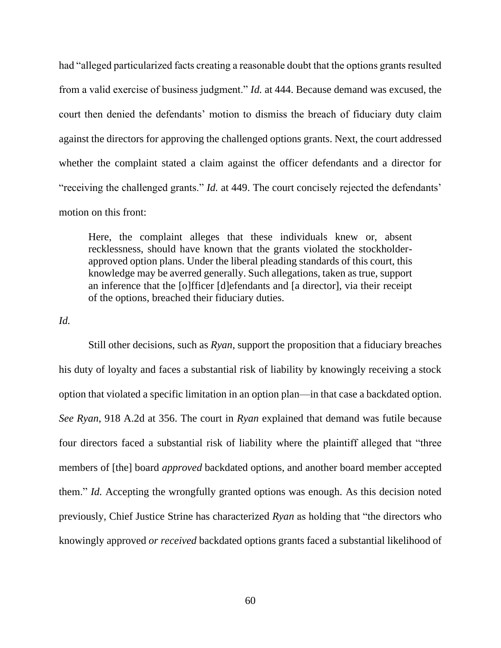had "alleged particularized facts creating a reasonable doubt that the options grants resulted from a valid exercise of business judgment." *Id.* at 444. Because demand was excused, the court then denied the defendants' motion to dismiss the breach of fiduciary duty claim against the directors for approving the challenged options grants. Next, the court addressed whether the complaint stated a claim against the officer defendants and a director for "receiving the challenged grants." *Id.* at 449. The court concisely rejected the defendants' motion on this front:

Here, the complaint alleges that these individuals knew or, absent recklessness, should have known that the grants violated the stockholderapproved option plans. Under the liberal pleading standards of this court, this knowledge may be averred generally. Such allegations, taken as true, support an inference that the [o]fficer [d]efendants and [a director], via their receipt of the options, breached their fiduciary duties.

*Id.*

Still other decisions, such as *Ryan*, support the proposition that a fiduciary breaches his duty of loyalty and faces a substantial risk of liability by knowingly receiving a stock option that violated a specific limitation in an option plan—in that case a backdated option. *See Ryan*, 918 A.2d at 356. The court in *Ryan* explained that demand was futile because four directors faced a substantial risk of liability where the plaintiff alleged that "three members of [the] board *approved* backdated options, and another board member accepted them." *Id.* Accepting the wrongfully granted options was enough. As this decision noted previously, Chief Justice Strine has characterized *Ryan* as holding that "the directors who knowingly approved *or received* backdated options grants faced a substantial likelihood of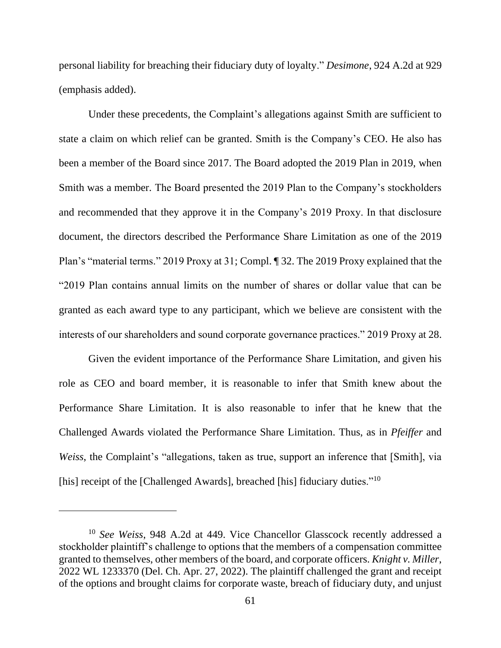personal liability for breaching their fiduciary duty of loyalty." *Desimone*, 924 A.2d at 929 (emphasis added).

Under these precedents, the Complaint's allegations against Smith are sufficient to state a claim on which relief can be granted. Smith is the Company's CEO. He also has been a member of the Board since 2017. The Board adopted the 2019 Plan in 2019, when Smith was a member. The Board presented the 2019 Plan to the Company's stockholders and recommended that they approve it in the Company's 2019 Proxy. In that disclosure document, the directors described the Performance Share Limitation as one of the 2019 Plan's "material terms." 2019 Proxy at 31; Compl. ¶ 32. The 2019 Proxy explained that the "2019 Plan contains annual limits on the number of shares or dollar value that can be granted as each award type to any participant, which we believe are consistent with the interests of our shareholders and sound corporate governance practices." 2019 Proxy at 28.

Given the evident importance of the Performance Share Limitation, and given his role as CEO and board member, it is reasonable to infer that Smith knew about the Performance Share Limitation. It is also reasonable to infer that he knew that the Challenged Awards violated the Performance Share Limitation. Thus, as in *Pfeiffer* and *Weiss*, the Complaint's "allegations, taken as true, support an inference that [Smith], via [his] receipt of the [Challenged Awards], breached [his] fiduciary duties."<sup>10</sup>

<sup>10</sup> *See Weiss*, 948 A.2d at 449. Vice Chancellor Glasscock recently addressed a stockholder plaintiff's challenge to options that the members of a compensation committee granted to themselves, other members of the board, and corporate officers. *Knight v. Miller*, 2022 WL 1233370 (Del. Ch. Apr. 27, 2022). The plaintiff challenged the grant and receipt of the options and brought claims for corporate waste, breach of fiduciary duty, and unjust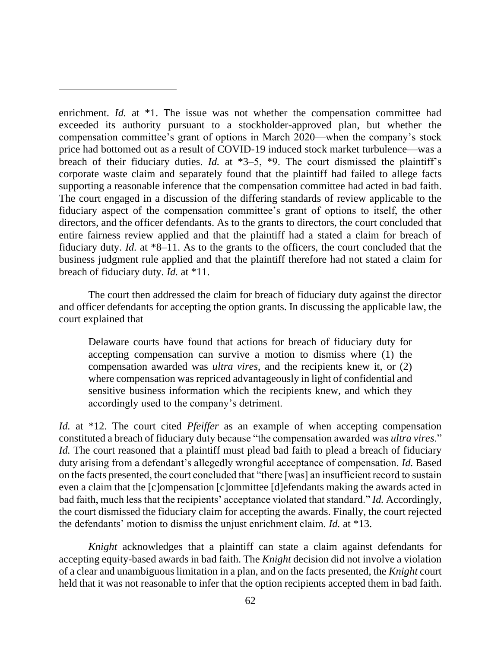enrichment. *Id.* at \*1. The issue was not whether the compensation committee had exceeded its authority pursuant to a stockholder-approved plan, but whether the compensation committee's grant of options in March 2020—when the company's stock price had bottomed out as a result of COVID-19 induced stock market turbulence—was a breach of their fiduciary duties. *Id.* at \*3–5, \*9. The court dismissed the plaintiff's corporate waste claim and separately found that the plaintiff had failed to allege facts supporting a reasonable inference that the compensation committee had acted in bad faith. The court engaged in a discussion of the differing standards of review applicable to the fiduciary aspect of the compensation committee's grant of options to itself, the other directors, and the officer defendants. As to the grants to directors, the court concluded that entire fairness review applied and that the plaintiff had a stated a claim for breach of fiduciary duty. *Id.* at \*8–11. As to the grants to the officers, the court concluded that the business judgment rule applied and that the plaintiff therefore had not stated a claim for breach of fiduciary duty. *Id.* at \*11.

The court then addressed the claim for breach of fiduciary duty against the director and officer defendants for accepting the option grants. In discussing the applicable law, the court explained that

Delaware courts have found that actions for breach of fiduciary duty for accepting compensation can survive a motion to dismiss where (1) the compensation awarded was *ultra vires*, and the recipients knew it, or (2) where compensation was repriced advantageously in light of confidential and sensitive business information which the recipients knew, and which they accordingly used to the company's detriment.

*Id.* at \*12. The court cited *Pfeiffer* as an example of when accepting compensation constituted a breach of fiduciary duty because "the compensation awarded was *ultra vires*." *Id.* The court reasoned that a plaintiff must plead bad faith to plead a breach of fiduciary duty arising from a defendant's allegedly wrongful acceptance of compensation. *Id.* Based on the facts presented, the court concluded that "there [was] an insufficient record to sustain even a claim that the [c]ompensation [c]ommittee [d]efendants making the awards acted in bad faith, much less that the recipients' acceptance violated that standard." *Id.* Accordingly, the court dismissed the fiduciary claim for accepting the awards. Finally, the court rejected the defendants' motion to dismiss the unjust enrichment claim. *Id.* at \*13.

*Knight* acknowledges that a plaintiff can state a claim against defendants for accepting equity-based awards in bad faith. The *Knight* decision did not involve a violation of a clear and unambiguous limitation in a plan, and on the facts presented, the *Knight* court held that it was not reasonable to infer that the option recipients accepted them in bad faith.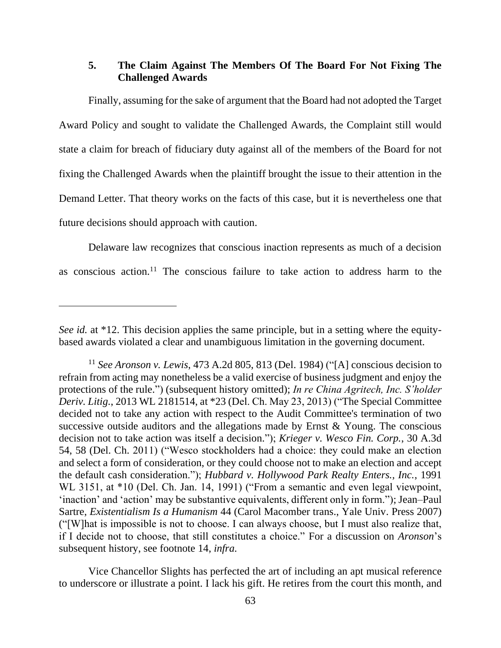## **5. The Claim Against The Members Of The Board For Not Fixing The Challenged Awards**

Finally, assuming for the sake of argument that the Board had not adopted the Target Award Policy and sought to validate the Challenged Awards, the Complaint still would state a claim for breach of fiduciary duty against all of the members of the Board for not fixing the Challenged Awards when the plaintiff brought the issue to their attention in the Demand Letter. That theory works on the facts of this case, but it is nevertheless one that future decisions should approach with caution.

Delaware law recognizes that conscious inaction represents as much of a decision as conscious action.<sup>11</sup> The conscious failure to take action to address harm to the

Vice Chancellor Slights has perfected the art of including an apt musical reference to underscore or illustrate a point. I lack his gift. He retires from the court this month, and

*See id.* at \*12. This decision applies the same principle, but in a setting where the equitybased awards violated a clear and unambiguous limitation in the governing document.

<sup>11</sup> *See Aronson v. Lewis*, 473 A.2d 805, 813 (Del. 1984) ("[A] conscious decision to refrain from acting may nonetheless be a valid exercise of business judgment and enjoy the protections of the rule.") (subsequent history omitted); *In re China Agritech, Inc. S'holder Deriv. Litig.*, 2013 WL 2181514, at \*23 (Del. Ch. May 23, 2013) ("The Special Committee decided not to take any action with respect to the Audit Committee's termination of two successive outside auditors and the allegations made by Ernst & Young. The conscious decision not to take action was itself a decision."); *Krieger v. Wesco Fin. Corp.*, 30 A.3d 54, 58 (Del. Ch. 2011) ("Wesco stockholders had a choice: they could make an election and select a form of consideration, or they could choose not to make an election and accept the default cash consideration."); *Hubbard v. Hollywood Park Realty Enters., Inc.*, 1991 WL 3151, at \*10 (Del. Ch. Jan. 14, 1991) ("From a semantic and even legal viewpoint, 'inaction' and 'action' may be substantive equivalents, different only in form."); Jean–Paul Sartre, *Existentialism Is a Humanism* 44 (Carol Macomber trans., Yale Univ. Press 2007) ("[W]hat is impossible is not to choose. I can always choose, but I must also realize that, if I decide not to choose, that still constitutes a choice." For a discussion on *Aronson*'s subsequent history, see footnote 14, *infra.*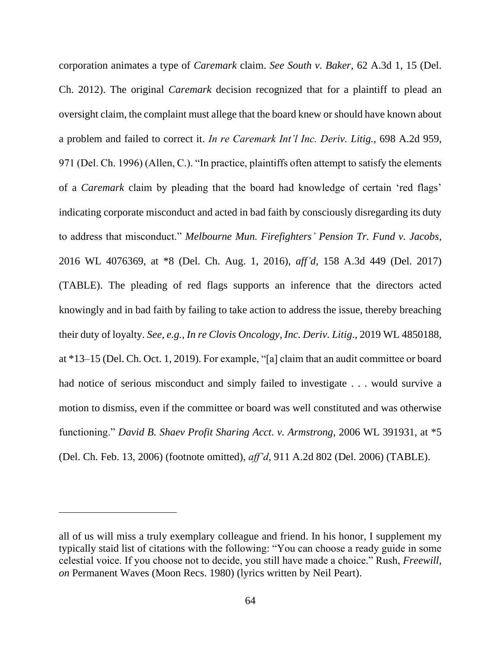corporation animates a type of *Caremark* claim. *See South v. Baker*, 62 A.3d 1, 15 (Del. Ch. 2012). The original *Caremark* decision recognized that for a plaintiff to plead an oversight claim, the complaint must allege that the board knew or should have known about a problem and failed to correct it. *In re Caremark Int'l Inc. Deriv. Litig.*, 698 A.2d 959, 971 (Del. Ch. 1996) (Allen, C.). "In practice, plaintiffs often attempt to satisfy the elements of a *Caremark* claim by pleading that the board had knowledge of certain 'red flags' indicating corporate misconduct and acted in bad faith by consciously disregarding its duty to address that misconduct." *Melbourne Mun. Firefighters' Pension Tr. Fund v. Jacobs*, 2016 WL 4076369, at \*8 (Del. Ch. Aug. 1, 2016), *aff'd*, 158 A.3d 449 (Del. 2017) (TABLE). The pleading of red flags supports an inference that the directors acted knowingly and in bad faith by failing to take action to address the issue, thereby breaching their duty of loyalty. *See, e.g.*, *In re Clovis Oncology, Inc. Deriv. Litig*., 2019 WL 4850188, at \*13–15 (Del. Ch. Oct. 1, 2019). For example, "[a] claim that an audit committee or board had notice of serious misconduct and simply failed to investigate . . . would survive a motion to dismiss, even if the committee or board was well constituted and was otherwise functioning." *David B. Shaev Profit Sharing Acct. v. Armstrong*, 2006 WL 391931, at \*5 (Del. Ch. Feb. 13, 2006) (footnote omitted), *aff'd*, 911 A.2d 802 (Del. 2006) (TABLE).

all of us will miss a truly exemplary colleague and friend. In his honor, I supplement my typically staid list of citations with the following: "You can choose a ready guide in some celestial voice. If you choose not to decide, you still have made a choice." Rush, *Freewill*, *on* Permanent Waves (Moon Recs. 1980) (lyrics written by Neil Peart).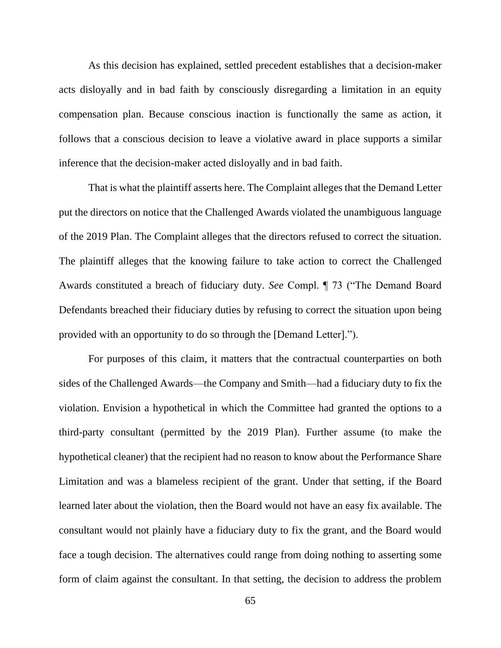As this decision has explained, settled precedent establishes that a decision-maker acts disloyally and in bad faith by consciously disregarding a limitation in an equity compensation plan. Because conscious inaction is functionally the same as action, it follows that a conscious decision to leave a violative award in place supports a similar inference that the decision-maker acted disloyally and in bad faith.

That is what the plaintiff asserts here. The Complaint alleges that the Demand Letter put the directors on notice that the Challenged Awards violated the unambiguous language of the 2019 Plan. The Complaint alleges that the directors refused to correct the situation. The plaintiff alleges that the knowing failure to take action to correct the Challenged Awards constituted a breach of fiduciary duty. *See* Compl. ¶ 73 ("The Demand Board Defendants breached their fiduciary duties by refusing to correct the situation upon being provided with an opportunity to do so through the [Demand Letter].").

For purposes of this claim, it matters that the contractual counterparties on both sides of the Challenged Awards—the Company and Smith—had a fiduciary duty to fix the violation. Envision a hypothetical in which the Committee had granted the options to a third-party consultant (permitted by the 2019 Plan). Further assume (to make the hypothetical cleaner) that the recipient had no reason to know about the Performance Share Limitation and was a blameless recipient of the grant. Under that setting, if the Board learned later about the violation, then the Board would not have an easy fix available. The consultant would not plainly have a fiduciary duty to fix the grant, and the Board would face a tough decision. The alternatives could range from doing nothing to asserting some form of claim against the consultant. In that setting, the decision to address the problem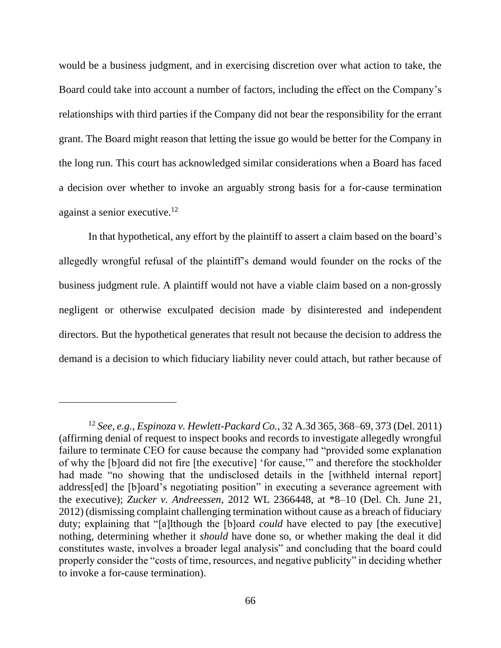would be a business judgment, and in exercising discretion over what action to take, the Board could take into account a number of factors, including the effect on the Company's relationships with third parties if the Company did not bear the responsibility for the errant grant. The Board might reason that letting the issue go would be better for the Company in the long run. This court has acknowledged similar considerations when a Board has faced a decision over whether to invoke an arguably strong basis for a for-cause termination against a senior executive.<sup>12</sup>

In that hypothetical, any effort by the plaintiff to assert a claim based on the board's allegedly wrongful refusal of the plaintiff's demand would founder on the rocks of the business judgment rule. A plaintiff would not have a viable claim based on a non-grossly negligent or otherwise exculpated decision made by disinterested and independent directors. But the hypothetical generates that result not because the decision to address the demand is a decision to which fiduciary liability never could attach, but rather because of

<sup>12</sup> *See, e.g.*, *Espinoza v. Hewlett-Packard Co.*, 32 A.3d 365, 368–69, 373 (Del. 2011) (affirming denial of request to inspect books and records to investigate allegedly wrongful failure to terminate CEO for cause because the company had "provided some explanation of why the [b]oard did not fire [the executive] 'for cause,'" and therefore the stockholder had made "no showing that the undisclosed details in the [withheld internal report] address[ed] the [b]oard's negotiating position" in executing a severance agreement with the executive); *Zucker v. Andreessen*, 2012 WL 2366448, at \*8–10 (Del. Ch. June 21, 2012) (dismissing complaint challenging termination without cause as a breach of fiduciary duty; explaining that "[a]lthough the [b]oard *could* have elected to pay [the executive] nothing, determining whether it *should* have done so, or whether making the deal it did constitutes waste, involves a broader legal analysis" and concluding that the board could properly consider the "costs of time, resources, and negative publicity" in deciding whether to invoke a for-cause termination).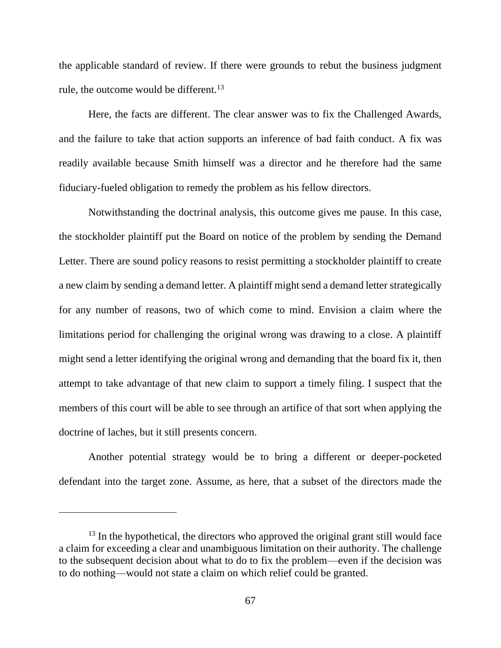the applicable standard of review. If there were grounds to rebut the business judgment rule, the outcome would be different.<sup>13</sup>

Here, the facts are different. The clear answer was to fix the Challenged Awards, and the failure to take that action supports an inference of bad faith conduct. A fix was readily available because Smith himself was a director and he therefore had the same fiduciary-fueled obligation to remedy the problem as his fellow directors.

Notwithstanding the doctrinal analysis, this outcome gives me pause. In this case, the stockholder plaintiff put the Board on notice of the problem by sending the Demand Letter. There are sound policy reasons to resist permitting a stockholder plaintiff to create a new claim by sending a demand letter. A plaintiff might send a demand letter strategically for any number of reasons, two of which come to mind. Envision a claim where the limitations period for challenging the original wrong was drawing to a close. A plaintiff might send a letter identifying the original wrong and demanding that the board fix it, then attempt to take advantage of that new claim to support a timely filing. I suspect that the members of this court will be able to see through an artifice of that sort when applying the doctrine of laches, but it still presents concern.

Another potential strategy would be to bring a different or deeper-pocketed defendant into the target zone. Assume, as here, that a subset of the directors made the

 $13$  In the hypothetical, the directors who approved the original grant still would face a claim for exceeding a clear and unambiguous limitation on their authority. The challenge to the subsequent decision about what to do to fix the problem—even if the decision was to do nothing—would not state a claim on which relief could be granted.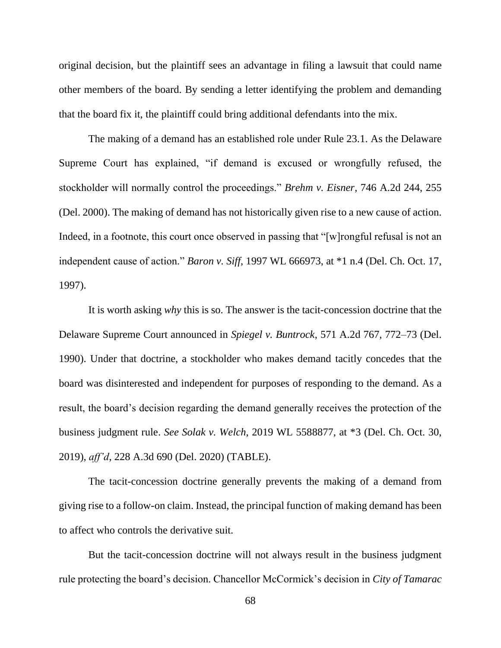original decision, but the plaintiff sees an advantage in filing a lawsuit that could name other members of the board. By sending a letter identifying the problem and demanding that the board fix it, the plaintiff could bring additional defendants into the mix.

The making of a demand has an established role under Rule 23.1. As the Delaware Supreme Court has explained, "if demand is excused or wrongfully refused, the stockholder will normally control the proceedings." *Brehm v. Eisner*, 746 A.2d 244, 255 (Del. 2000). The making of demand has not historically given rise to a new cause of action. Indeed, in a footnote, this court once observed in passing that "[w]rongful refusal is not an independent cause of action." *Baron v. Siff*, 1997 WL 666973, at \*1 n.4 (Del. Ch. Oct. 17, 1997).

It is worth asking *why* this is so. The answer is the tacit-concession doctrine that the Delaware Supreme Court announced in *Spiegel v. Buntrock*, 571 A.2d 767, 772–73 (Del. 1990). Under that doctrine, a stockholder who makes demand tacitly concedes that the board was disinterested and independent for purposes of responding to the demand. As a result, the board's decision regarding the demand generally receives the protection of the business judgment rule. *See Solak v. Welch*, 2019 WL 5588877, at \*3 (Del. Ch. Oct. 30, 2019), *aff'd*, 228 A.3d 690 (Del. 2020) (TABLE).

The tacit-concession doctrine generally prevents the making of a demand from giving rise to a follow-on claim. Instead, the principal function of making demand has been to affect who controls the derivative suit.

But the tacit-concession doctrine will not always result in the business judgment rule protecting the board's decision. Chancellor McCormick's decision in *City of Tamarac*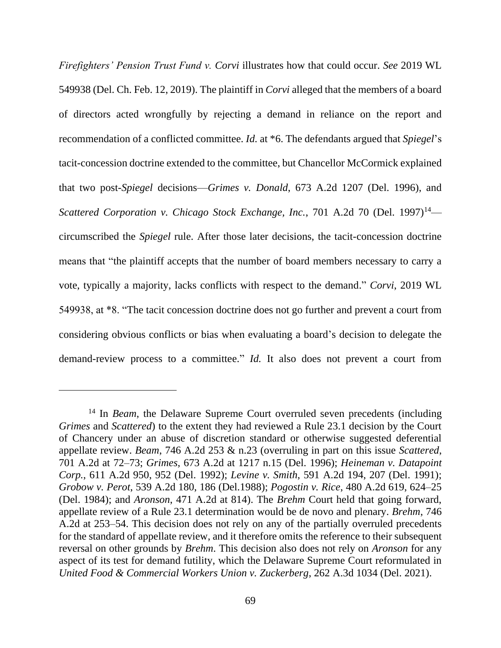*Firefighters' Pension Trust Fund v. Corvi* illustrates how that could occur. *See* 2019 WL 549938 (Del. Ch. Feb. 12, 2019). The plaintiff in *Corvi* alleged that the members of a board of directors acted wrongfully by rejecting a demand in reliance on the report and recommendation of a conflicted committee. *Id.* at \*6. The defendants argued that *Spiegel*'s tacit-concession doctrine extended to the committee, but Chancellor McCormick explained that two post-*Spiegel* decisions—*Grimes v. Donald*, 673 A.2d 1207 (Del. 1996), and *Scattered Corporation v. Chicago Stock Exchange, Inc., 701 A.2d 70 (Del. 1997)<sup>14</sup>* circumscribed the *Spiegel* rule. After those later decisions, the tacit-concession doctrine means that "the plaintiff accepts that the number of board members necessary to carry a vote, typically a majority, lacks conflicts with respect to the demand." *Corvi*, 2019 WL 549938, at \*8. "The tacit concession doctrine does not go further and prevent a court from considering obvious conflicts or bias when evaluating a board's decision to delegate the demand-review process to a committee." *Id.* It also does not prevent a court from

<sup>14</sup> In *Beam*, the Delaware Supreme Court overruled seven precedents (including *Grimes* and *Scattered*) to the extent they had reviewed a Rule 23.1 decision by the Court of Chancery under an abuse of discretion standard or otherwise suggested deferential appellate review. *Beam*, 746 A.2d 253 & n.23 (overruling in part on this issue *Scattered*, 701 A.2d at 72–73; *Grimes*, 673 A.2d at 1217 n.15 (Del. 1996); *Heineman v. Datapoint Corp.*, 611 A.2d 950, 952 (Del. 1992); *Levine v. Smith*, 591 A.2d 194, 207 (Del. 1991); *Grobow v. Perot*, 539 A.2d 180, 186 (Del.1988); *Pogostin v. Rice*, 480 A.2d 619, 624–25 (Del. 1984); and *Aronson*, 471 A.2d at 814). The *Brehm* Court held that going forward, appellate review of a Rule 23.1 determination would be de novo and plenary. *Brehm*, 746 A.2d at 253–54. This decision does not rely on any of the partially overruled precedents for the standard of appellate review, and it therefore omits the reference to their subsequent reversal on other grounds by *Brehm*. This decision also does not rely on *Aronson* for any aspect of its test for demand futility, which the Delaware Supreme Court reformulated in *United Food & Commercial Workers Union v. Zuckerberg*, 262 A.3d 1034 (Del. 2021).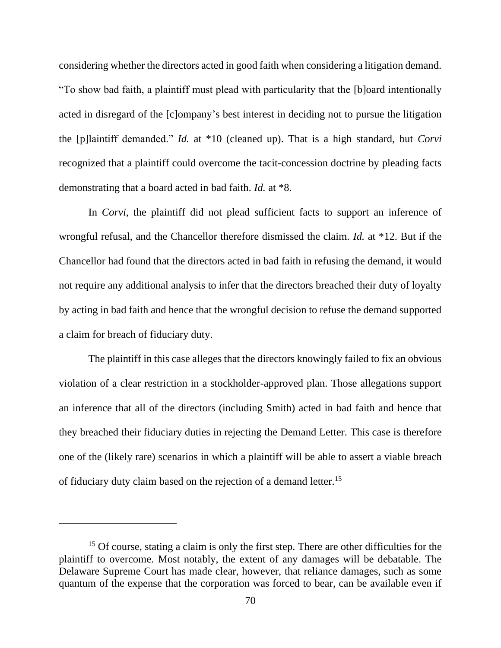considering whether the directors acted in good faith when considering a litigation demand. "To show bad faith, a plaintiff must plead with particularity that the [b]oard intentionally acted in disregard of the [c]ompany's best interest in deciding not to pursue the litigation the [p]laintiff demanded." *Id.* at \*10 (cleaned up). That is a high standard, but *Corvi*  recognized that a plaintiff could overcome the tacit-concession doctrine by pleading facts demonstrating that a board acted in bad faith. *Id.* at \*8.

In *Corvi*, the plaintiff did not plead sufficient facts to support an inference of wrongful refusal, and the Chancellor therefore dismissed the claim. *Id.* at \*12. But if the Chancellor had found that the directors acted in bad faith in refusing the demand, it would not require any additional analysis to infer that the directors breached their duty of loyalty by acting in bad faith and hence that the wrongful decision to refuse the demand supported a claim for breach of fiduciary duty.

The plaintiff in this case alleges that the directors knowingly failed to fix an obvious violation of a clear restriction in a stockholder-approved plan. Those allegations support an inference that all of the directors (including Smith) acted in bad faith and hence that they breached their fiduciary duties in rejecting the Demand Letter. This case is therefore one of the (likely rare) scenarios in which a plaintiff will be able to assert a viable breach of fiduciary duty claim based on the rejection of a demand letter.<sup>15</sup>

<sup>&</sup>lt;sup>15</sup> Of course, stating a claim is only the first step. There are other difficulties for the plaintiff to overcome. Most notably, the extent of any damages will be debatable. The Delaware Supreme Court has made clear, however, that reliance damages, such as some quantum of the expense that the corporation was forced to bear, can be available even if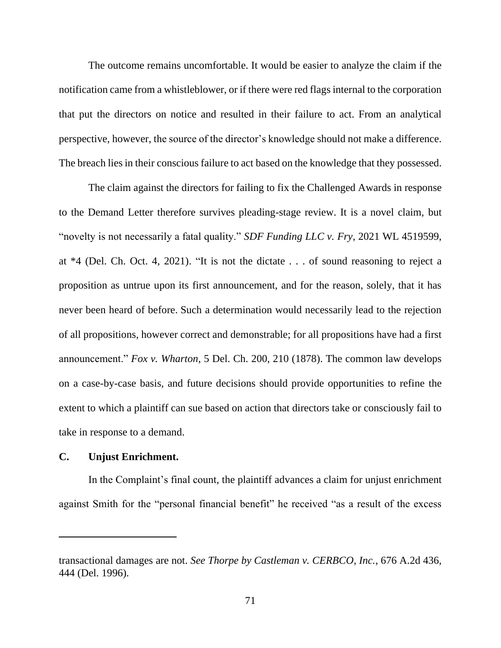The outcome remains uncomfortable. It would be easier to analyze the claim if the notification came from a whistleblower, or if there were red flags internal to the corporation that put the directors on notice and resulted in their failure to act. From an analytical perspective, however, the source of the director's knowledge should not make a difference. The breach lies in their conscious failure to act based on the knowledge that they possessed.

The claim against the directors for failing to fix the Challenged Awards in response to the Demand Letter therefore survives pleading-stage review. It is a novel claim, but "novelty is not necessarily a fatal quality." *SDF Funding LLC v. Fry*, 2021 WL 4519599, at \*4 (Del. Ch. Oct. 4, 2021). "It is not the dictate . . . of sound reasoning to reject a proposition as untrue upon its first announcement, and for the reason, solely, that it has never been heard of before. Such a determination would necessarily lead to the rejection of all propositions, however correct and demonstrable; for all propositions have had a first announcement." *Fox v. Wharton*, 5 Del. Ch. 200, 210 (1878). The common law develops on a case-by-case basis, and future decisions should provide opportunities to refine the extent to which a plaintiff can sue based on action that directors take or consciously fail to take in response to a demand.

# **C. Unjust Enrichment.**

In the Complaint's final count, the plaintiff advances a claim for unjust enrichment against Smith for the "personal financial benefit" he received "as a result of the excess

transactional damages are not. *See Thorpe by Castleman v. CERBCO, Inc.*, 676 A.2d 436, 444 (Del. 1996).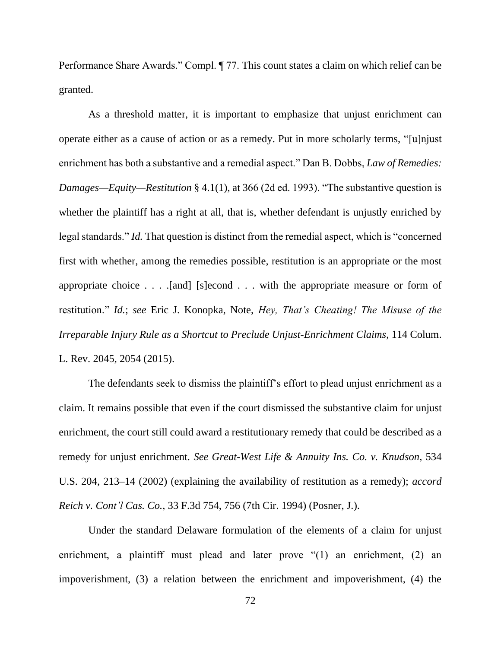Performance Share Awards." Compl. ¶ 77. This count states a claim on which relief can be granted.

As a threshold matter, it is important to emphasize that unjust enrichment can operate either as a cause of action or as a remedy. Put in more scholarly terms, "[u]njust enrichment has both a substantive and a remedial aspect." Dan B. Dobbs, *Law of Remedies: Damages—Equity—Restitution* § 4.1(1), at 366 (2d ed. 1993). "The substantive question is whether the plaintiff has a right at all, that is, whether defendant is unjustly enriched by legal standards." *Id.* That question is distinct from the remedial aspect, which is "concerned first with whether, among the remedies possible, restitution is an appropriate or the most appropriate choice  $\dots$  . [and] [s]econd  $\dots$  with the appropriate measure or form of restitution." *Id.*; *see* Eric J. Konopka, Note, *Hey, That's Cheating! The Misuse of the Irreparable Injury Rule as a Shortcut to Preclude Unjust-Enrichment Claims*, 114 Colum. L. Rev. 2045, 2054 (2015).

The defendants seek to dismiss the plaintiff's effort to plead unjust enrichment as a claim. It remains possible that even if the court dismissed the substantive claim for unjust enrichment, the court still could award a restitutionary remedy that could be described as a remedy for unjust enrichment. *See Great-West Life & Annuity Ins. Co. v. Knudson*, 534 U.S. 204, 213–14 (2002) (explaining the availability of restitution as a remedy); *accord Reich v. Cont'l Cas. Co.*, 33 F.3d 754, 756 (7th Cir. 1994) (Posner, J.).

Under the standard Delaware formulation of the elements of a claim for unjust enrichment, a plaintiff must plead and later prove "(1) an enrichment, (2) an impoverishment, (3) a relation between the enrichment and impoverishment, (4) the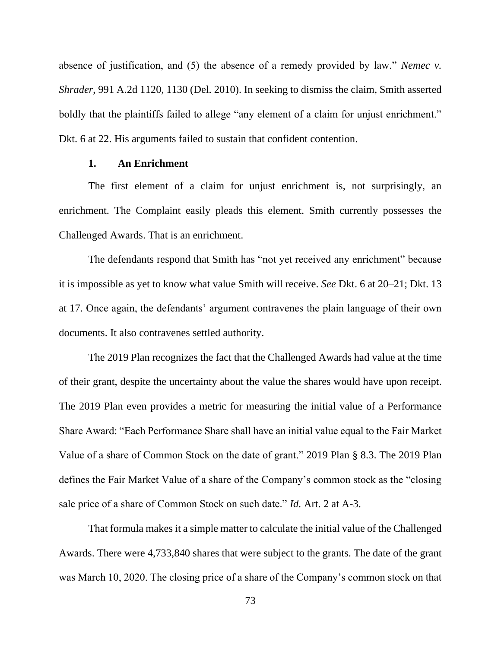absence of justification, and (5) the absence of a remedy provided by law." *Nemec v. Shrader*, 991 A.2d 1120, 1130 (Del. 2010). In seeking to dismiss the claim, Smith asserted boldly that the plaintiffs failed to allege "any element of a claim for unjust enrichment." Dkt. 6 at 22. His arguments failed to sustain that confident contention.

# **1. An Enrichment**

The first element of a claim for unjust enrichment is, not surprisingly, an enrichment. The Complaint easily pleads this element. Smith currently possesses the Challenged Awards. That is an enrichment.

The defendants respond that Smith has "not yet received any enrichment" because it is impossible as yet to know what value Smith will receive. *See* Dkt. 6 at 20–21; Dkt. 13 at 17. Once again, the defendants' argument contravenes the plain language of their own documents. It also contravenes settled authority.

The 2019 Plan recognizes the fact that the Challenged Awards had value at the time of their grant, despite the uncertainty about the value the shares would have upon receipt. The 2019 Plan even provides a metric for measuring the initial value of a Performance Share Award: "Each Performance Share shall have an initial value equal to the Fair Market Value of a share of Common Stock on the date of grant." 2019 Plan § 8.3. The 2019 Plan defines the Fair Market Value of a share of the Company's common stock as the "closing sale price of a share of Common Stock on such date." *Id.* Art. 2 at A-3.

That formula makes it a simple matter to calculate the initial value of the Challenged Awards. There were 4,733,840 shares that were subject to the grants. The date of the grant was March 10, 2020. The closing price of a share of the Company's common stock on that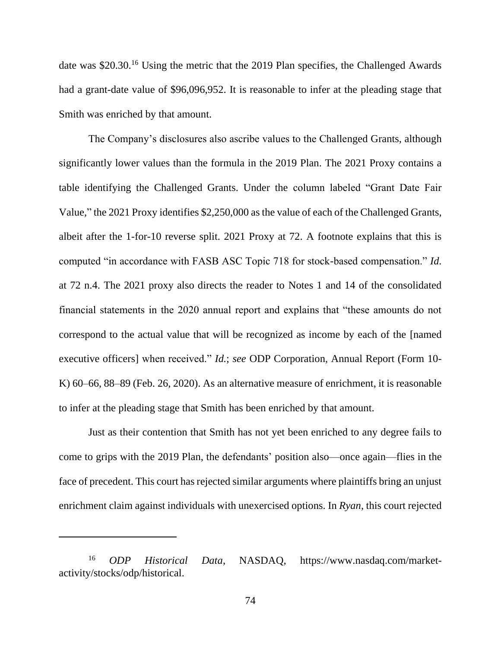date was \$20.30.<sup>16</sup> Using the metric that the 2019 Plan specifies, the Challenged Awards had a grant-date value of \$96,096,952. It is reasonable to infer at the pleading stage that Smith was enriched by that amount.

The Company's disclosures also ascribe values to the Challenged Grants, although significantly lower values than the formula in the 2019 Plan. The 2021 Proxy contains a table identifying the Challenged Grants. Under the column labeled "Grant Date Fair Value," the 2021 Proxy identifies \$2,250,000 as the value of each of the Challenged Grants, albeit after the 1-for-10 reverse split. 2021 Proxy at 72. A footnote explains that this is computed "in accordance with FASB ASC Topic 718 for stock-based compensation." *Id.* at 72 n.4. The 2021 proxy also directs the reader to Notes 1 and 14 of the consolidated financial statements in the 2020 annual report and explains that "these amounts do not correspond to the actual value that will be recognized as income by each of the [named executive officers] when received." *Id.*; *see* ODP Corporation, Annual Report (Form 10- K) 60–66, 88–89 (Feb. 26, 2020). As an alternative measure of enrichment, it is reasonable to infer at the pleading stage that Smith has been enriched by that amount.

Just as their contention that Smith has not yet been enriched to any degree fails to come to grips with the 2019 Plan, the defendants' position also—once again—flies in the face of precedent. This court has rejected similar arguments where plaintiffs bring an unjust enrichment claim against individuals with unexercised options. In *Ryan*, this court rejected

<sup>16</sup> *ODP Historical Data*, NASDAQ, https://www.nasdaq.com/marketactivity/stocks/odp/historical.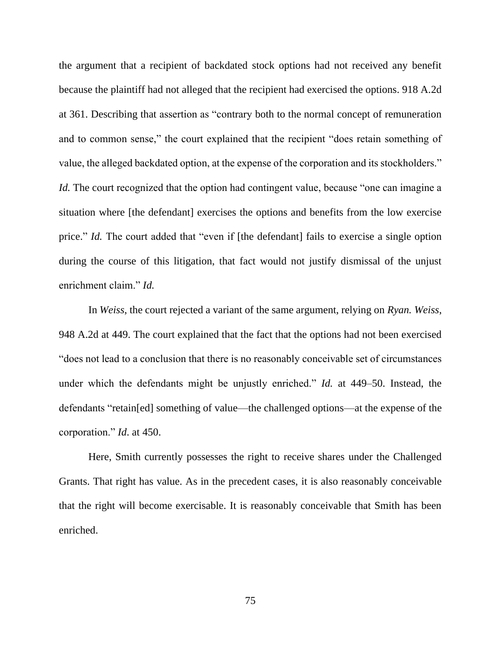the argument that a recipient of backdated stock options had not received any benefit because the plaintiff had not alleged that the recipient had exercised the options. 918 A.2d at 361. Describing that assertion as "contrary both to the normal concept of remuneration and to common sense," the court explained that the recipient "does retain something of value, the alleged backdated option, at the expense of the corporation and its stockholders." *Id.* The court recognized that the option had contingent value, because "one can imagine a situation where [the defendant] exercises the options and benefits from the low exercise price." *Id.* The court added that "even if [the defendant] fails to exercise a single option during the course of this litigation, that fact would not justify dismissal of the unjust enrichment claim." *Id.*

In *Weiss*, the court rejected a variant of the same argument, relying on *Ryan. Weiss*, 948 A.2d at 449. The court explained that the fact that the options had not been exercised "does not lead to a conclusion that there is no reasonably conceivable set of circumstances under which the defendants might be unjustly enriched." *Id.* at 449–50. Instead, the defendants "retain[ed] something of value—the challenged options—at the expense of the corporation." *Id*. at 450.

Here, Smith currently possesses the right to receive shares under the Challenged Grants. That right has value. As in the precedent cases, it is also reasonably conceivable that the right will become exercisable. It is reasonably conceivable that Smith has been enriched.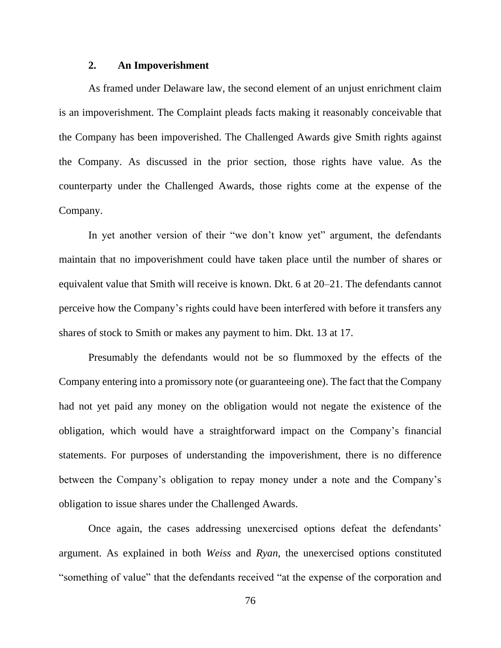# **2. An Impoverishment**

As framed under Delaware law, the second element of an unjust enrichment claim is an impoverishment. The Complaint pleads facts making it reasonably conceivable that the Company has been impoverished. The Challenged Awards give Smith rights against the Company. As discussed in the prior section, those rights have value. As the counterparty under the Challenged Awards, those rights come at the expense of the Company.

In yet another version of their "we don't know yet" argument, the defendants maintain that no impoverishment could have taken place until the number of shares or equivalent value that Smith will receive is known. Dkt. 6 at 20–21. The defendants cannot perceive how the Company's rights could have been interfered with before it transfers any shares of stock to Smith or makes any payment to him. Dkt. 13 at 17.

Presumably the defendants would not be so flummoxed by the effects of the Company entering into a promissory note (or guaranteeing one). The fact that the Company had not yet paid any money on the obligation would not negate the existence of the obligation, which would have a straightforward impact on the Company's financial statements. For purposes of understanding the impoverishment, there is no difference between the Company's obligation to repay money under a note and the Company's obligation to issue shares under the Challenged Awards.

Once again, the cases addressing unexercised options defeat the defendants' argument. As explained in both *Weiss* and *Ryan*, the unexercised options constituted "something of value" that the defendants received "at the expense of the corporation and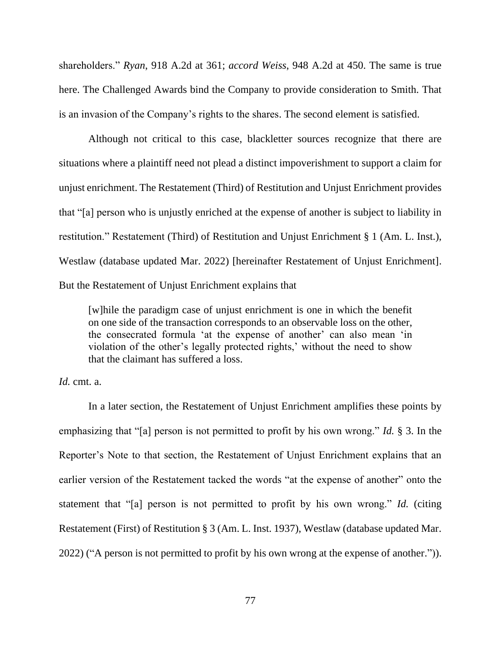shareholders." *Ryan*, 918 A.2d at 361; *accord Weiss*, 948 A.2d at 450. The same is true here. The Challenged Awards bind the Company to provide consideration to Smith. That is an invasion of the Company's rights to the shares. The second element is satisfied.

Although not critical to this case, blackletter sources recognize that there are situations where a plaintiff need not plead a distinct impoverishment to support a claim for unjust enrichment. The Restatement (Third) of Restitution and Unjust Enrichment provides that "[a] person who is unjustly enriched at the expense of another is subject to liability in restitution." Restatement (Third) of Restitution and Unjust Enrichment § 1 (Am. L. Inst.), Westlaw (database updated Mar. 2022) [hereinafter Restatement of Unjust Enrichment]. But the Restatement of Unjust Enrichment explains that

[w]hile the paradigm case of unjust enrichment is one in which the benefit on one side of the transaction corresponds to an observable loss on the other, the consecrated formula 'at the expense of another' can also mean 'in violation of the other's legally protected rights,' without the need to show that the claimant has suffered a loss.

*Id.* cmt. a.

In a later section, the Restatement of Unjust Enrichment amplifies these points by emphasizing that "[a] person is not permitted to profit by his own wrong." *Id.* § 3. In the Reporter's Note to that section, the Restatement of Unjust Enrichment explains that an earlier version of the Restatement tacked the words "at the expense of another" onto the statement that "[a] person is not permitted to profit by his own wrong." *Id.* (citing Restatement (First) of Restitution § 3 (Am. L. Inst. 1937), Westlaw (database updated Mar. 2022) ("A person is not permitted to profit by his own wrong at the expense of another.")).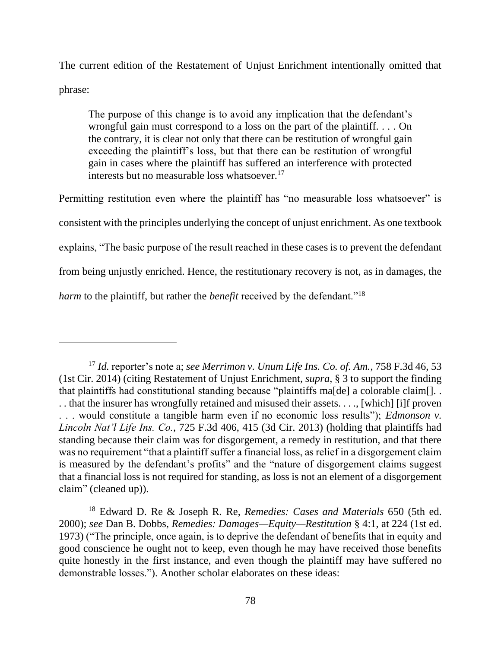The current edition of the Restatement of Unjust Enrichment intentionally omitted that phrase:

The purpose of this change is to avoid any implication that the defendant's wrongful gain must correspond to a loss on the part of the plaintiff. . . . On the contrary, it is clear not only that there can be restitution of wrongful gain exceeding the plaintiff's loss, but that there can be restitution of wrongful gain in cases where the plaintiff has suffered an interference with protected interests but no measurable loss whatsoever.<sup>17</sup>

Permitting restitution even where the plaintiff has "no measurable loss whatsoever" is consistent with the principles underlying the concept of unjust enrichment. As one textbook explains, "The basic purpose of the result reached in these cases is to prevent the defendant from being unjustly enriched. Hence, the restitutionary recovery is not, as in damages, the *harm* to the plaintiff, but rather the *benefit* received by the defendant."<sup>18</sup>

<sup>17</sup> *Id.* reporter's note a; *see Merrimon v. Unum Life Ins. Co. of. Am.*, 758 F.3d 46, 53 (1st Cir. 2014) (citing Restatement of Unjust Enrichment, *supra*, § 3 to support the finding that plaintiffs had constitutional standing because "plaintiffs ma[de] a colorable claim[]... . . that the insurer has wrongfully retained and misused their assets. . . ., [which] [i]f proven . . . would constitute a tangible harm even if no economic loss results"); *Edmonson v. Lincoln Nat'l Life Ins. Co.*, 725 F.3d 406, 415 (3d Cir. 2013) (holding that plaintiffs had standing because their claim was for disgorgement, a remedy in restitution, and that there was no requirement "that a plaintiff suffer a financial loss, as relief in a disgorgement claim is measured by the defendant's profits" and the "nature of disgorgement claims suggest that a financial loss is not required for standing, as loss is not an element of a disgorgement claim" (cleaned up)).

<sup>18</sup> Edward D. Re & Joseph R. Re, *Remedies: Cases and Materials* 650 (5th ed. 2000); *see* Dan B. Dobbs, *Remedies: Damages—Equity—Restitution* § 4:1, at 224 (1st ed. 1973) ("The principle, once again, is to deprive the defendant of benefits that in equity and good conscience he ought not to keep, even though he may have received those benefits quite honestly in the first instance, and even though the plaintiff may have suffered no demonstrable losses."). Another scholar elaborates on these ideas: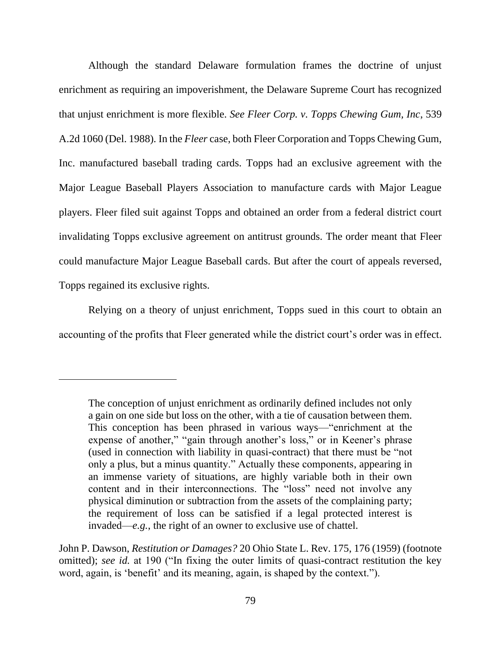Although the standard Delaware formulation frames the doctrine of unjust enrichment as requiring an impoverishment, the Delaware Supreme Court has recognized that unjust enrichment is more flexible. *See Fleer Corp. v. Topps Chewing Gum, Inc*, 539 A.2d 1060 (Del. 1988)*.* In the *Fleer* case, both Fleer Corporation and Topps Chewing Gum, Inc. manufactured baseball trading cards. Topps had an exclusive agreement with the Major League Baseball Players Association to manufacture cards with Major League players. Fleer filed suit against Topps and obtained an order from a federal district court invalidating Topps exclusive agreement on antitrust grounds. The order meant that Fleer could manufacture Major League Baseball cards. But after the court of appeals reversed, Topps regained its exclusive rights.

Relying on a theory of unjust enrichment, Topps sued in this court to obtain an accounting of the profits that Fleer generated while the district court's order was in effect.

John P. Dawson, *Restitution or Damages?* 20 Ohio State L. Rev. 175, 176 (1959) (footnote omitted); *see id.* at 190 ("In fixing the outer limits of quasi-contract restitution the key word, again, is 'benefit' and its meaning, again, is shaped by the context.").

The conception of unjust enrichment as ordinarily defined includes not only a gain on one side but loss on the other, with a tie of causation between them. This conception has been phrased in various ways—"enrichment at the expense of another," "gain through another's loss," or in Keener's phrase (used in connection with liability in quasi-contract) that there must be "not only a plus, but a minus quantity." Actually these components, appearing in an immense variety of situations, are highly variable both in their own content and in their interconnections. The "loss" need not involve any physical diminution or subtraction from the assets of the complaining party; the requirement of loss can be satisfied if a legal protected interest is invaded—*e.g.*, the right of an owner to exclusive use of chattel.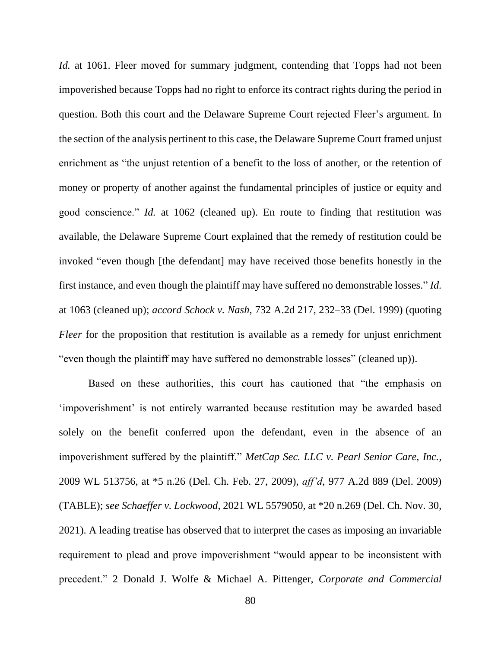*Id.* at 1061. Fleer moved for summary judgment, contending that Topps had not been impoverished because Topps had no right to enforce its contract rights during the period in question. Both this court and the Delaware Supreme Court rejected Fleer's argument. In the section of the analysis pertinent to this case, the Delaware Supreme Court framed unjust enrichment as "the unjust retention of a benefit to the loss of another, or the retention of money or property of another against the fundamental principles of justice or equity and good conscience." *Id.* at 1062 (cleaned up). En route to finding that restitution was available, the Delaware Supreme Court explained that the remedy of restitution could be invoked "even though [the defendant] may have received those benefits honestly in the first instance, and even though the plaintiff may have suffered no demonstrable losses." *Id.* at 1063 (cleaned up); *accord Schock v. Nash*, 732 A.2d 217, 232–33 (Del. 1999) (quoting *Fleer* for the proposition that restitution is available as a remedy for unjust enrichment "even though the plaintiff may have suffered no demonstrable losses" (cleaned up)).

Based on these authorities, this court has cautioned that "the emphasis on 'impoverishment' is not entirely warranted because restitution may be awarded based solely on the benefit conferred upon the defendant, even in the absence of an impoverishment suffered by the plaintiff." *MetCap Sec. LLC v. Pearl Senior Care, Inc.*, 2009 WL 513756, at \*5 n.26 (Del. Ch. Feb. 27, 2009), *aff'd*, 977 A.2d 889 (Del. 2009) (TABLE); *see Schaeffer v. Lockwood*, 2021 WL 5579050, at \*20 n.269 (Del. Ch. Nov. 30, 2021). A leading treatise has observed that to interpret the cases as imposing an invariable requirement to plead and prove impoverishment "would appear to be inconsistent with precedent." 2 Donald J. Wolfe & Michael A. Pittenger, *Corporate and Commercial*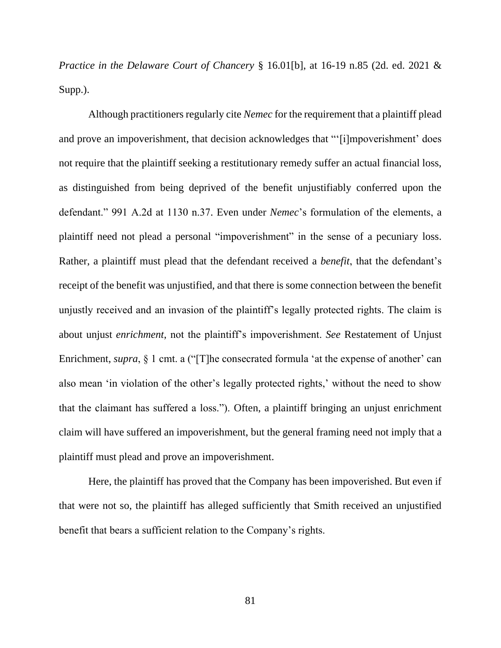*Practice in the Delaware Court of Chancery* § 16.01[b], at 16-19 n.85 (2d. ed. 2021 & Supp.).

Although practitioners regularly cite *Nemec* for the requirement that a plaintiff plead and prove an impoverishment, that decision acknowledges that "'[i]mpoverishment' does not require that the plaintiff seeking a restitutionary remedy suffer an actual financial loss, as distinguished from being deprived of the benefit unjustifiably conferred upon the defendant." 991 A.2d at 1130 n.37. Even under *Nemec*'s formulation of the elements, a plaintiff need not plead a personal "impoverishment" in the sense of a pecuniary loss. Rather, a plaintiff must plead that the defendant received a *benefit*, that the defendant's receipt of the benefit was unjustified, and that there is some connection between the benefit unjustly received and an invasion of the plaintiff's legally protected rights. The claim is about unjust *enrichment*, not the plaintiff's impoverishment. *See* Restatement of Unjust Enrichment, *supra*, § 1 cmt. a ("[T]he consecrated formula 'at the expense of another' can also mean 'in violation of the other's legally protected rights,' without the need to show that the claimant has suffered a loss."). Often, a plaintiff bringing an unjust enrichment claim will have suffered an impoverishment, but the general framing need not imply that a plaintiff must plead and prove an impoverishment.

Here, the plaintiff has proved that the Company has been impoverished. But even if that were not so, the plaintiff has alleged sufficiently that Smith received an unjustified benefit that bears a sufficient relation to the Company's rights.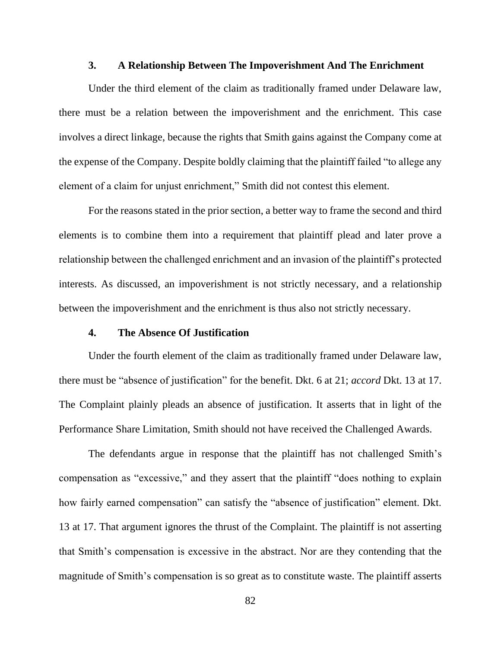#### **3. A Relationship Between The Impoverishment And The Enrichment**

Under the third element of the claim as traditionally framed under Delaware law, there must be a relation between the impoverishment and the enrichment. This case involves a direct linkage, because the rights that Smith gains against the Company come at the expense of the Company. Despite boldly claiming that the plaintiff failed "to allege any element of a claim for unjust enrichment," Smith did not contest this element.

For the reasons stated in the prior section, a better way to frame the second and third elements is to combine them into a requirement that plaintiff plead and later prove a relationship between the challenged enrichment and an invasion of the plaintiff's protected interests. As discussed, an impoverishment is not strictly necessary, and a relationship between the impoverishment and the enrichment is thus also not strictly necessary.

### **4. The Absence Of Justification**

Under the fourth element of the claim as traditionally framed under Delaware law, there must be "absence of justification" for the benefit. Dkt. 6 at 21; *accord* Dkt. 13 at 17. The Complaint plainly pleads an absence of justification. It asserts that in light of the Performance Share Limitation, Smith should not have received the Challenged Awards.

The defendants argue in response that the plaintiff has not challenged Smith's compensation as "excessive," and they assert that the plaintiff "does nothing to explain how fairly earned compensation" can satisfy the "absence of justification" element. Dkt. 13 at 17. That argument ignores the thrust of the Complaint. The plaintiff is not asserting that Smith's compensation is excessive in the abstract. Nor are they contending that the magnitude of Smith's compensation is so great as to constitute waste. The plaintiff asserts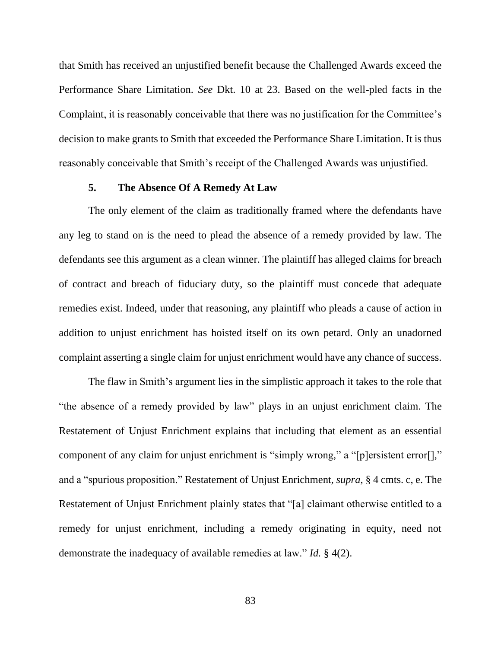that Smith has received an unjustified benefit because the Challenged Awards exceed the Performance Share Limitation. *See* Dkt. 10 at 23. Based on the well-pled facts in the Complaint, it is reasonably conceivable that there was no justification for the Committee's decision to make grants to Smith that exceeded the Performance Share Limitation. It is thus reasonably conceivable that Smith's receipt of the Challenged Awards was unjustified.

## **5. The Absence Of A Remedy At Law**

The only element of the claim as traditionally framed where the defendants have any leg to stand on is the need to plead the absence of a remedy provided by law. The defendants see this argument as a clean winner. The plaintiff has alleged claims for breach of contract and breach of fiduciary duty, so the plaintiff must concede that adequate remedies exist. Indeed, under that reasoning, any plaintiff who pleads a cause of action in addition to unjust enrichment has hoisted itself on its own petard. Only an unadorned complaint asserting a single claim for unjust enrichment would have any chance of success.

The flaw in Smith's argument lies in the simplistic approach it takes to the role that "the absence of a remedy provided by law" plays in an unjust enrichment claim. The Restatement of Unjust Enrichment explains that including that element as an essential component of any claim for unjust enrichment is "simply wrong," a "[p]ersistent error[]," and a "spurious proposition." Restatement of Unjust Enrichment, *supra*, § 4 cmts. c, e. The Restatement of Unjust Enrichment plainly states that "[a] claimant otherwise entitled to a remedy for unjust enrichment, including a remedy originating in equity, need not demonstrate the inadequacy of available remedies at law." *Id.* § 4(2).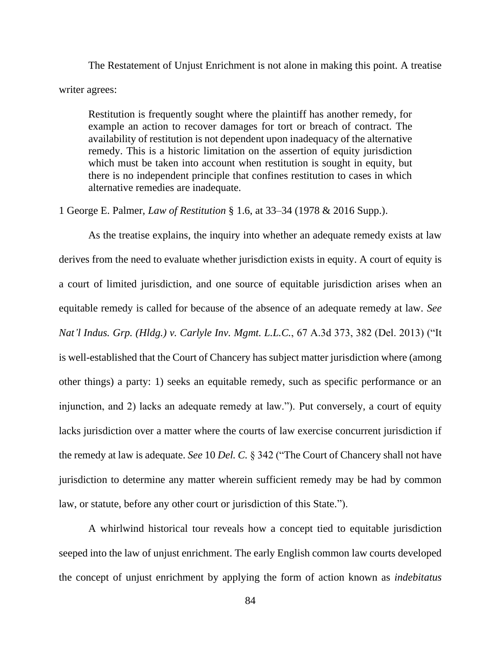The Restatement of Unjust Enrichment is not alone in making this point. A treatise writer agrees:

Restitution is frequently sought where the plaintiff has another remedy, for example an action to recover damages for tort or breach of contract. The availability of restitution is not dependent upon inadequacy of the alternative remedy. This is a historic limitation on the assertion of equity jurisdiction which must be taken into account when restitution is sought in equity, but there is no independent principle that confines restitution to cases in which alternative remedies are inadequate.

1 George E. Palmer, *Law of Restitution* § 1.6, at 33–34 (1978 & 2016 Supp.).

As the treatise explains, the inquiry into whether an adequate remedy exists at law derives from the need to evaluate whether jurisdiction exists in equity. A court of equity is a court of limited jurisdiction, and one source of equitable jurisdiction arises when an equitable remedy is called for because of the absence of an adequate remedy at law. *See Nat'l Indus. Grp. (Hldg.) v. Carlyle Inv. Mgmt. L.L.C.*, 67 A.3d 373, 382 (Del. 2013) ("It is well-established that the Court of Chancery has subject matter jurisdiction where (among other things) a party: 1) seeks an equitable remedy, such as specific performance or an injunction, and 2) lacks an adequate remedy at law."). Put conversely, a court of equity lacks jurisdiction over a matter where the courts of law exercise concurrent jurisdiction if the remedy at law is adequate. *See* 10 *Del. C.* § 342 ("The Court of Chancery shall not have jurisdiction to determine any matter wherein sufficient remedy may be had by common law, or statute, before any other court or jurisdiction of this State.").

A whirlwind historical tour reveals how a concept tied to equitable jurisdiction seeped into the law of unjust enrichment. The early English common law courts developed the concept of unjust enrichment by applying the form of action known as *indebitatus*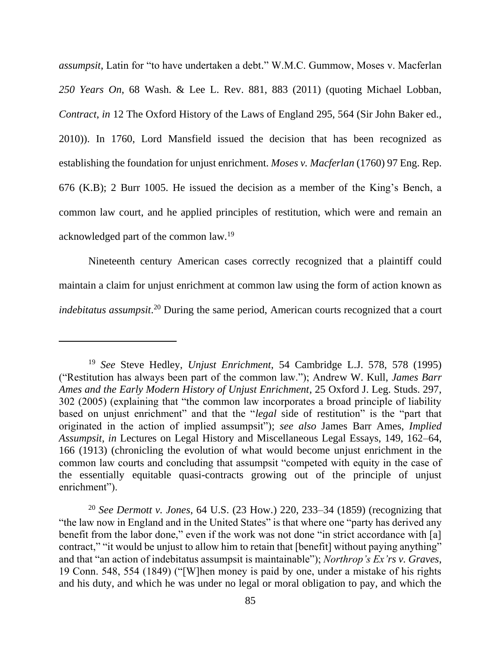*assumpsit*, Latin for "to have undertaken a debt." W.M.C. Gummow, Moses v. Macferlan *250 Years On*, 68 Wash. & Lee L. Rev. 881, 883 (2011) (quoting Michael Lobban, *Contract*, *in* 12 The Oxford History of the Laws of England 295, 564 (Sir John Baker ed., 2010)). In 1760, Lord Mansfield issued the decision that has been recognized as establishing the foundation for unjust enrichment. *Moses v. Macferlan* (1760) 97 Eng. Rep. 676 (K.B); 2 Burr 1005. He issued the decision as a member of the King's Bench, a common law court, and he applied principles of restitution, which were and remain an acknowledged part of the common law.<sup>19</sup>

Nineteenth century American cases correctly recognized that a plaintiff could maintain a claim for unjust enrichment at common law using the form of action known as *indebitatus assumpsit*. <sup>20</sup> During the same period, American courts recognized that a court

<sup>19</sup> *See* Steve Hedley, *Unjust Enrichment*, 54 Cambridge L.J. 578, 578 (1995) ("Restitution has always been part of the common law."); Andrew W. Kull, *James Barr Ames and the Early Modern History of Unjust Enrichment*, 25 Oxford J. Leg. Studs. 297, 302 (2005) (explaining that "the common law incorporates a broad principle of liability based on unjust enrichment" and that the "*legal* side of restitution" is the "part that originated in the action of implied assumpsit"); *see also* James Barr Ames, *Implied Assumpsit*, *in* Lectures on Legal History and Miscellaneous Legal Essays, 149, 162–64, 166 (1913) (chronicling the evolution of what would become unjust enrichment in the common law courts and concluding that assumpsit "competed with equity in the case of the essentially equitable quasi-contracts growing out of the principle of unjust enrichment").

<sup>20</sup> *See Dermott v. Jones*, 64 U.S. (23 How.) 220, 233–34 (1859) (recognizing that "the law now in England and in the United States" is that where one "party has derived any benefit from the labor done," even if the work was not done "in strict accordance with [a] contract," "it would be unjust to allow him to retain that [benefit] without paying anything" and that "an action of indebitatus assumpsit is maintainable"); *Northrop's Ex'rs v. Graves*, 19 Conn. 548, 554 (1849) ("[W]hen money is paid by one, under a mistake of his rights and his duty, and which he was under no legal or moral obligation to pay, and which the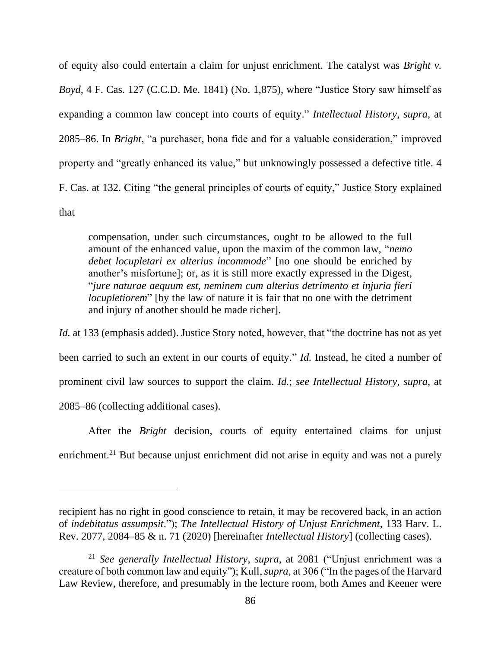of equity also could entertain a claim for unjust enrichment. The catalyst was *Bright v. Boyd*, 4 F. Cas. 127 (C.C.D. Me. 1841) (No. 1,875), where "Justice Story saw himself as expanding a common law concept into courts of equity." *Intellectual History*, *supra*, at 2085–86. In *Bright*, "a purchaser, bona fide and for a valuable consideration," improved property and "greatly enhanced its value," but unknowingly possessed a defective title. 4 F. Cas. at 132. Citing "the general principles of courts of equity," Justice Story explained that

compensation, under such circumstances, ought to be allowed to the full amount of the enhanced value, upon the maxim of the common law, "*nemo debet locupletari ex alterius incommode*" [no one should be enriched by another's misfortune]; or, as it is still more exactly expressed in the Digest, "*jure naturae aequum est, neminem cum alterius detrimento et injuria fieri locupletiorem*" [by the law of nature it is fair that no one with the detriment and injury of another should be made richer].

*Id.* at 133 (emphasis added). Justice Story noted, however, that "the doctrine has not as yet been carried to such an extent in our courts of equity." *Id.* Instead, he cited a number of prominent civil law sources to support the claim. *Id.*; *see Intellectual History*, *supra*, at 2085–86 (collecting additional cases).

After the *Bright* decision, courts of equity entertained claims for unjust enrichment.<sup>21</sup> But because unjust enrichment did not arise in equity and was not a purely

recipient has no right in good conscience to retain, it may be recovered back, in an action of *indebitatus assumpsit*."); *The Intellectual History of Unjust Enrichment*, 133 Harv. L. Rev. 2077, 2084–85 & n. 71 (2020) [hereinafter *Intellectual History*] (collecting cases).

<sup>21</sup> *See generally Intellectual History*, *supra*, at 2081 ("Unjust enrichment was a creature of both common law and equity"); Kull, *supra*, at 306 ("In the pages of the Harvard Law Review, therefore, and presumably in the lecture room, both Ames and Keener were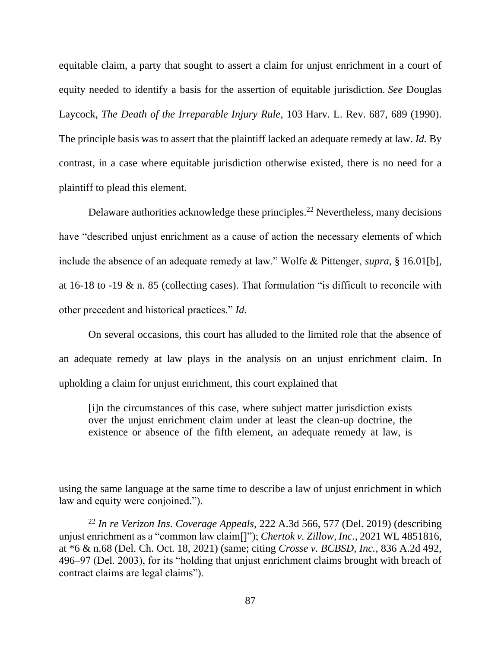equitable claim, a party that sought to assert a claim for unjust enrichment in a court of equity needed to identify a basis for the assertion of equitable jurisdiction. *See* Douglas Laycock, *The Death of the Irreparable Injury Rule*, 103 Harv. L. Rev. 687, 689 (1990). The principle basis was to assert that the plaintiff lacked an adequate remedy at law. *Id.* By contrast, in a case where equitable jurisdiction otherwise existed, there is no need for a plaintiff to plead this element.

Delaware authorities acknowledge these principles.<sup>22</sup> Nevertheless, many decisions have "described unjust enrichment as a cause of action the necessary elements of which include the absence of an adequate remedy at law." Wolfe & Pittenger, *supra*, § 16.01[b], at 16-18 to -19  $\&$  n. 85 (collecting cases). That formulation "is difficult to reconcile with other precedent and historical practices." *Id.*

On several occasions, this court has alluded to the limited role that the absence of an adequate remedy at law plays in the analysis on an unjust enrichment claim. In upholding a claim for unjust enrichment, this court explained that

[i]n the circumstances of this case, where subject matter jurisdiction exists over the unjust enrichment claim under at least the clean-up doctrine, the existence or absence of the fifth element, an adequate remedy at law, is

using the same language at the same time to describe a law of unjust enrichment in which law and equity were conjoined.").

<sup>22</sup> *In re Verizon Ins. Coverage Appeals*, 222 A.3d 566, 577 (Del. 2019) (describing unjust enrichment as a "common law claim[]"); *Chertok v. Zillow, Inc.*, 2021 WL 4851816, at \*6 & n.68 (Del. Ch. Oct. 18, 2021) (same; citing *Crosse v. BCBSD, Inc.*, 836 A.2d 492, 496–97 (Del. 2003), for its "holding that unjust enrichment claims brought with breach of contract claims are legal claims").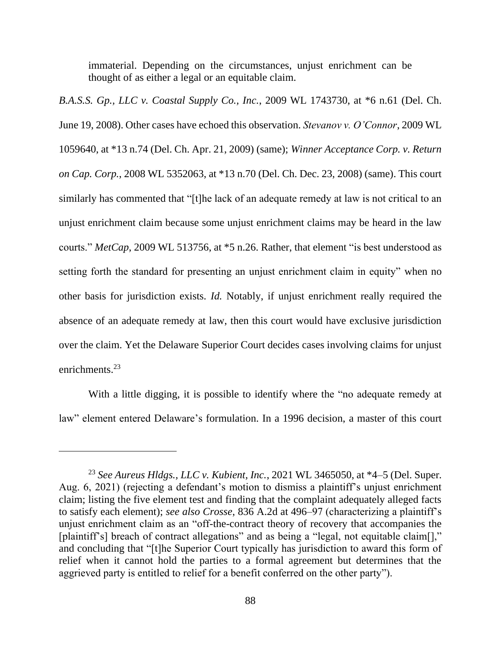immaterial. Depending on the circumstances, unjust enrichment can be thought of as either a legal or an equitable claim.

*B.A.S.S. Gp., LLC v. Coastal Supply Co., Inc.*, 2009 WL 1743730, at \*6 n.61 (Del. Ch. June 19, 2008). Other cases have echoed this observation. *Stevanov v. O'Connor*, 2009 WL 1059640, at \*13 n.74 (Del. Ch. Apr. 21, 2009) (same); *Winner Acceptance Corp. v. Return on Cap. Corp.*, 2008 WL 5352063, at \*13 n.70 (Del. Ch. Dec. 23, 2008) (same). This court similarly has commented that "[t]he lack of an adequate remedy at law is not critical to an unjust enrichment claim because some unjust enrichment claims may be heard in the law courts." *MetCap*, 2009 WL 513756, at \*5 n.26. Rather, that element "is best understood as setting forth the standard for presenting an unjust enrichment claim in equity" when no other basis for jurisdiction exists. *Id.* Notably, if unjust enrichment really required the absence of an adequate remedy at law, then this court would have exclusive jurisdiction over the claim. Yet the Delaware Superior Court decides cases involving claims for unjust enrichments.<sup>23</sup>

With a little digging, it is possible to identify where the "no adequate remedy at law" element entered Delaware's formulation. In a 1996 decision, a master of this court

<sup>23</sup> *See Aureus Hldgs., LLC v. Kubient, Inc.*, 2021 WL 3465050, at \*4–5 (Del. Super. Aug. 6, 2021) (rejecting a defendant's motion to dismiss a plaintiff's unjust enrichment claim; listing the five element test and finding that the complaint adequately alleged facts to satisfy each element); *see also Crosse*, 836 A.2d at 496–97 (characterizing a plaintiff's unjust enrichment claim as an "off-the-contract theory of recovery that accompanies the [plaintiff's] breach of contract allegations" and as being a "legal, not equitable claim[]," and concluding that "[t]he Superior Court typically has jurisdiction to award this form of relief when it cannot hold the parties to a formal agreement but determines that the aggrieved party is entitled to relief for a benefit conferred on the other party").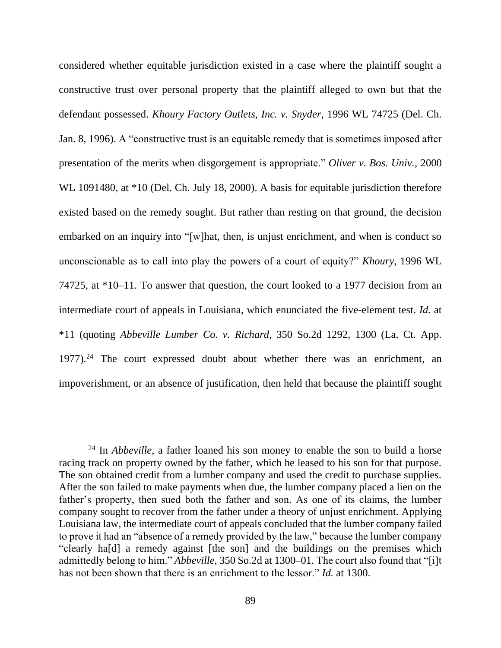considered whether equitable jurisdiction existed in a case where the plaintiff sought a constructive trust over personal property that the plaintiff alleged to own but that the defendant possessed. *Khoury Factory Outlets, Inc. v. Snyder*, 1996 WL 74725 (Del. Ch. Jan. 8, 1996). A "constructive trust is an equitable remedy that is sometimes imposed after presentation of the merits when disgorgement is appropriate." *Oliver v. Bos. Univ.*, 2000 WL 1091480, at \*10 (Del. Ch. July 18, 2000). A basis for equitable jurisdiction therefore existed based on the remedy sought. But rather than resting on that ground, the decision embarked on an inquiry into "[w]hat, then, is unjust enrichment, and when is conduct so unconscionable as to call into play the powers of a court of equity?" *Khoury*, 1996 WL 74725, at \*10–11. To answer that question, the court looked to a 1977 decision from an intermediate court of appeals in Louisiana, which enunciated the five-element test. *Id.* at \*11 (quoting *Abbeville Lumber Co. v. Richard*, 350 So.2d 1292, 1300 (La. Ct. App. 1977).<sup>24</sup> The court expressed doubt about whether there was an enrichment, an impoverishment, or an absence of justification, then held that because the plaintiff sought

<sup>&</sup>lt;sup>24</sup> In *Abbeville*, a father loaned his son money to enable the son to build a horse racing track on property owned by the father, which he leased to his son for that purpose. The son obtained credit from a lumber company and used the credit to purchase supplies. After the son failed to make payments when due, the lumber company placed a lien on the father's property, then sued both the father and son. As one of its claims, the lumber company sought to recover from the father under a theory of unjust enrichment. Applying Louisiana law, the intermediate court of appeals concluded that the lumber company failed to prove it had an "absence of a remedy provided by the law," because the lumber company "clearly ha[d] a remedy against [the son] and the buildings on the premises which admittedly belong to him." *Abbeville*, 350 So.2d at 1300–01. The court also found that "[i]t has not been shown that there is an enrichment to the lessor." *Id.* at 1300.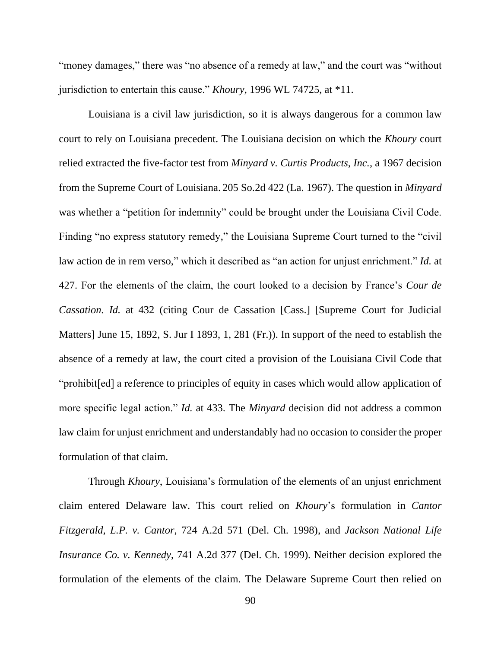"money damages," there was "no absence of a remedy at law," and the court was "without jurisdiction to entertain this cause." *Khoury*, 1996 WL 74725, at \*11.

Louisiana is a civil law jurisdiction, so it is always dangerous for a common law court to rely on Louisiana precedent. The Louisiana decision on which the *Khoury* court relied extracted the five-factor test from *Minyard v. Curtis Products, Inc.*, a 1967 decision from the Supreme Court of Louisiana. 205 So.2d 422 (La. 1967). The question in *Minyard*  was whether a "petition for indemnity" could be brought under the Louisiana Civil Code. Finding "no express statutory remedy," the Louisiana Supreme Court turned to the "civil law action de in rem verso," which it described as "an action for unjust enrichment." *Id.* at 427. For the elements of the claim, the court looked to a decision by France's *Cour de Cassation. Id.* at 432 (citing Cour de Cassation [Cass.] [Supreme Court for Judicial Matters] June 15, 1892, S. Jur I 1893, 1, 281 (Fr.)). In support of the need to establish the absence of a remedy at law, the court cited a provision of the Louisiana Civil Code that "prohibit[ed] a reference to principles of equity in cases which would allow application of more specific legal action." *Id.* at 433. The *Minyard* decision did not address a common law claim for unjust enrichment and understandably had no occasion to consider the proper formulation of that claim.

Through *Khoury*, Louisiana's formulation of the elements of an unjust enrichment claim entered Delaware law. This court relied on *Khoury*'s formulation in *Cantor Fitzgerald, L.P. v. Cantor*, 724 A.2d 571 (Del. Ch. 1998), and *Jackson National Life Insurance Co. v. Kennedy*, 741 A.2d 377 (Del. Ch. 1999). Neither decision explored the formulation of the elements of the claim. The Delaware Supreme Court then relied on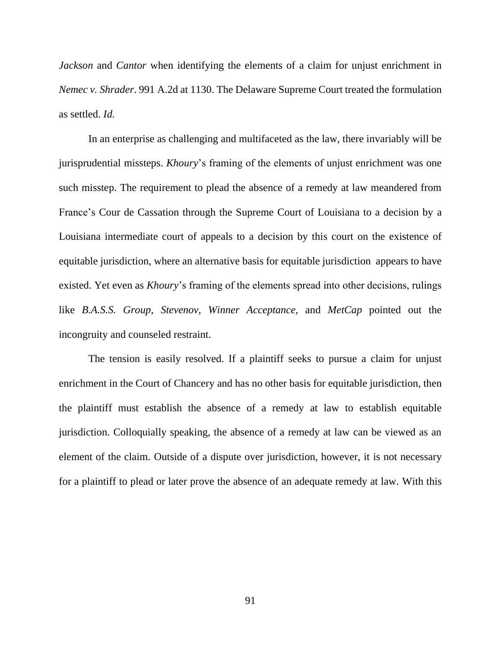*Jackson* and *Cantor* when identifying the elements of a claim for unjust enrichment in *Nemec v. Shrader*. 991 A.2d at 1130. The Delaware Supreme Court treated the formulation as settled. *Id.*

In an enterprise as challenging and multifaceted as the law, there invariably will be jurisprudential missteps. *Khoury*'s framing of the elements of unjust enrichment was one such misstep. The requirement to plead the absence of a remedy at law meandered from France's Cour de Cassation through the Supreme Court of Louisiana to a decision by a Louisiana intermediate court of appeals to a decision by this court on the existence of equitable jurisdiction, where an alternative basis for equitable jurisdiction appears to have existed. Yet even as *Khoury*'s framing of the elements spread into other decisions, rulings like *B.A.S.S. Group*, *Stevenov*, *Winner Acceptance*, and *MetCap* pointed out the incongruity and counseled restraint.

The tension is easily resolved. If a plaintiff seeks to pursue a claim for unjust enrichment in the Court of Chancery and has no other basis for equitable jurisdiction, then the plaintiff must establish the absence of a remedy at law to establish equitable jurisdiction. Colloquially speaking, the absence of a remedy at law can be viewed as an element of the claim. Outside of a dispute over jurisdiction, however, it is not necessary for a plaintiff to plead or later prove the absence of an adequate remedy at law. With this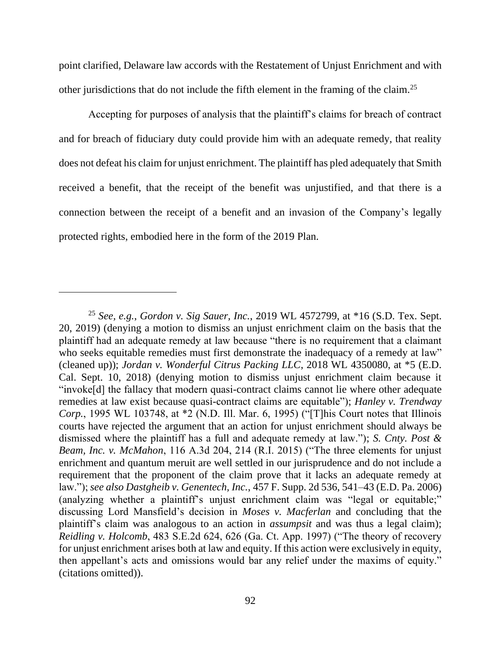point clarified, Delaware law accords with the Restatement of Unjust Enrichment and with other jurisdictions that do not include the fifth element in the framing of the claim.<sup>25</sup>

Accepting for purposes of analysis that the plaintiff's claims for breach of contract and for breach of fiduciary duty could provide him with an adequate remedy, that reality does not defeat his claim for unjust enrichment. The plaintiff has pled adequately that Smith received a benefit, that the receipt of the benefit was unjustified, and that there is a connection between the receipt of a benefit and an invasion of the Company's legally protected rights, embodied here in the form of the 2019 Plan.

<sup>25</sup> *See, e.g.*, *Gordon v. Sig Sauer, Inc.*, 2019 WL 4572799, at \*16 (S.D. Tex. Sept. 20, 2019) (denying a motion to dismiss an unjust enrichment claim on the basis that the plaintiff had an adequate remedy at law because "there is no requirement that a claimant who seeks equitable remedies must first demonstrate the inadequacy of a remedy at law" (cleaned up)); *Jordan v. Wonderful Citrus Packing LLC*, 2018 WL 4350080, at \*5 (E.D. Cal. Sept. 10, 2018) (denying motion to dismiss unjust enrichment claim because it "invoke[d] the fallacy that modern quasi-contract claims cannot lie where other adequate remedies at law exist because quasi-contract claims are equitable"); *Hanley v. Trendway Corp.*, 1995 WL 103748, at \*2 (N.D. Ill. Mar. 6, 1995) ("[T]his Court notes that Illinois courts have rejected the argument that an action for unjust enrichment should always be dismissed where the plaintiff has a full and adequate remedy at law."); *S. Cnty. Post & Beam, Inc. v. McMahon*, 116 A.3d 204, 214 (R.I. 2015) ("The three elements for unjust enrichment and quantum meruit are well settled in our jurisprudence and do not include a requirement that the proponent of the claim prove that it lacks an adequate remedy at law."); *see also Dastgheib v. Genentech, Inc.*, 457 F. Supp. 2d 536, 541–43 (E.D. Pa. 2006) (analyzing whether a plaintiff's unjust enrichment claim was "legal or equitable;" discussing Lord Mansfield's decision in *Moses v. Macferlan* and concluding that the plaintiff's claim was analogous to an action in *assumpsit* and was thus a legal claim); *Reidling v. Holcomb*, 483 S.E.2d 624, 626 (Ga. Ct. App. 1997) ("The theory of recovery for unjust enrichment arises both at law and equity. If this action were exclusively in equity, then appellant's acts and omissions would bar any relief under the maxims of equity." (citations omitted)).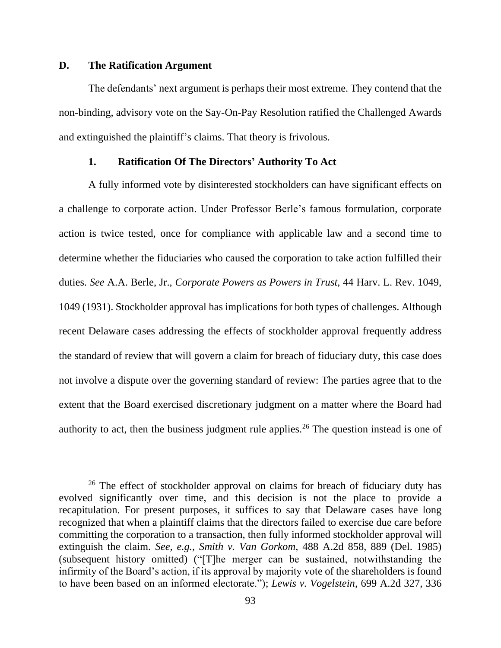### **D. The Ratification Argument**

The defendants' next argument is perhaps their most extreme. They contend that the non-binding, advisory vote on the Say-On-Pay Resolution ratified the Challenged Awards and extinguished the plaintiff's claims. That theory is frivolous.

## **1. Ratification Of The Directors' Authority To Act**

A fully informed vote by disinterested stockholders can have significant effects on a challenge to corporate action. Under Professor Berle's famous formulation, corporate action is twice tested, once for compliance with applicable law and a second time to determine whether the fiduciaries who caused the corporation to take action fulfilled their duties. *See* A.A. Berle, Jr., *Corporate Powers as Powers in Trust*, 44 Harv. L. Rev. 1049, 1049 (1931). Stockholder approval has implications for both types of challenges. Although recent Delaware cases addressing the effects of stockholder approval frequently address the standard of review that will govern a claim for breach of fiduciary duty, this case does not involve a dispute over the governing standard of review: The parties agree that to the extent that the Board exercised discretionary judgment on a matter where the Board had authority to act, then the business judgment rule applies.<sup>26</sup> The question instead is one of

<sup>&</sup>lt;sup>26</sup> The effect of stockholder approval on claims for breach of fiduciary duty has evolved significantly over time, and this decision is not the place to provide a recapitulation. For present purposes, it suffices to say that Delaware cases have long recognized that when a plaintiff claims that the directors failed to exercise due care before committing the corporation to a transaction, then fully informed stockholder approval will extinguish the claim. *See, e.g.*, *Smith v. Van Gorkom*, 488 A.2d 858, 889 (Del. 1985) (subsequent history omitted) ("[T]he merger can be sustained, notwithstanding the infirmity of the Board's action, if its approval by majority vote of the shareholders is found to have been based on an informed electorate."); *Lewis v. Vogelstein*, 699 A.2d 327, 336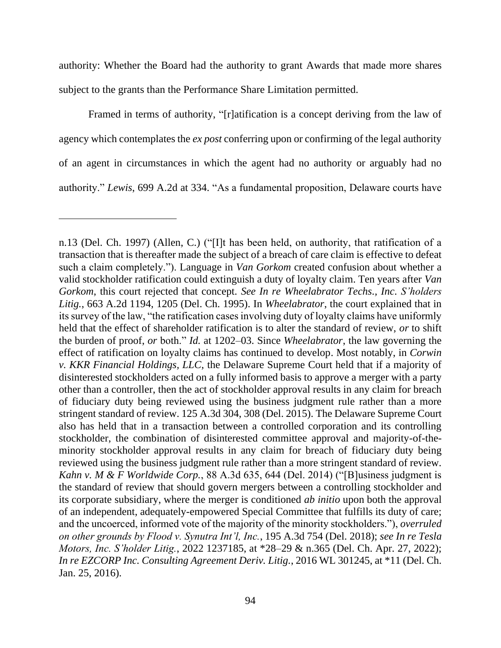authority: Whether the Board had the authority to grant Awards that made more shares subject to the grants than the Performance Share Limitation permitted.

Framed in terms of authority, "[r]atification is a concept deriving from the law of agency which contemplates the *ex post* conferring upon or confirming of the legal authority of an agent in circumstances in which the agent had no authority or arguably had no authority." *Lewis*, 699 A.2d at 334. "As a fundamental proposition, Delaware courts have

n.13 (Del. Ch. 1997) (Allen, C.) ("[I]t has been held, on authority, that ratification of a transaction that is thereafter made the subject of a breach of care claim is effective to defeat such a claim completely."). Language in *Van Gorkom* created confusion about whether a valid stockholder ratification could extinguish a duty of loyalty claim. Ten years after *Van Gorkom*, this court rejected that concept. *See In re Wheelabrator Techs., Inc. S'holders Litig.*, 663 A.2d 1194, 1205 (Del. Ch. 1995). In *Wheelabrator*, the court explained that in its survey of the law, "the ratification cases involving duty of loyalty claims have uniformly held that the effect of shareholder ratification is to alter the standard of review, *or* to shift the burden of proof, *or* both." *Id.* at 1202–03. Since *Wheelabrator*, the law governing the effect of ratification on loyalty claims has continued to develop. Most notably, in *Corwin v. KKR Financial Holdings, LLC*, the Delaware Supreme Court held that if a majority of disinterested stockholders acted on a fully informed basis to approve a merger with a party other than a controller, then the act of stockholder approval results in any claim for breach of fiduciary duty being reviewed using the business judgment rule rather than a more stringent standard of review. 125 A.3d 304, 308 (Del. 2015). The Delaware Supreme Court also has held that in a transaction between a controlled corporation and its controlling stockholder, the combination of disinterested committee approval and majority-of-theminority stockholder approval results in any claim for breach of fiduciary duty being reviewed using the business judgment rule rather than a more stringent standard of review. *Kahn v. M & F Worldwide Corp.*, 88 A.3d 635, 644 (Del. 2014) ("[B]usiness judgment is the standard of review that should govern mergers between a controlling stockholder and its corporate subsidiary, where the merger is conditioned *ab initio* upon both the approval of an independent, adequately-empowered Special Committee that fulfills its duty of care; and the uncoerced, informed vote of the majority of the minority stockholders."), *overruled on other grounds by Flood v. Synutra Int'l, Inc.*, 195 A.3d 754 (Del. 2018); *see In re Tesla Motors, Inc. S'holder Litig.*, 2022 1237185, at \*28–29 & n.365 (Del. Ch. Apr. 27, 2022); *In re EZCORP Inc. Consulting Agreement Deriv. Litig.*, 2016 WL 301245, at \*11 (Del. Ch. Jan. 25, 2016).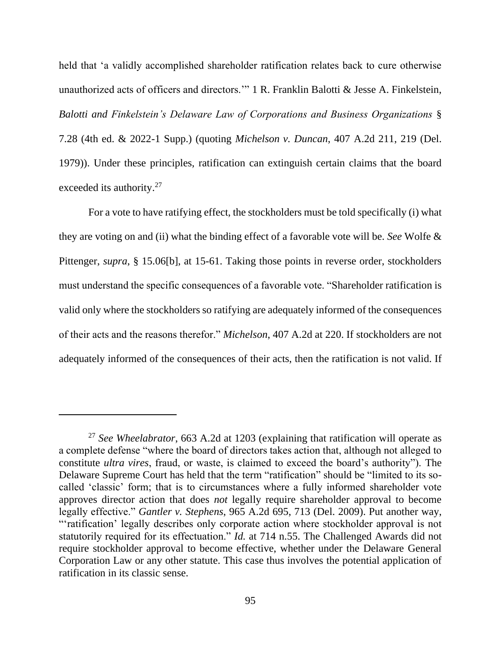held that 'a validly accomplished shareholder ratification relates back to cure otherwise unauthorized acts of officers and directors.'" 1 R. Franklin Balotti & Jesse A. Finkelstein, *Balotti and Finkelstein's Delaware Law of Corporations and Business Organizations* § 7.28 (4th ed. & 2022-1 Supp.) (quoting *Michelson v. Duncan*, 407 A.2d 211, 219 (Del. 1979)). Under these principles, ratification can extinguish certain claims that the board exceeded its authority.<sup>27</sup>

For a vote to have ratifying effect, the stockholders must be told specifically (i) what they are voting on and (ii) what the binding effect of a favorable vote will be. *See* Wolfe & Pittenger, *supra*, § 15.06[b], at 15-61. Taking those points in reverse order, stockholders must understand the specific consequences of a favorable vote. "Shareholder ratification is valid only where the stockholders so ratifying are adequately informed of the consequences of their acts and the reasons therefor." *Michelson*, 407 A.2d at 220. If stockholders are not adequately informed of the consequences of their acts, then the ratification is not valid. If

<sup>27</sup> *See Wheelabrator*, 663 A.2d at 1203 (explaining that ratification will operate as a complete defense "where the board of directors takes action that, although not alleged to constitute *ultra vires*, fraud, or waste, is claimed to exceed the board's authority"). The Delaware Supreme Court has held that the term "ratification" should be "limited to its socalled 'classic' form; that is to circumstances where a fully informed shareholder vote approves director action that does *not* legally require shareholder approval to become legally effective." *Gantler v. Stephens*, 965 A.2d 695, 713 (Del. 2009). Put another way, "'ratification' legally describes only corporate action where stockholder approval is not statutorily required for its effectuation." *Id.* at 714 n.55. The Challenged Awards did not require stockholder approval to become effective, whether under the Delaware General Corporation Law or any other statute. This case thus involves the potential application of ratification in its classic sense.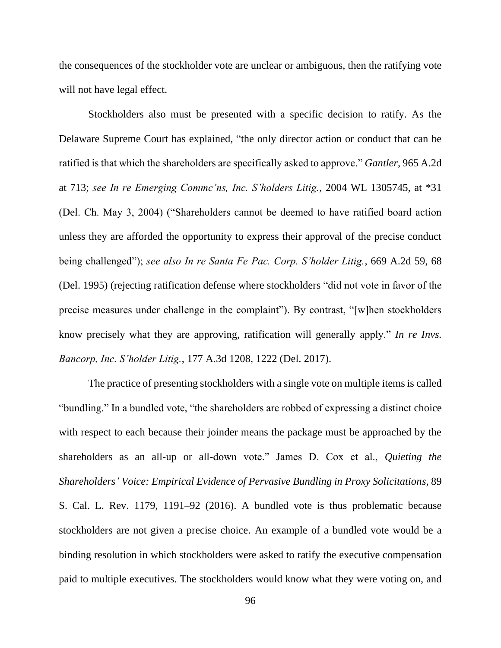the consequences of the stockholder vote are unclear or ambiguous, then the ratifying vote will not have legal effect.

Stockholders also must be presented with a specific decision to ratify. As the Delaware Supreme Court has explained, "the only director action or conduct that can be ratified is that which the shareholders are specifically asked to approve." *Gantler*, 965 A.2d at 713; *see In re Emerging Commc'ns, Inc. S'holders Litig.*, 2004 WL 1305745, at \*31 (Del. Ch. May 3, 2004) ("Shareholders cannot be deemed to have ratified board action unless they are afforded the opportunity to express their approval of the precise conduct being challenged"); *see also In re Santa Fe Pac. Corp. S'holder Litig.*, 669 A.2d 59, 68 (Del. 1995) (rejecting ratification defense where stockholders "did not vote in favor of the precise measures under challenge in the complaint"). By contrast, "[w]hen stockholders know precisely what they are approving, ratification will generally apply." *In re Invs. Bancorp, Inc. S'holder Litig.*, 177 A.3d 1208, 1222 (Del. 2017).

The practice of presenting stockholders with a single vote on multiple items is called "bundling." In a bundled vote, "the shareholders are robbed of expressing a distinct choice with respect to each because their joinder means the package must be approached by the shareholders as an all-up or all-down vote." James D. Cox et al., *Quieting the Shareholders' Voice: Empirical Evidence of Pervasive Bundling in Proxy Solicitations*, 89 S. Cal. L. Rev. 1179, 1191–92 (2016). A bundled vote is thus problematic because stockholders are not given a precise choice. An example of a bundled vote would be a binding resolution in which stockholders were asked to ratify the executive compensation paid to multiple executives. The stockholders would know what they were voting on, and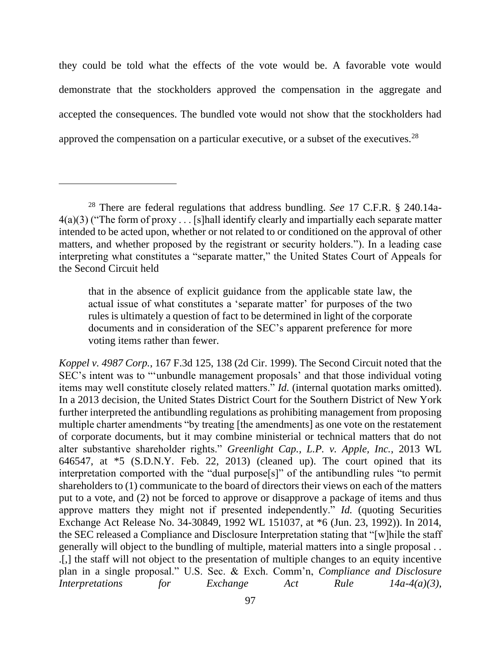they could be told what the effects of the vote would be. A favorable vote would demonstrate that the stockholders approved the compensation in the aggregate and accepted the consequences. The bundled vote would not show that the stockholders had approved the compensation on a particular executive, or a subset of the executives.<sup>28</sup>

that in the absence of explicit guidance from the applicable state law, the actual issue of what constitutes a 'separate matter' for purposes of the two rules is ultimately a question of fact to be determined in light of the corporate documents and in consideration of the SEC's apparent preference for more voting items rather than fewer.

*Koppel v. 4987 Corp.*, 167 F.3d 125, 138 (2d Cir. 1999). The Second Circuit noted that the SEC's intent was to "'unbundle management proposals' and that those individual voting items may well constitute closely related matters." *Id.* (internal quotation marks omitted). In a 2013 decision, the United States District Court for the Southern District of New York further interpreted the antibundling regulations as prohibiting management from proposing multiple charter amendments "by treating [the amendments] as one vote on the restatement of corporate documents, but it may combine ministerial or technical matters that do not alter substantive shareholder rights." *Greenlight Cap., L.P. v. Apple, Inc.*, 2013 WL 646547, at  $*5$  (S.D.N.Y. Feb. 22, 2013) (cleaned up). The court opined that its interpretation comported with the "dual purpose[s]" of the antibundling rules "to permit shareholders to (1) communicate to the board of directors their views on each of the matters put to a vote, and (2) not be forced to approve or disapprove a package of items and thus approve matters they might not if presented independently." *Id.* (quoting Securities Exchange Act Release No. 34-30849, 1992 WL 151037, at \*6 (Jun. 23, 1992)). In 2014, the SEC released a Compliance and Disclosure Interpretation stating that "[w]hile the staff generally will object to the bundling of multiple, material matters into a single proposal . . .[,] the staff will not object to the presentation of multiple changes to an equity incentive plan in a single proposal." U.S. Sec. & Exch. Comm'n, *Compliance and Disclosure Interpretations for Exchange Act Rule 14a-4(a)(3)*,

<sup>28</sup> There are federal regulations that address bundling. *See* 17 C.F.R. § 240.14a- $4(a)(3)$  ("The form of proxy . . . [s]hall identify clearly and impartially each separate matter intended to be acted upon, whether or not related to or conditioned on the approval of other matters, and whether proposed by the registrant or security holders."). In a leading case interpreting what constitutes a "separate matter," the United States Court of Appeals for the Second Circuit held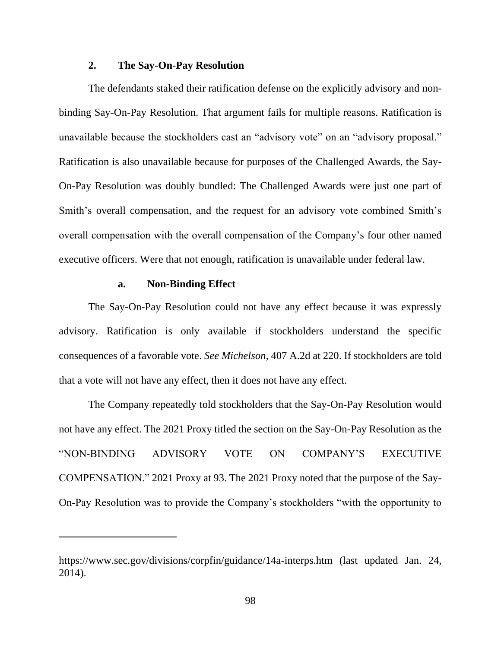# **2. The Say-On-Pay Resolution**

The defendants staked their ratification defense on the explicitly advisory and nonbinding Say-On-Pay Resolution. That argument fails for multiple reasons. Ratification is unavailable because the stockholders cast an "advisory vote" on an "advisory proposal." Ratification is also unavailable because for purposes of the Challenged Awards, the Say-On-Pay Resolution was doubly bundled: The Challenged Awards were just one part of Smith's overall compensation, and the request for an advisory vote combined Smith's overall compensation with the overall compensation of the Company's four other named executive officers. Were that not enough, ratification is unavailable under federal law.

#### **a. Non-Binding Effect**

The Say-On-Pay Resolution could not have any effect because it was expressly advisory. Ratification is only available if stockholders understand the specific consequences of a favorable vote. *See Michelson*, 407 A.2d at 220. If stockholders are told that a vote will not have any effect, then it does not have any effect.

The Company repeatedly told stockholders that the Say-On-Pay Resolution would not have any effect. The 2021 Proxy titled the section on the Say-On-Pay Resolution as the "NON-BINDING ADVISORY VOTE ON COMPANY'S EXECUTIVE COMPENSATION." 2021 Proxy at 93. The 2021 Proxy noted that the purpose of the Say-On-Pay Resolution was to provide the Company's stockholders "with the opportunity to

https://www.sec.gov/divisions/corpfin/guidance/14a-interps.htm (last updated Jan. 24, 2014).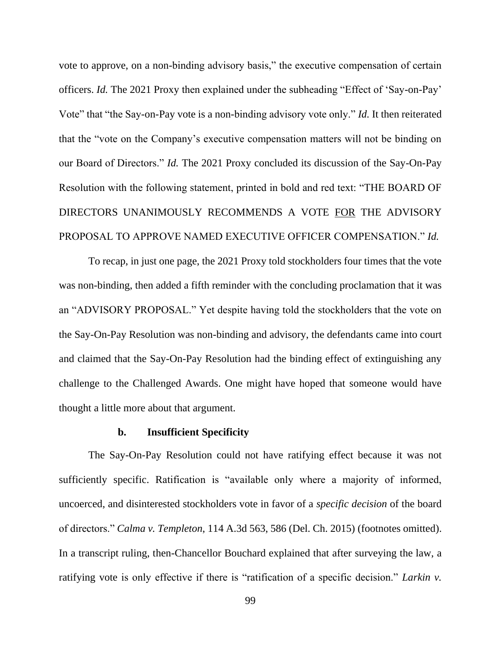vote to approve, on a non-binding advisory basis," the executive compensation of certain officers. *Id.* The 2021 Proxy then explained under the subheading "Effect of 'Say-on-Pay' Vote" that "the Say-on-Pay vote is a non-binding advisory vote only." *Id.* It then reiterated that the "vote on the Company's executive compensation matters will not be binding on our Board of Directors." *Id.* The 2021 Proxy concluded its discussion of the Say-On-Pay Resolution with the following statement, printed in bold and red text: "THE BOARD OF DIRECTORS UNANIMOUSLY RECOMMENDS A VOTE FOR THE ADVISORY PROPOSAL TO APPROVE NAMED EXECUTIVE OFFICER COMPENSATION." *Id.*

To recap, in just one page, the 2021 Proxy told stockholders four times that the vote was non-binding, then added a fifth reminder with the concluding proclamation that it was an "ADVISORY PROPOSAL." Yet despite having told the stockholders that the vote on the Say-On-Pay Resolution was non-binding and advisory, the defendants came into court and claimed that the Say-On-Pay Resolution had the binding effect of extinguishing any challenge to the Challenged Awards. One might have hoped that someone would have thought a little more about that argument.

### **b. Insufficient Specificity**

The Say-On-Pay Resolution could not have ratifying effect because it was not sufficiently specific. Ratification is "available only where a majority of informed, uncoerced, and disinterested stockholders vote in favor of a *specific decision* of the board of directors." *Calma v. Templeton*, 114 A.3d 563, 586 (Del. Ch. 2015) (footnotes omitted). In a transcript ruling, then-Chancellor Bouchard explained that after surveying the law, a ratifying vote is only effective if there is "ratification of a specific decision." *Larkin v.*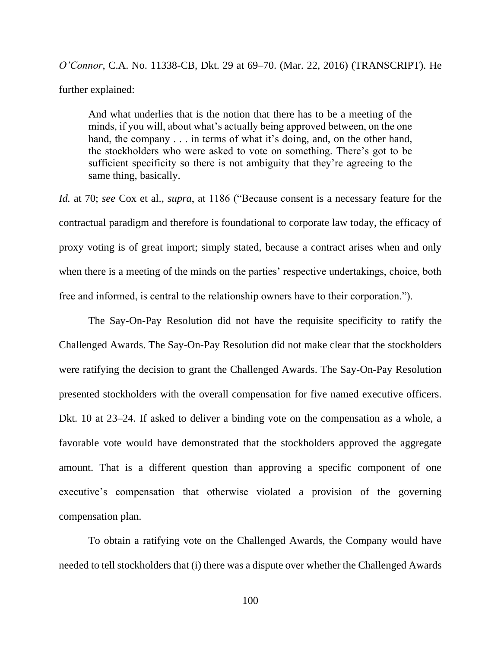*O'Connor*, C.A. No. 11338-CB, Dkt. 29 at 69–70. (Mar. 22, 2016) (TRANSCRIPT). He further explained:

And what underlies that is the notion that there has to be a meeting of the minds, if you will, about what's actually being approved between, on the one hand, the company . . . in terms of what it's doing, and, on the other hand, the stockholders who were asked to vote on something. There's got to be sufficient specificity so there is not ambiguity that they're agreeing to the same thing, basically.

*Id.* at 70; *see* Cox et al., *supra*, at 1186 ("Because consent is a necessary feature for the contractual paradigm and therefore is foundational to corporate law today, the efficacy of proxy voting is of great import; simply stated, because a contract arises when and only when there is a meeting of the minds on the parties' respective undertakings, choice, both free and informed, is central to the relationship owners have to their corporation.").

The Say-On-Pay Resolution did not have the requisite specificity to ratify the Challenged Awards. The Say-On-Pay Resolution did not make clear that the stockholders were ratifying the decision to grant the Challenged Awards. The Say-On-Pay Resolution presented stockholders with the overall compensation for five named executive officers. Dkt. 10 at 23–24. If asked to deliver a binding vote on the compensation as a whole, a favorable vote would have demonstrated that the stockholders approved the aggregate amount. That is a different question than approving a specific component of one executive's compensation that otherwise violated a provision of the governing compensation plan.

To obtain a ratifying vote on the Challenged Awards, the Company would have needed to tell stockholders that (i) there was a dispute over whether the Challenged Awards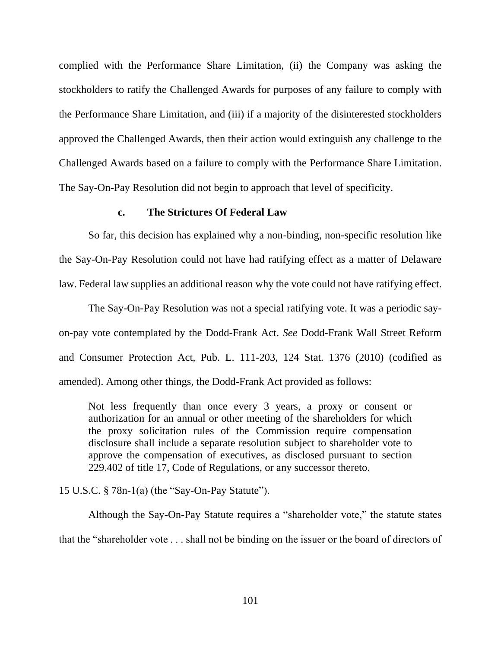complied with the Performance Share Limitation, (ii) the Company was asking the stockholders to ratify the Challenged Awards for purposes of any failure to comply with the Performance Share Limitation, and (iii) if a majority of the disinterested stockholders approved the Challenged Awards, then their action would extinguish any challenge to the Challenged Awards based on a failure to comply with the Performance Share Limitation. The Say-On-Pay Resolution did not begin to approach that level of specificity.

## **c. The Strictures Of Federal Law**

So far, this decision has explained why a non-binding, non-specific resolution like the Say-On-Pay Resolution could not have had ratifying effect as a matter of Delaware law. Federal law supplies an additional reason why the vote could not have ratifying effect.

The Say-On-Pay Resolution was not a special ratifying vote. It was a periodic sayon-pay vote contemplated by the Dodd-Frank Act. *See* Dodd-Frank Wall Street Reform and Consumer Protection Act, Pub. L. 111-203, 124 Stat. 1376 (2010) (codified as amended). Among other things, the Dodd-Frank Act provided as follows:

Not less frequently than once every 3 years, a proxy or consent or authorization for an annual or other meeting of the shareholders for which the proxy solicitation rules of the Commission require compensation disclosure shall include a separate resolution subject to shareholder vote to approve the compensation of executives, as disclosed pursuant to section 229.402 of title 17, Code of Regulations, or any successor thereto.

15 U.S.C. § 78n-1(a) (the "Say-On-Pay Statute").

Although the Say-On-Pay Statute requires a "shareholder vote," the statute states that the "shareholder vote . . . shall not be binding on the issuer or the board of directors of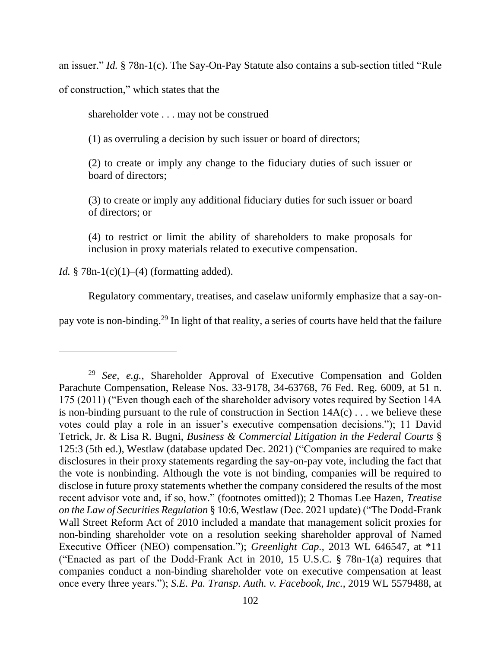an issuer." *Id.* § 78n-1(c). The Say-On-Pay Statute also contains a sub-section titled "Rule

of construction," which states that the

shareholder vote . . . may not be construed

(1) as overruling a decision by such issuer or board of directors;

(2) to create or imply any change to the fiduciary duties of such issuer or board of directors;

(3) to create or imply any additional fiduciary duties for such issuer or board of directors; or

(4) to restrict or limit the ability of shareholders to make proposals for inclusion in proxy materials related to executive compensation.

*Id.* § 78n-1(c)(1)–(4) (formatting added).

Regulatory commentary, treatises, and caselaw uniformly emphasize that a say-on-

pay vote is non-binding.<sup>29</sup> In light of that reality, a series of courts have held that the failure

<sup>29</sup> *See, e.g.*, Shareholder Approval of Executive Compensation and Golden Parachute Compensation, Release Nos. 33-9178, 34-63768, 76 Fed. Reg. 6009, at 51 n. 175 (2011) ("Even though each of the shareholder advisory votes required by Section 14A is non-binding pursuant to the rule of construction in Section  $14A(c)$ ... we believe these votes could play a role in an issuer's executive compensation decisions."); 11 David Tetrick, Jr. & Lisa R. Bugni, *Business & Commercial Litigation in the Federal Courts* § 125:3 (5th ed.), Westlaw (database updated Dec. 2021) ("Companies are required to make disclosures in their proxy statements regarding the say-on-pay vote, including the fact that the vote is nonbinding. Although the vote is not binding, companies will be required to disclose in future proxy statements whether the company considered the results of the most recent advisor vote and, if so, how." (footnotes omitted)); 2 Thomas Lee Hazen, *Treatise on the Law of Securities Regulation* § 10:6, Westlaw (Dec. 2021 update) ("The Dodd-Frank Wall Street Reform Act of 2010 included a mandate that management solicit proxies for non-binding shareholder vote on a resolution seeking shareholder approval of Named Executive Officer (NEO) compensation."); *Greenlight Cap.*, 2013 WL 646547, at \*11 ("Enacted as part of the Dodd-Frank Act in 2010, 15 U.S.C. § 78n-1(a) requires that companies conduct a non-binding shareholder vote on executive compensation at least once every three years."); *S.E. Pa. Transp. Auth. v. Facebook, Inc.*, 2019 WL 5579488, at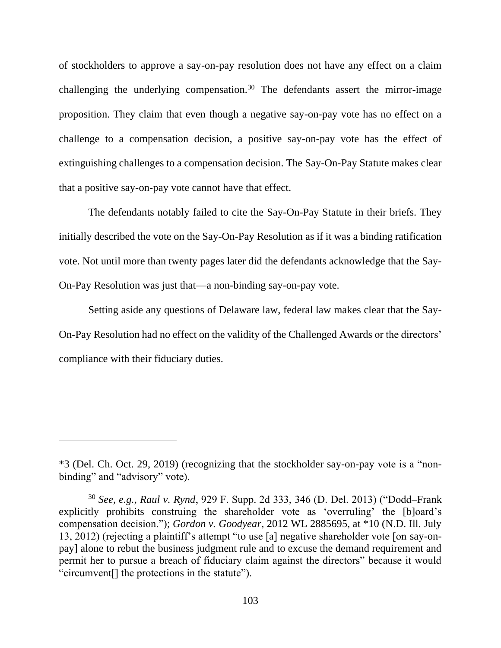of stockholders to approve a say-on-pay resolution does not have any effect on a claim challenging the underlying compensation.<sup>30</sup> The defendants assert the mirror-image proposition. They claim that even though a negative say-on-pay vote has no effect on a challenge to a compensation decision, a positive say-on-pay vote has the effect of extinguishing challenges to a compensation decision. The Say-On-Pay Statute makes clear that a positive say-on-pay vote cannot have that effect.

The defendants notably failed to cite the Say-On-Pay Statute in their briefs. They initially described the vote on the Say-On-Pay Resolution as if it was a binding ratification vote. Not until more than twenty pages later did the defendants acknowledge that the Say-On-Pay Resolution was just that—a non-binding say-on-pay vote.

Setting aside any questions of Delaware law, federal law makes clear that the Say-On-Pay Resolution had no effect on the validity of the Challenged Awards or the directors' compliance with their fiduciary duties.

<sup>\*3 (</sup>Del. Ch. Oct. 29, 2019) (recognizing that the stockholder say-on-pay vote is a "nonbinding" and "advisory" vote).

<sup>30</sup> *See, e.g.*, *Raul v. Rynd*, 929 F. Supp. 2d 333, 346 (D. Del. 2013) ("Dodd–Frank explicitly prohibits construing the shareholder vote as 'overruling' the [b]oard's compensation decision."); *Gordon v. Goodyear*, 2012 WL 2885695, at \*10 (N.D. Ill. July 13, 2012) (rejecting a plaintiff's attempt "to use [a] negative shareholder vote [on say-onpay] alone to rebut the business judgment rule and to excuse the demand requirement and permit her to pursue a breach of fiduciary claim against the directors" because it would "circumvent[] the protections in the statute").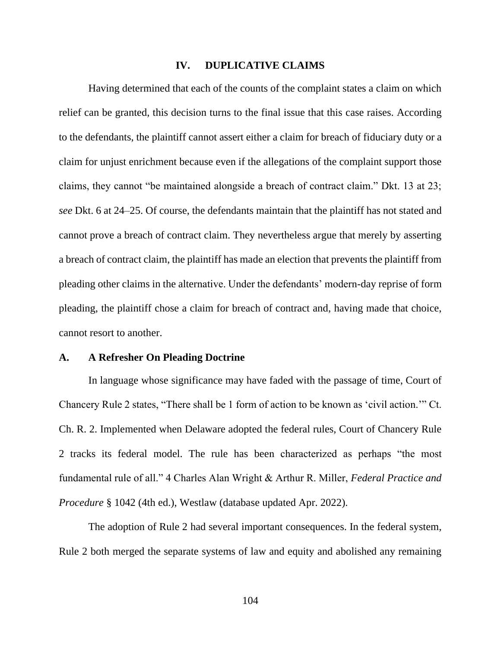### **IV. DUPLICATIVE CLAIMS**

Having determined that each of the counts of the complaint states a claim on which relief can be granted, this decision turns to the final issue that this case raises. According to the defendants, the plaintiff cannot assert either a claim for breach of fiduciary duty or a claim for unjust enrichment because even if the allegations of the complaint support those claims, they cannot "be maintained alongside a breach of contract claim." Dkt. 13 at 23; *see* Dkt. 6 at 24–25. Of course, the defendants maintain that the plaintiff has not stated and cannot prove a breach of contract claim. They nevertheless argue that merely by asserting a breach of contract claim, the plaintiff has made an election that prevents the plaintiff from pleading other claims in the alternative. Under the defendants' modern-day reprise of form pleading, the plaintiff chose a claim for breach of contract and, having made that choice, cannot resort to another.

## **A. A Refresher On Pleading Doctrine**

In language whose significance may have faded with the passage of time, Court of Chancery Rule 2 states, "There shall be 1 form of action to be known as 'civil action.'" Ct. Ch. R. 2. Implemented when Delaware adopted the federal rules, Court of Chancery Rule 2 tracks its federal model. The rule has been characterized as perhaps "the most fundamental rule of all." 4 Charles Alan Wright & Arthur R. Miller, *Federal Practice and Procedure* § 1042 (4th ed.), Westlaw (database updated Apr. 2022).

The adoption of Rule 2 had several important consequences. In the federal system, Rule 2 both merged the separate systems of law and equity and abolished any remaining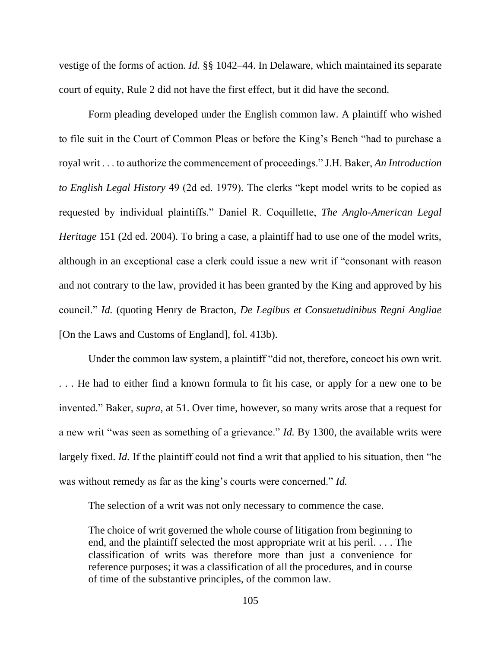vestige of the forms of action. *Id.* §§ 1042–44. In Delaware, which maintained its separate court of equity, Rule 2 did not have the first effect, but it did have the second.

Form pleading developed under the English common law. A plaintiff who wished to file suit in the Court of Common Pleas or before the King's Bench "had to purchase a royal writ . . . to authorize the commencement of proceedings." J.H. Baker, *An Introduction to English Legal History* 49 (2d ed. 1979). The clerks "kept model writs to be copied as requested by individual plaintiffs." Daniel R. Coquillette, *The Anglo-American Legal Heritage* 151 (2d ed. 2004). To bring a case, a plaintiff had to use one of the model writs, although in an exceptional case a clerk could issue a new writ if "consonant with reason and not contrary to the law, provided it has been granted by the King and approved by his council." *Id.* (quoting Henry de Bracton, *De Legibus et Consuetudinibus Regni Angliae*  [On the Laws and Customs of England], fol. 413b).

Under the common law system, a plaintiff "did not, therefore, concoct his own writ. . . . He had to either find a known formula to fit his case, or apply for a new one to be invented." Baker, *supra*, at 51. Over time, however, so many writs arose that a request for a new writ "was seen as something of a grievance." *Id.* By 1300, the available writs were largely fixed. *Id.* If the plaintiff could not find a writ that applied to his situation, then "he was without remedy as far as the king's courts were concerned." *Id.*

The selection of a writ was not only necessary to commence the case.

The choice of writ governed the whole course of litigation from beginning to end, and the plaintiff selected the most appropriate writ at his peril. . . . The classification of writs was therefore more than just a convenience for reference purposes; it was a classification of all the procedures, and in course of time of the substantive principles, of the common law.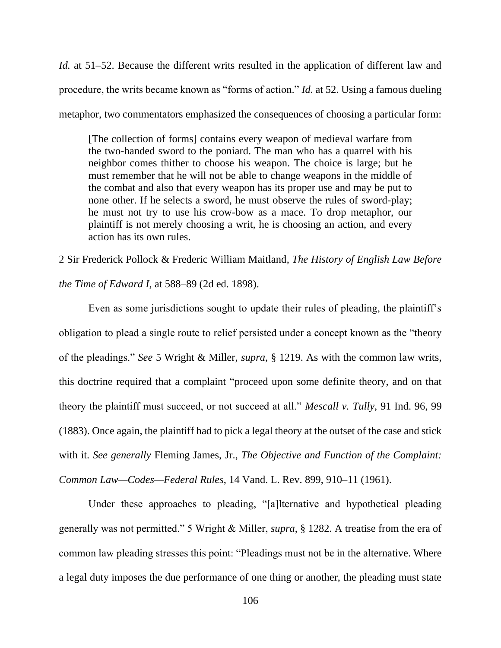*Id.* at 51–52. Because the different writs resulted in the application of different law and procedure, the writs became known as "forms of action." *Id.* at 52. Using a famous dueling metaphor, two commentators emphasized the consequences of choosing a particular form:

[The collection of forms] contains every weapon of medieval warfare from the two-handed sword to the poniard. The man who has a quarrel with his neighbor comes thither to choose his weapon. The choice is large; but he must remember that he will not be able to change weapons in the middle of the combat and also that every weapon has its proper use and may be put to none other. If he selects a sword, he must observe the rules of sword-play; he must not try to use his crow-bow as a mace. To drop metaphor, our plaintiff is not merely choosing a writ, he is choosing an action, and every action has its own rules.

2 Sir Frederick Pollock & Frederic William Maitland, *The History of English Law Before the Time of Edward I*, at 588–89 (2d ed. 1898).

Even as some jurisdictions sought to update their rules of pleading, the plaintiff's obligation to plead a single route to relief persisted under a concept known as the "theory of the pleadings." *See* 5 Wright & Miller, *supra*, § 1219. As with the common law writs, this doctrine required that a complaint "proceed upon some definite theory, and on that theory the plaintiff must succeed, or not succeed at all." *Mescall v. Tully*, 91 Ind. 96, 99 (1883). Once again, the plaintiff had to pick a legal theory at the outset of the case and stick with it. *See generally* Fleming James, Jr., *The Objective and Function of the Complaint: Common Law—Codes—Federal Rules*, 14 Vand. L. Rev. 899, 910–11 (1961).

Under these approaches to pleading, "[a]lternative and hypothetical pleading generally was not permitted." 5 Wright & Miller, *supra*, § 1282. A treatise from the era of common law pleading stresses this point: "Pleadings must not be in the alternative. Where a legal duty imposes the due performance of one thing or another, the pleading must state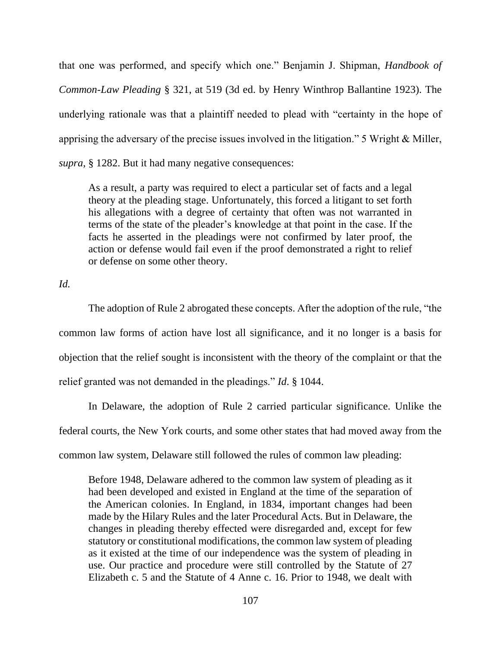that one was performed, and specify which one." Benjamin J. Shipman, *Handbook of Common-Law Pleading* § 321, at 519 (3d ed. by Henry Winthrop Ballantine 1923). The underlying rationale was that a plaintiff needed to plead with "certainty in the hope of apprising the adversary of the precise issues involved in the litigation." 5 Wright & Miller, *supra*, § 1282. But it had many negative consequences:

As a result, a party was required to elect a particular set of facts and a legal theory at the pleading stage. Unfortunately, this forced a litigant to set forth his allegations with a degree of certainty that often was not warranted in terms of the state of the pleader's knowledge at that point in the case. If the facts he asserted in the pleadings were not confirmed by later proof, the action or defense would fail even if the proof demonstrated a right to relief or defense on some other theory.

*Id.*

The adoption of Rule 2 abrogated these concepts. After the adoption of the rule, "the common law forms of action have lost all significance, and it no longer is a basis for objection that the relief sought is inconsistent with the theory of the complaint or that the relief granted was not demanded in the pleadings." *Id*. § 1044.

In Delaware, the adoption of Rule 2 carried particular significance. Unlike the federal courts, the New York courts, and some other states that had moved away from the common law system, Delaware still followed the rules of common law pleading:

Before 1948, Delaware adhered to the common law system of pleading as it had been developed and existed in England at the time of the separation of the American colonies. In England, in 1834, important changes had been made by the Hilary Rules and the later Procedural Acts. But in Delaware, the changes in pleading thereby effected were disregarded and, except for few statutory or constitutional modifications, the common law system of pleading as it existed at the time of our independence was the system of pleading in use. Our practice and procedure were still controlled by the Statute of 27 Elizabeth c. 5 and the Statute of 4 Anne c. 16. Prior to 1948, we dealt with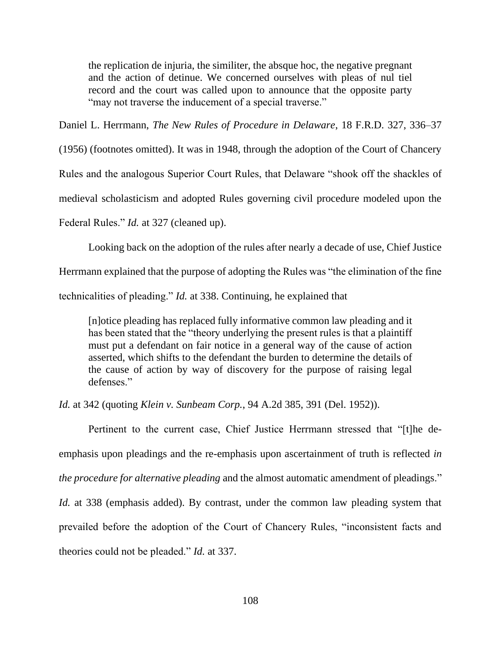the replication de injuria, the similiter, the absque hoc, the negative pregnant and the action of detinue. We concerned ourselves with pleas of nul tiel record and the court was called upon to announce that the opposite party "may not traverse the inducement of a special traverse."

Daniel L. Herrmann, *The New Rules of Procedure in Delaware*, 18 F.R.D. 327, 336–37

(1956) (footnotes omitted). It was in 1948, through the adoption of the Court of Chancery Rules and the analogous Superior Court Rules, that Delaware "shook off the shackles of medieval scholasticism and adopted Rules governing civil procedure modeled upon the Federal Rules." *Id.* at 327 (cleaned up).

Looking back on the adoption of the rules after nearly a decade of use, Chief Justice

Herrmann explained that the purpose of adopting the Rules was "the elimination of the fine

technicalities of pleading." *Id.* at 338. Continuing, he explained that

[n]otice pleading has replaced fully informative common law pleading and it has been stated that the "theory underlying the present rules is that a plaintiff must put a defendant on fair notice in a general way of the cause of action asserted, which shifts to the defendant the burden to determine the details of the cause of action by way of discovery for the purpose of raising legal defenses."

*Id.* at 342 (quoting *Klein v. Sunbeam Corp.*, 94 A.2d 385, 391 (Del. 1952)).

Pertinent to the current case, Chief Justice Herrmann stressed that "[t]he deemphasis upon pleadings and the re-emphasis upon ascertainment of truth is reflected *in the procedure for alternative pleading* and the almost automatic amendment of pleadings." *Id.* at 338 (emphasis added). By contrast, under the common law pleading system that prevailed before the adoption of the Court of Chancery Rules, "inconsistent facts and theories could not be pleaded." *Id.* at 337.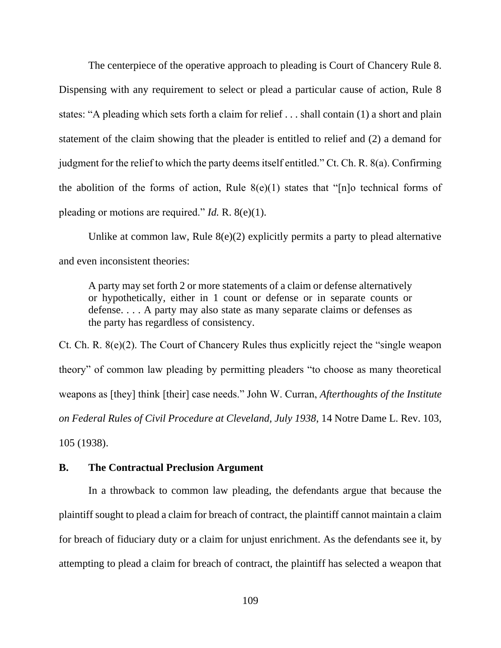The centerpiece of the operative approach to pleading is Court of Chancery Rule 8. Dispensing with any requirement to select or plead a particular cause of action, Rule 8 states: "A pleading which sets forth a claim for relief . . . shall contain (1) a short and plain statement of the claim showing that the pleader is entitled to relief and (2) a demand for judgment for the relief to which the party deems itself entitled." Ct. Ch. R. 8(a). Confirming the abolition of the forms of action, Rule  $8(e)(1)$  states that "[n]o technical forms of pleading or motions are required." *Id.* R. 8(e)(1).

Unlike at common law, Rule 8(e)(2) explicitly permits a party to plead alternative and even inconsistent theories:

A party may set forth 2 or more statements of a claim or defense alternatively or hypothetically, either in 1 count or defense or in separate counts or defense. . . . A party may also state as many separate claims or defenses as the party has regardless of consistency.

Ct. Ch. R. 8(e)(2). The Court of Chancery Rules thus explicitly reject the "single weapon theory" of common law pleading by permitting pleaders "to choose as many theoretical weapons as [they] think [their] case needs." John W. Curran, *Afterthoughts of the Institute on Federal Rules of Civil Procedure at Cleveland, July 1938*, 14 Notre Dame L. Rev. 103, 105 (1938).

## **B. The Contractual Preclusion Argument**

In a throwback to common law pleading, the defendants argue that because the plaintiff sought to plead a claim for breach of contract, the plaintiff cannot maintain a claim for breach of fiduciary duty or a claim for unjust enrichment. As the defendants see it, by attempting to plead a claim for breach of contract, the plaintiff has selected a weapon that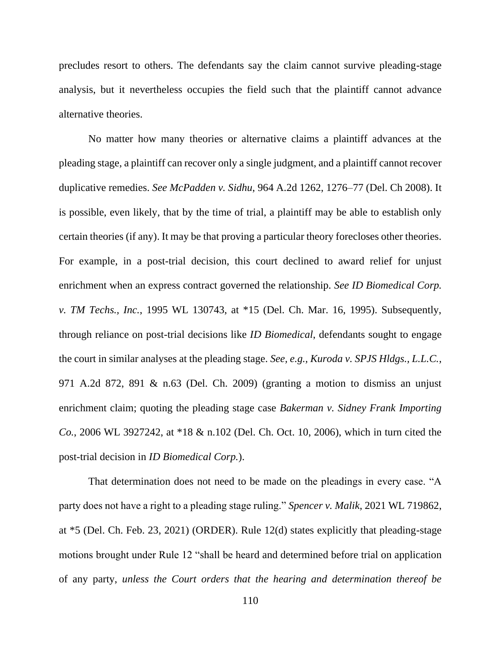precludes resort to others. The defendants say the claim cannot survive pleading-stage analysis, but it nevertheless occupies the field such that the plaintiff cannot advance alternative theories.

No matter how many theories or alternative claims a plaintiff advances at the pleading stage, a plaintiff can recover only a single judgment, and a plaintiff cannot recover duplicative remedies. *See McPadden v. Sidhu*, 964 A.2d 1262, 1276–77 (Del. Ch 2008). It is possible, even likely, that by the time of trial, a plaintiff may be able to establish only certain theories (if any). It may be that proving a particular theory forecloses other theories. For example, in a post-trial decision, this court declined to award relief for unjust enrichment when an express contract governed the relationship. *See ID Biomedical Corp. v. TM Techs., Inc.*, 1995 WL 130743, at \*15 (Del. Ch. Mar. 16, 1995). Subsequently, through reliance on post-trial decisions like *ID Biomedical*, defendants sought to engage the court in similar analyses at the pleading stage. *See, e.g., Kuroda v. SPJS Hldgs., L.L.C.*, 971 A.2d 872, 891 & n.63 (Del. Ch. 2009) (granting a motion to dismiss an unjust enrichment claim; quoting the pleading stage case *Bakerman v. Sidney Frank Importing Co.*, 2006 WL 3927242, at \*18 & n.102 (Del. Ch. Oct. 10, 2006), which in turn cited the post-trial decision in *ID Biomedical Corp.*).

That determination does not need to be made on the pleadings in every case. "A party does not have a right to a pleading stage ruling." *Spencer v. Malik*, 2021 WL 719862, at \*5 (Del. Ch. Feb. 23, 2021) (ORDER). Rule 12(d) states explicitly that pleading-stage motions brought under Rule 12 "shall be heard and determined before trial on application of any party, *unless the Court orders that the hearing and determination thereof be*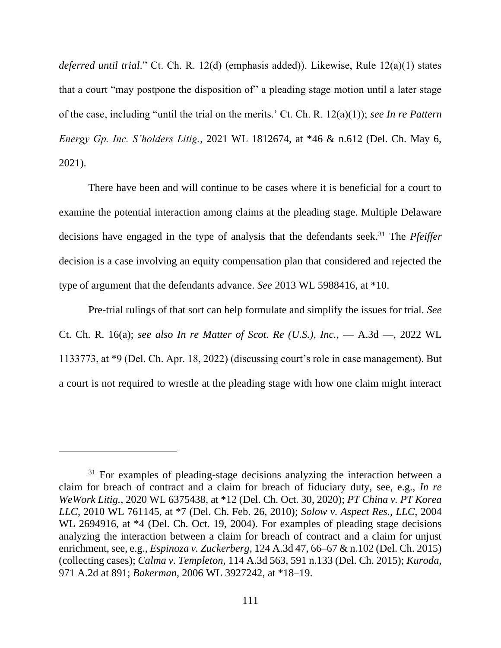*deferred until trial*." Ct. Ch. R. 12(d) (emphasis added)). Likewise, Rule 12(a)(1) states that a court "may postpone the disposition of" a pleading stage motion until a later stage of the case, including "until the trial on the merits.' Ct. Ch. R. 12(a)(1)); *see In re Pattern Energy Gp. Inc. S'holders Litig.*, 2021 WL 1812674, at \*46 & n.612 (Del. Ch. May 6, 2021).

There have been and will continue to be cases where it is beneficial for a court to examine the potential interaction among claims at the pleading stage. Multiple Delaware decisions have engaged in the type of analysis that the defendants seek.<sup>31</sup> The *Pfeiffer* decision is a case involving an equity compensation plan that considered and rejected the type of argument that the defendants advance. *See* 2013 WL 5988416, at \*10.

Pre-trial rulings of that sort can help formulate and simplify the issues for trial. *See* Ct. Ch. R. 16(a); *see also In re Matter of Scot. Re (U.S.), Inc.*, — A.3d —, 2022 WL 1133773, at \*9 (Del. Ch. Apr. 18, 2022) (discussing court's role in case management). But a court is not required to wrestle at the pleading stage with how one claim might interact

 $31$  For examples of pleading-stage decisions analyzing the interaction between a claim for breach of contract and a claim for breach of fiduciary duty, see, e.g., *In re WeWork Litig.*, 2020 WL 6375438, at \*12 (Del. Ch. Oct. 30, 2020); *PT China v. PT Korea LLC*, 2010 WL 761145, at \*7 (Del. Ch. Feb. 26, 2010); *Solow v. Aspect Res., LLC*, 2004 WL 2694916, at  $*4$  (Del. Ch. Oct. 19, 2004). For examples of pleading stage decisions analyzing the interaction between a claim for breach of contract and a claim for unjust enrichment, see, e.g., *Espinoza v. Zuckerberg*, 124 A.3d 47, 66–67 & n.102 (Del. Ch. 2015) (collecting cases); *Calma v. Templeton*, 114 A.3d 563, 591 n.133 (Del. Ch. 2015); *Kuroda*, 971 A.2d at 891; *Bakerman*, 2006 WL 3927242, at \*18–19.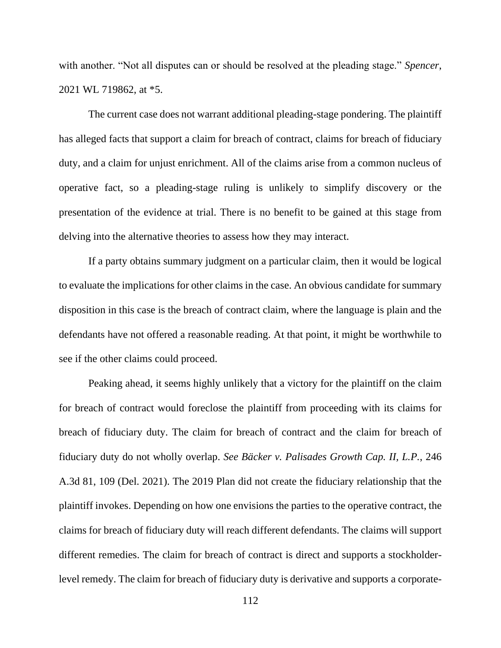with another. "Not all disputes can or should be resolved at the pleading stage." *Spencer*, 2021 WL 719862, at \*5.

The current case does not warrant additional pleading-stage pondering. The plaintiff has alleged facts that support a claim for breach of contract, claims for breach of fiduciary duty, and a claim for unjust enrichment. All of the claims arise from a common nucleus of operative fact, so a pleading-stage ruling is unlikely to simplify discovery or the presentation of the evidence at trial. There is no benefit to be gained at this stage from delving into the alternative theories to assess how they may interact.

If a party obtains summary judgment on a particular claim, then it would be logical to evaluate the implications for other claims in the case. An obvious candidate for summary disposition in this case is the breach of contract claim, where the language is plain and the defendants have not offered a reasonable reading. At that point, it might be worthwhile to see if the other claims could proceed.

Peaking ahead, it seems highly unlikely that a victory for the plaintiff on the claim for breach of contract would foreclose the plaintiff from proceeding with its claims for breach of fiduciary duty. The claim for breach of contract and the claim for breach of fiduciary duty do not wholly overlap. *See Bäcker v. Palisades Growth Cap. II, L.P.*, 246 A.3d 81, 109 (Del. 2021). The 2019 Plan did not create the fiduciary relationship that the plaintiff invokes. Depending on how one envisions the parties to the operative contract, the claims for breach of fiduciary duty will reach different defendants. The claims will support different remedies. The claim for breach of contract is direct and supports a stockholderlevel remedy. The claim for breach of fiduciary duty is derivative and supports a corporate